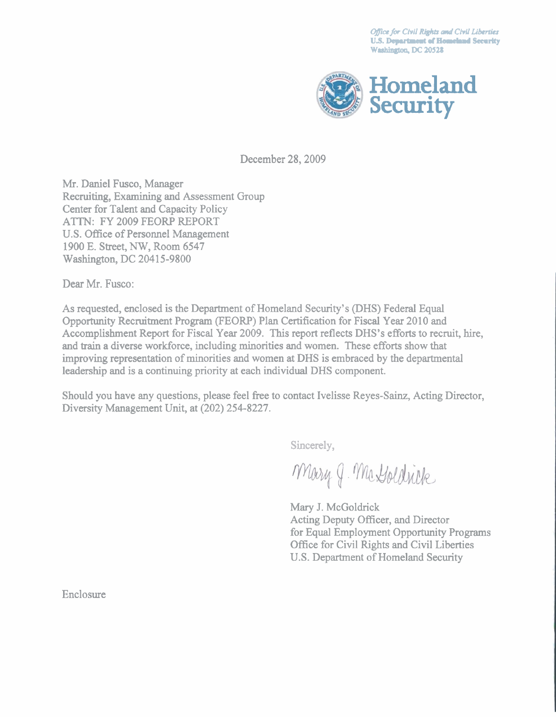**Office for Civil Rights and Civil Liberties U.S. Department of Homeland Security Washington, DC 20528** 



December 28,2009

Mr. Daniel Fusco, Manager Recruiting, Examining and Assessment Group Center for Talent and Capacity Policy ATTN: FY 2009 FEORP REPORT U.S. Office of Personnel Management 1900 E. Street, NW, Room 6547 Washington, DC 20415-9800

Dear Mr. Fusco:

As requested, enclosed is the Department of Homeland Security's (DHS) Federal Equal Opportunity Recruitment Program (FEORP) Plan Certification for Fiscal Year 2010 and Accomplishment Report for Fiscal Year 2009. This report reflects DHS's efforts to recruit, hire, and **train** a diverse workforce, including minorities and women. These efforts show that improving representation of minorities and women at DHS is embraced by the departmental leadership and is a continuing priority at each individual DHS component.

Should you have any questions, please feel free to contact Ivelisse Reyes-Sainz, Acting Director, Diversity Management Unit, at (202) 254-8227.

Sincerely,

Mary J. Ma Goldrick

Mary J. McGoldrick Acting Deputy Officer, and Director for Equal Employment Opportunity Programs Office for Civil Rights and Civil Liberties U.S. Department of Homeland Security

Enclosure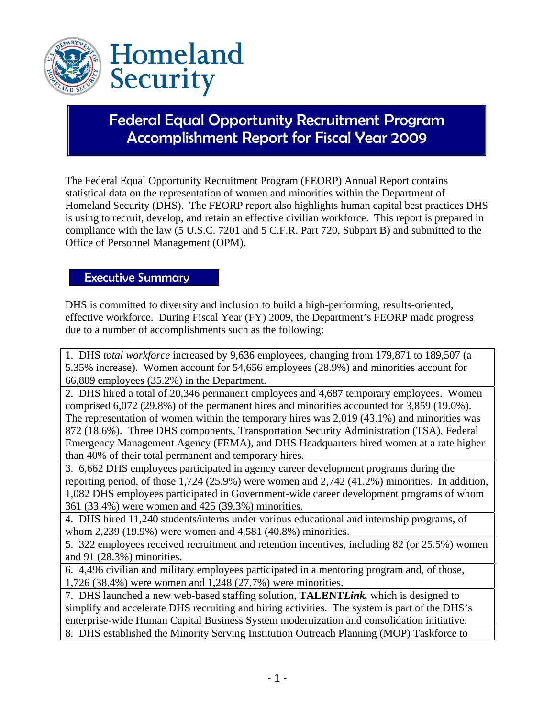

## Federal Equal Opportunity Recruitment Program Accomplishment Report for Fiscal Year 2009

The Federal Equal Opportunity Recruitment Program (FEORP) Annual Report contains statistical data on the representation of women and minorities within the Department of Homeland Security (DHS). The FEORP report also highlights human capital best practices DHS is using to recruit, develop, and retain an effective civilian workforce. This report is prepared in compliance with the law (5 U.S.C. 7201 and 5 C.F.R. Part 720, Subpart B) and submitted to the Office of Personnel Management (OPM).

#### Executive Summary

DHS is committed to diversity and inclusion to build a high-performing, results-oriented, effective workforce. During Fiscal Year (FY) 2009, the Department's FEORP made progress due to a number of accomplishments such as the following:

1. DHS *total workforce* increased by 9,636 employees, changing from 179,871 to 189,507 (a 5.35% increase). Women account for 54,656 employees (28.9%) and minorities account for 66,809 employees (35.2%) in the Department.

2. DHS hired a total of 20,346 permanent employees and 4,687 temporary employees. Women comprised 6,072 (29.8%) of the permanent hires and minorities accounted for 3,859 (19.0%). The representation of women within the temporary hires was 2,019 (43.1%) and minorities was 872 (18.6%). Three DHS components, Transportation Security Administration (TSA), Federal Emergency Management Agency (FEMA), and DHS Headquarters hired women at a rate higher than 40% of their total permanent and temporary hires.

3. 6,662 DHS employees participated in agency career development programs during the reporting period, of those 1,724 (25.9%) were women and 2,742 (41.2%) minorities. In addition, 1,082 DHS employees participated in Government-wide career development programs of whom 361 (33.4%) were women and 425 (39.3%) minorities.

4. DHS hired 11,240 students/interns under various educational and internship programs, of whom 2,239 (19.9%) were women and 4,581 (40.8%) minorities.

5. 322 employees received recruitment and retention incentives, including 82 (or 25.5%) women and 91 (28.3%) minorities.

6. 4,496 civilian and military employees participated in a mentoring program and, of those, 1,726 (38.4%) were women and 1,248 (27.7%) were minorities.

7. DHS launched a new web-based staffing solution, **TALENT***Link,* which is designed to simplify and accelerate DHS recruiting and hiring activities. The system is part of the DHS's enterprise-wide Human Capital Business System modernization and consolidation initiative.

8. DHS established the Minority Serving Institution Outreach Planning (MOP) Taskforce to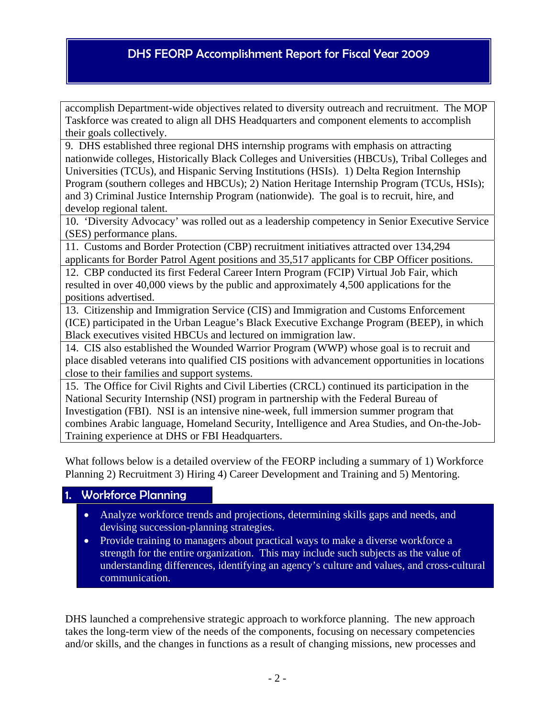accomplish Department-wide objectives related to diversity outreach and recruitment. The MOP Taskforce was created to align all DHS Headquarters and component elements to accomplish their goals collectively.

9. DHS established three regional DHS internship programs with emphasis on attracting nationwide colleges, Historically Black Colleges and Universities (HBCUs), Tribal Colleges and Universities (TCUs), and Hispanic Serving Institutions (HSIs). 1) Delta Region Internship Program (southern colleges and HBCUs); 2) Nation Heritage Internship Program (TCUs, HSIs); and 3) Criminal Justice Internship Program (nationwide). The goal is to recruit, hire, and develop regional talent.

10. 'Diversity Advocacy' was rolled out as a leadership competency in Senior Executive Service (SES) performance plans.

11. Customs and Border Protection (CBP) recruitment initiatives attracted over 134,294 applicants for Border Patrol Agent positions and 35,517 applicants for CBP Officer positions.

12. CBP conducted its first Federal Career Intern Program (FCIP) Virtual Job Fair, which resulted in over 40,000 views by the public and approximately 4,500 applications for the positions advertised.

13. Citizenship and Immigration Service (CIS) and Immigration and Customs Enforcement (ICE) participated in the Urban League's Black Executive Exchange Program (BEEP), in which Black executives visited HBCUs and lectured on immigration law.

14. CIS also established the Wounded Warrior Program (WWP) whose goal is to recruit and place disabled veterans into qualified CIS positions with advancement opportunities in locations close to their families and support systems.

15. The Office for Civil Rights and Civil Liberties (CRCL) continued its participation in the National Security Internship (NSI) program in partnership with the Federal Bureau of Investigation (FBI). NSI is an intensive nine-week, full immersion summer program that combines Arabic language, Homeland Security, Intelligence and Area Studies, and On-the-Job-Training experience at DHS or FBI Headquarters.

What follows below is a detailed overview of the FEORP including a summary of 1) Workforce Planning 2) Recruitment 3) Hiring 4) Career Development and Training and 5) Mentoring.

#### 1. Workforce Planning

- Analyze workforce trends and projections, determining skills gaps and needs, and devising succession-planning strategies.
- Provide training to managers about practical ways to make a diverse workforce a strength for the entire organization. This may include such subjects as the value of understanding differences, identifying an agency's culture and values, and cross-cultural communication.

DHS launched a comprehensive strategic approach to workforce planning. The new approach takes the long-term view of the needs of the components, focusing on necessary competencies and/or skills, and the changes in functions as a result of changing missions, new processes and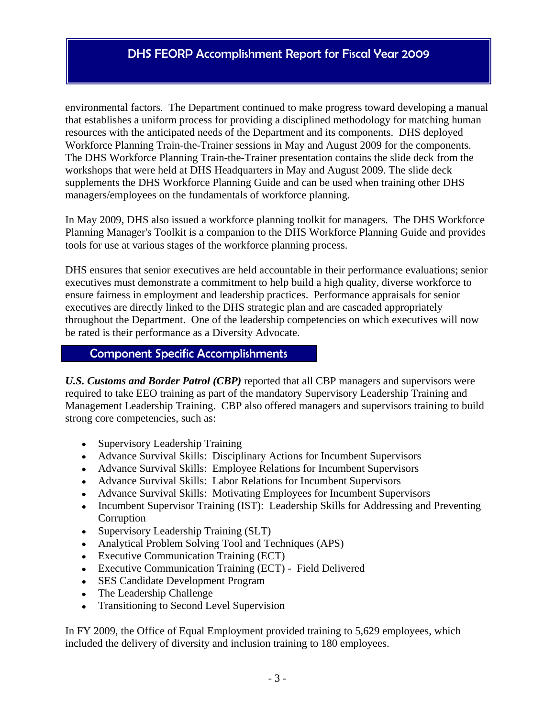environmental factors. The Department continued to make progress toward developing a manual that establishes a uniform process for providing a disciplined methodology for matching human resources with the anticipated needs of the Department and its components. DHS deployed Workforce Planning Train-the-Trainer sessions in May and August 2009 for the components. The DHS Workforce Planning Train-the-Trainer presentation contains the slide deck from the workshops that were held at DHS Headquarters in May and August 2009. The slide deck supplements the DHS Workforce Planning Guide and can be used when training other DHS managers/employees on the fundamentals of workforce planning.

In May 2009, DHS also issued a workforce planning toolkit for managers. The DHS Workforce Planning Manager's Toolkit is a companion to the DHS Workforce Planning Guide and provides tools for use at various stages of the workforce planning process.

DHS ensures that senior executives are held accountable in their performance evaluations; senior executives must demonstrate a commitment to help build a high quality, diverse workforce to ensure fairness in employment and leadership practices. Performance appraisals for senior executives are directly linked to the DHS strategic plan and are cascaded appropriately throughout the Department. One of the leadership competencies on which executives will now be rated is their performance as a Diversity Advocate.

#### Component Specific Accomplishments

*U.S. Customs and Border Patrol (CBP)* reported that all CBP managers and supervisors were required to take EEO training as part of the mandatory Supervisory Leadership Training and Management Leadership Training. CBP also offered managers and supervisors training to build strong core competencies, such as:

- Supervisory Leadership Training
- Advance Survival Skills: Disciplinary Actions for Incumbent Supervisors
- Advance Survival Skills: Employee Relations for Incumbent Supervisors
- Advance Survival Skills: Labor Relations for Incumbent Supervisors
- Advance Survival Skills: Motivating Employees for Incumbent Supervisors
- Incumbent Supervisor Training (IST): Leadership Skills for Addressing and Preventing Corruption
- Supervisory Leadership Training (SLT)
- Analytical Problem Solving Tool and Techniques (APS)
- Executive Communication Training (ECT)
- Executive Communication Training (ECT) Field Delivered
- SES Candidate Development Program
- The Leadership Challenge
- Transitioning to Second Level Supervision

In FY 2009, the Office of Equal Employment provided training to 5,629 employees, which included the delivery of diversity and inclusion training to 180 employees.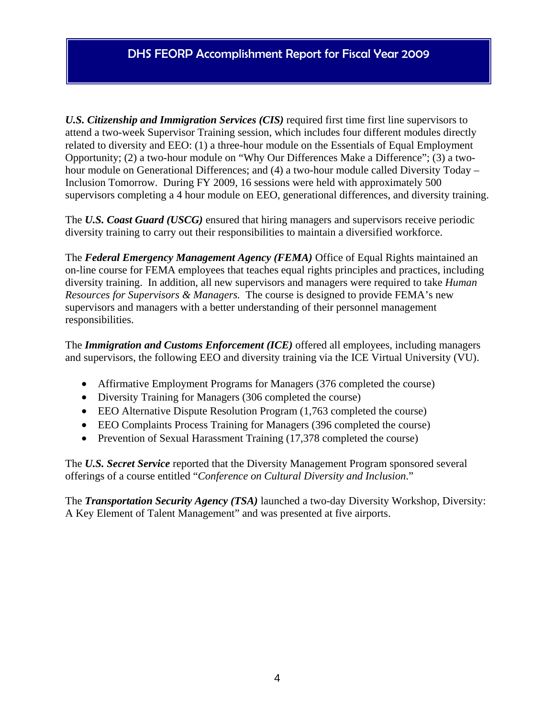*U.S. Citizenship and Immigration Services (CIS)* required first time first line supervisors to attend a two-week Supervisor Training session, which includes four different modules directly related to diversity and EEO: (1) a three-hour module on the Essentials of Equal Employment Opportunity; (2) a two-hour module on "Why Our Differences Make a Difference"; (3) a twohour module on Generational Differences; and (4) a two-hour module called Diversity Today – Inclusion Tomorrow. During FY 2009, 16 sessions were held with approximately 500 supervisors completing a 4 hour module on EEO, generational differences, and diversity training.

The *U.S. Coast Guard (USCG)* ensured that hiring managers and supervisors receive periodic diversity training to carry out their responsibilities to maintain a diversified workforce.

The *Federal Emergency Management Agency (FEMA)* Office of Equal Rights maintained an on-line course for FEMA employees that teaches equal rights principles and practices, including diversity training. In addition, all new supervisors and managers were required to take *Human Resources for Supervisors & Managers.* The course is designed to provide FEMA's new supervisors and managers with a better understanding of their personnel management responsibilities.

The *Immigration and Customs Enforcement (ICE)* offered all employees, including managers and supervisors, the following EEO and diversity training via the ICE Virtual University (VU).

- Affirmative Employment Programs for Managers (376 completed the course)
- Diversity Training for Managers (306 completed the course)
- EEO Alternative Dispute Resolution Program (1,763 completed the course)
- EEO Complaints Process Training for Managers (396 completed the course)
- Prevention of Sexual Harassment Training (17,378 completed the course)

The *U.S. Secret Service* reported that the Diversity Management Program sponsored several offerings of a course entitled "*Conference on Cultural Diversity and Inclusion*."

The *Transportation Security Agency (TSA)* launched a two-day Diversity Workshop, Diversity: A Key Element of Talent Management" and was presented at five airports.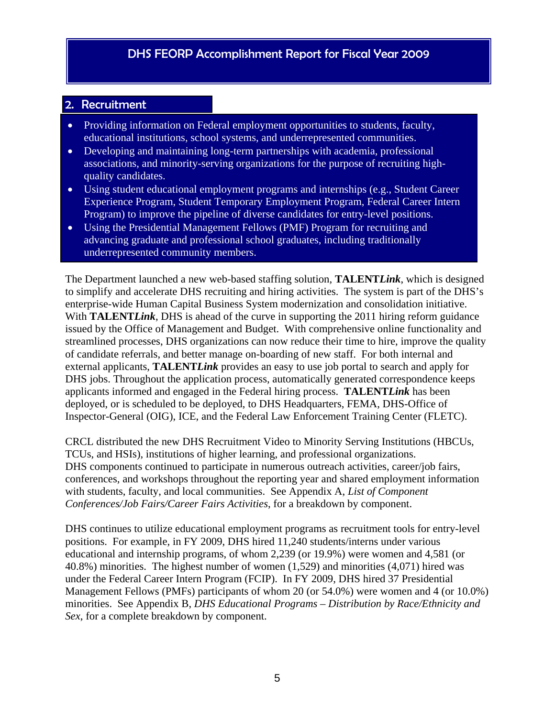### 2. Recruitment

- Providing information on Federal employment opportunities to students, faculty, educational institutions, school systems, and underrepresented communities.
- Developing and maintaining long-term partnerships with academia, professional associations, and minority-serving organizations for the purpose of recruiting highquality candidates.
- Using student educational employment programs and internships (e.g., Student Career Experience Program, Student Temporary Employment Program, Federal Career Intern Program) to improve the pipeline of diverse candidates for entry-level positions.
- Using the Presidential Management Fellows (PMF) Program for recruiting and advancing graduate and professional school graduates, including traditionally underrepresented community members.

The Department launched a new web-based staffing solution, **TALENT***Link*, which is designed to simplify and accelerate DHS recruiting and hiring activities. The system is part of the DHS's enterprise-wide Human Capital Business System modernization and consolidation initiative. With **TALENT***Link*, DHS is ahead of the curve in supporting the 2011 hiring reform guidance issued by the Office of Management and Budget. With comprehensive online functionality and streamlined processes, DHS organizations can now reduce their time to hire, improve the quality of candidate referrals, and better manage on-boarding of new staff. For both internal and external applicants, **TALENT***Link* provides an easy to use job portal to search and apply for DHS jobs. Throughout the application process, automatically generated correspondence keeps applicants informed and engaged in the Federal hiring process. **TALENT***Link* has been deployed, or is scheduled to be deployed, to DHS Headquarters, FEMA, DHS-Office of Inspector-General (OIG), ICE, and the Federal Law Enforcement Training Center (FLETC).

CRCL distributed the new DHS Recruitment Video to Minority Serving Institutions (HBCUs, TCUs, and HSIs), institutions of higher learning, and professional organizations. DHS components continued to participate in numerous outreach activities, career/job fairs, conferences, and workshops throughout the reporting year and shared employment information with students, faculty, and local communities. See Appendix A, *List of Component Conferences/Job Fairs/Career Fairs Activities*, for a breakdown by component.

DHS continues to utilize educational employment programs as recruitment tools for entry-level positions. For example, in FY 2009, DHS hired 11,240 students/interns under various educational and internship programs, of whom 2,239 (or 19.9%) were women and 4,581 (or 40.8%) minorities. The highest number of women (1,529) and minorities (4,071) hired was under the Federal Career Intern Program (FCIP). In FY 2009, DHS hired 37 Presidential Management Fellows (PMFs) participants of whom 20 (or 54.0%) were women and 4 (or 10.0%) minorities. See Appendix B, *DHS Educational Programs – Distribution by Race/Ethnicity and Sex*, for a complete breakdown by component.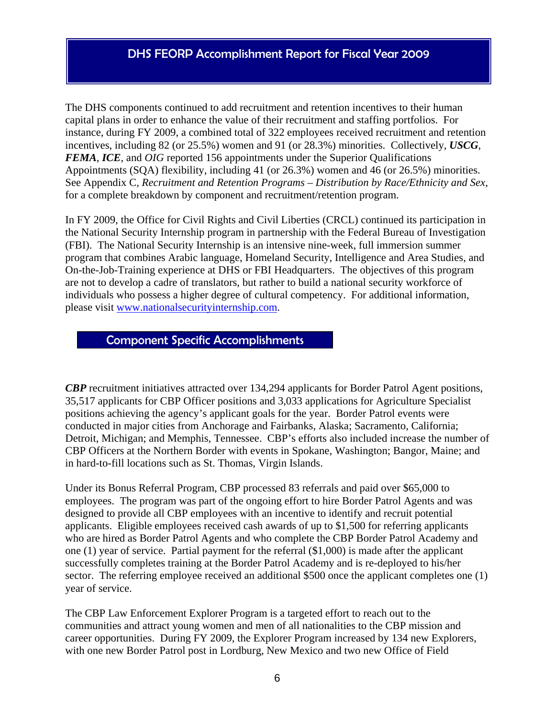The DHS components continued to add recruitment and retention incentives to their human capital plans in order to enhance the value of their recruitment and staffing portfolios. For instance, during FY 2009, a combined total of 322 employees received recruitment and retention incentives, including 82 (or 25.5%) women and 91 (or 28.3%) minorities. Collectively, *USCG*, *FEMA*, *ICE*, and *OIG* reported 156 appointments under the Superior Qualifications Appointments (SQA) flexibility, including 41 (or 26.3%) women and 46 (or 26.5%) minorities. See Appendix C, *Recruitment and Retention Programs – Distribution by Race/Ethnicity and Sex*, for a complete breakdown by component and recruitment/retention program.

In FY 2009, the Office for Civil Rights and Civil Liberties (CRCL) continued its participation in the National Security Internship program in partnership with the Federal Bureau of Investigation (FBI). The National Security Internship is an intensive nine-week, full immersion summer program that combines Arabic language, Homeland Security, Intelligence and Area Studies, and On-the-Job-Training experience at DHS or FBI Headquarters. The objectives of this program are not to develop a cadre of translators, but rather to build a national security workforce of individuals who possess a higher degree of cultural competency. For additional information, please visit [www.nationalsecurityinternship.com.](http://www.nationalsecurityinternship.com/)

#### Component Specific Accomplishments

*CBP* recruitment initiatives attracted over 134,294 applicants for Border Patrol Agent positions, 35,517 applicants for CBP Officer positions and 3,033 applications for Agriculture Specialist positions achieving the agency's applicant goals for the year. Border Patrol events were conducted in major cities from Anchorage and Fairbanks, Alaska; Sacramento, California; Detroit, Michigan; and Memphis, Tennessee. CBP's efforts also included increase the number of CBP Officers at the Northern Border with events in Spokane, Washington; Bangor, Maine; and in hard-to-fill locations such as St. Thomas, Virgin Islands.

Under its Bonus Referral Program, CBP processed 83 referrals and paid over \$65,000 to employees. The program was part of the ongoing effort to hire Border Patrol Agents and was designed to provide all CBP employees with an incentive to identify and recruit potential applicants. Eligible employees received cash awards of up to \$1,500 for referring applicants who are hired as Border Patrol Agents and who complete the CBP Border Patrol Academy and one (1) year of service. Partial payment for the referral (\$1,000) is made after the applicant successfully completes training at the Border Patrol Academy and is re-deployed to his/her sector. The referring employee received an additional \$500 once the applicant completes one (1) year of service.

The CBP Law Enforcement Explorer Program is a targeted effort to reach out to the communities and attract young women and men of all nationalities to the CBP mission and career opportunities. During FY 2009, the Explorer Program increased by 134 new Explorers, with one new Border Patrol post in Lordburg, New Mexico and two new Office of Field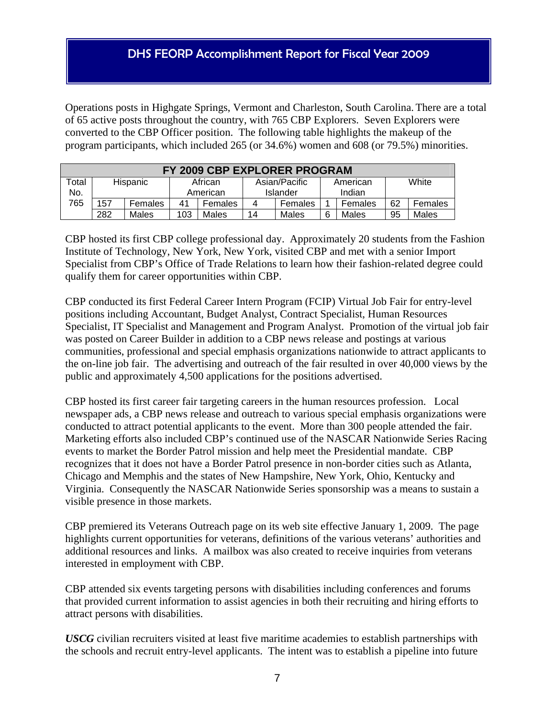Operations posts in Highgate Springs, Vermont and Charleston, South Carolina. There are a total of 65 active posts throughout the country, with 765 CBP Explorers. Seven Explorers were converted to the CBP Officer position. The following table highlights the makeup of the program participants, which included 265 (or 34.6%) women and 608 (or 79.5%) minorities.

| FY 2009 CBP EXPLORER PROGRAM |                                                           |         |          |         |    |          |        |         |    |         |
|------------------------------|-----------------------------------------------------------|---------|----------|---------|----|----------|--------|---------|----|---------|
| Total                        | White<br>Hispanic<br>Asian/Pacific<br>African<br>American |         |          |         |    |          |        |         |    |         |
| No.                          |                                                           |         | American |         |    | Islander | Indian |         |    |         |
| 765                          | 157                                                       | Females | 41       | Females | 4  | Females  |        | Females | 62 | Females |
|                              | 282                                                       | Males   | 103      | Males   | 14 | Males    | 6      | Males   | 95 | Males   |

CBP hosted its first CBP college professional day. Approximately 20 students from the Fashion Institute of Technology, New York, New York, visited CBP and met with a senior Import Specialist from CBP's Office of Trade Relations to learn how their fashion-related degree could qualify them for career opportunities within CBP.

CBP conducted its first Federal Career Intern Program (FCIP) Virtual Job Fair for entry-level positions including Accountant, Budget Analyst, Contract Specialist, Human Resources Specialist, IT Specialist and Management and Program Analyst. Promotion of the virtual job fair was posted on Career Builder in addition to a CBP news release and postings at various communities, professional and special emphasis organizations nationwide to attract applicants to the on-line job fair. The advertising and outreach of the fair resulted in over 40,000 views by the public and approximately 4,500 applications for the positions advertised.

CBP hosted its first career fair targeting careers in the human resources profession. Local newspaper ads, a CBP news release and outreach to various special emphasis organizations were conducted to attract potential applicants to the event. More than 300 people attended the fair. Marketing efforts also included CBP's continued use of the NASCAR Nationwide Series Racing events to market the Border Patrol mission and help meet the Presidential mandate. CBP recognizes that it does not have a Border Patrol presence in non-border cities such as Atlanta, Chicago and Memphis and the states of New Hampshire, New York, Ohio, Kentucky and Virginia. Consequently the NASCAR Nationwide Series sponsorship was a means to sustain a visible presence in those markets.

CBP premiered its Veterans Outreach page on its web site effective January 1, 2009. The page highlights current opportunities for veterans, definitions of the various veterans' authorities and additional resources and links. A mailbox was also created to receive inquiries from veterans interested in employment with CBP.

CBP attended six events targeting persons with disabilities including conferences and forums that provided current information to assist agencies in both their recruiting and hiring efforts to attract persons with disabilities.

*USCG* civilian recruiters visited at least five maritime academies to establish partnerships with the schools and recruit entry-level applicants. The intent was to establish a pipeline into future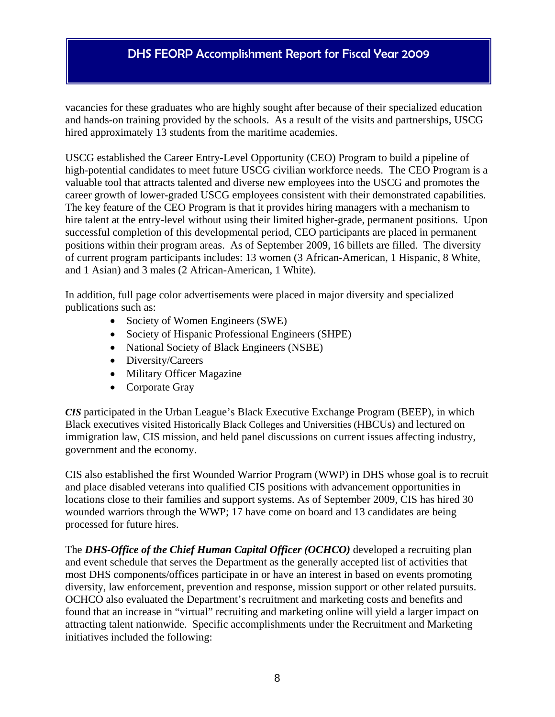vacancies for these graduates who are highly sought after because of their specialized education and hands-on training provided by the schools. As a result of the visits and partnerships, USCG hired approximately 13 students from the maritime academies.

USCG established the Career Entry-Level Opportunity (CEO) Program to build a pipeline of high-potential candidates to meet future USCG civilian workforce needs. The CEO Program is a valuable tool that attracts talented and diverse new employees into the USCG and promotes the career growth of lower-graded USCG employees consistent with their demonstrated capabilities. The key feature of the CEO Program is that it provides hiring managers with a mechanism to hire talent at the entry-level without using their limited higher-grade, permanent positions. Upon successful completion of this developmental period, CEO participants are placed in permanent positions within their program areas. As of September 2009, 16 billets are filled. The diversity of current program participants includes: 13 women (3 African-American, 1 Hispanic, 8 White, and 1 Asian) and 3 males (2 African-American, 1 White).

In addition, full page color advertisements were placed in major diversity and specialized publications such as:

- Society of Women Engineers (SWE)
- Society of Hispanic Professional Engineers (SHPE)
- National Society of Black Engineers (NSBE)
- Diversity/Careers
- Military Officer Magazine
- Corporate Gray

*CIS* participated in the Urban League's Black Executive Exchange Program (BEEP), in which Black executives visited Historically Black Colleges and Universities (HBCUs) and lectured on immigration law, CIS mission, and held panel discussions on current issues affecting industry, government and the economy.

CIS also established the first Wounded Warrior Program (WWP) in DHS whose goal is to recruit and place disabled veterans into qualified CIS positions with advancement opportunities in locations close to their families and support systems. As of September 2009, CIS has hired 30 wounded warriors through the WWP; 17 have come on board and 13 candidates are being processed for future hires.

The *DHS-Office of the Chief Human Capital Officer (OCHCO)* developed a recruiting plan and event schedule that serves the Department as the generally accepted list of activities that most DHS components/offices participate in or have an interest in based on events promoting diversity, law enforcement, prevention and response, mission support or other related pursuits. OCHCO also evaluated the Department's recruitment and marketing costs and benefits and found that an increase in "virtual" recruiting and marketing online will yield a larger impact on attracting talent nationwide. Specific accomplishments under the Recruitment and Marketing initiatives included the following: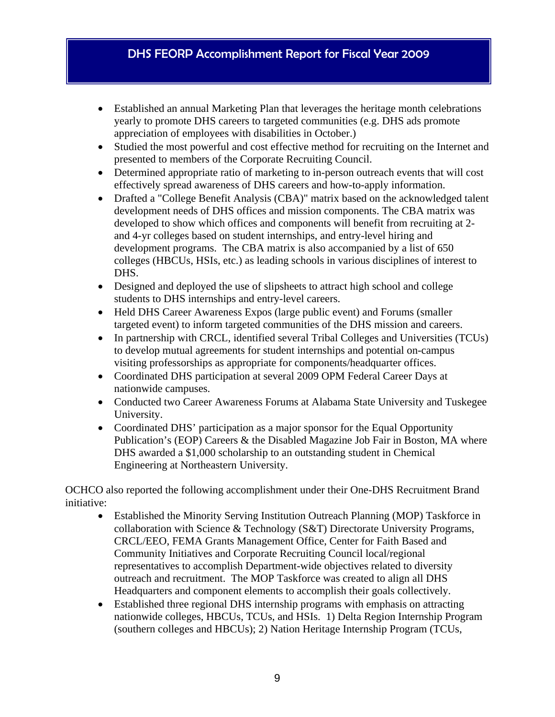- Established an annual Marketing Plan that leverages the heritage month celebrations yearly to promote DHS careers to targeted communities (e.g. DHS ads promote appreciation of employees with disabilities in October.)
- Studied the most powerful and cost effective method for recruiting on the Internet and presented to members of the Corporate Recruiting Council.
- Determined appropriate ratio of marketing to in-person outreach events that will cost effectively spread awareness of DHS careers and how-to-apply information.
- Drafted a "College Benefit Analysis (CBA)" matrix based on the acknowledged talent development needs of DHS offices and mission components. The CBA matrix was developed to show which offices and components will benefit from recruiting at 2 and 4-yr colleges based on student internships, and entry-level hiring and development programs. The CBA matrix is also accompanied by a list of 650 colleges (HBCUs, HSIs, etc.) as leading schools in various disciplines of interest to DHS.
- Designed and deployed the use of slipsheets to attract high school and college students to DHS internships and entry-level careers.
- Held DHS Career Awareness Expos (large public event) and Forums (smaller targeted event) to inform targeted communities of the DHS mission and careers.
- In partnership with CRCL, identified several Tribal Colleges and Universities (TCUs) to develop mutual agreements for student internships and potential on-campus visiting professorships as appropriate for components/headquarter offices.
- Coordinated DHS participation at several 2009 OPM Federal Career Days at nationwide campuses.
- Conducted two Career Awareness Forums at Alabama State University and Tuskegee University.
- Coordinated DHS' participation as a major sponsor for the Equal Opportunity Publication's (EOP) Careers & the Disabled Magazine Job Fair in Boston, MA where DHS awarded a \$1,000 scholarship to an outstanding student in Chemical Engineering at Northeastern University.

OCHCO also reported the following accomplishment under their One-DHS Recruitment Brand initiative:

- Established the Minority Serving Institution Outreach Planning (MOP) Taskforce in collaboration with Science & Technology (S&T) Directorate University Programs, CRCL/EEO, FEMA Grants Management Office, Center for Faith Based and Community Initiatives and Corporate Recruiting Council local/regional representatives to accomplish Department-wide objectives related to diversity outreach and recruitment. The MOP Taskforce was created to align all DHS Headquarters and component elements to accomplish their goals collectively.
- Established three regional DHS internship programs with emphasis on attracting nationwide colleges, HBCUs, TCUs, and HSIs. 1) Delta Region Internship Program (southern colleges and HBCUs); 2) Nation Heritage Internship Program (TCUs,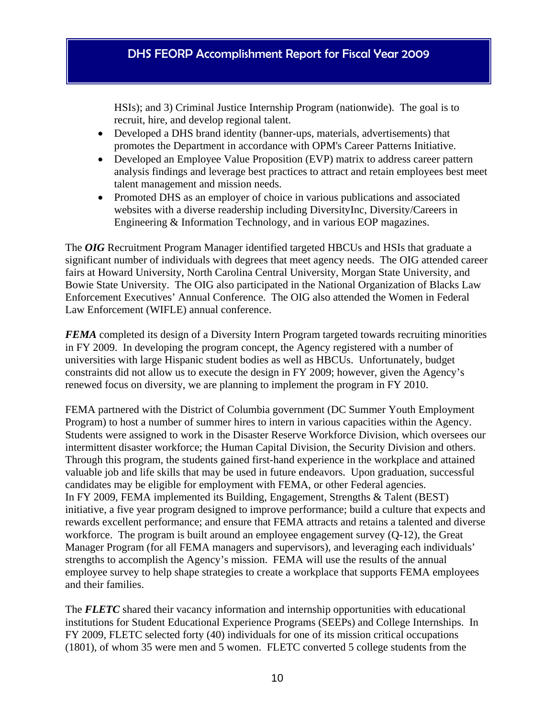HSIs); and 3) Criminal Justice Internship Program (nationwide). The goal is to recruit, hire, and develop regional talent.

- Developed a DHS brand identity (banner-ups, materials, advertisements) that promotes the Department in accordance with OPM's Career Patterns Initiative.
- Developed an Employee Value Proposition (EVP) matrix to address career pattern analysis findings and leverage best practices to attract and retain employees best meet talent management and mission needs.
- Promoted DHS as an employer of choice in various publications and associated websites with a diverse readership including DiversityInc, Diversity/Careers in Engineering & Information Technology, and in various EOP magazines.

The *OIG* Recruitment Program Manager identified targeted HBCUs and HSIs that graduate a significant number of individuals with degrees that meet agency needs. The OIG attended career fairs at Howard University, North Carolina Central University, Morgan State University, and Bowie State University. The OIG also participated in the National Organization of Blacks Law Enforcement Executives' Annual Conference. The OIG also attended the Women in Federal Law Enforcement (WIFLE) annual conference.

*FEMA* completed its design of a Diversity Intern Program targeted towards recruiting minorities in FY 2009. In developing the program concept, the Agency registered with a number of universities with large Hispanic student bodies as well as HBCUs. Unfortunately, budget constraints did not allow us to execute the design in FY 2009; however, given the Agency's renewed focus on diversity, we are planning to implement the program in FY 2010.

FEMA partnered with the District of Columbia government (DC Summer Youth Employment Program) to host a number of summer hires to intern in various capacities within the Agency. Students were assigned to work in the Disaster Reserve Workforce Division, which oversees our intermittent disaster workforce; the Human Capital Division, the Security Division and others. Through this program, the students gained first-hand experience in the workplace and attained valuable job and life skills that may be used in future endeavors. Upon graduation, successful candidates may be eligible for employment with FEMA, or other Federal agencies. In FY 2009, FEMA implemented its Building, Engagement, Strengths & Talent (BEST) initiative, a five year program designed to improve performance; build a culture that expects and rewards excellent performance; and ensure that FEMA attracts and retains a talented and diverse workforce. The program is built around an employee engagement survey  $(Q-12)$ , the Great Manager Program (for all FEMA managers and supervisors), and leveraging each individuals' strengths to accomplish the Agency's mission. FEMA will use the results of the annual employee survey to help shape strategies to create a workplace that supports FEMA employees and their families.

The **FLETC** shared their vacancy information and internship opportunities with educational institutions for Student Educational Experience Programs (SEEPs) and College Internships. In FY 2009, FLETC selected forty (40) individuals for one of its mission critical occupations (1801), of whom 35 were men and 5 women. FLETC converted 5 college students from the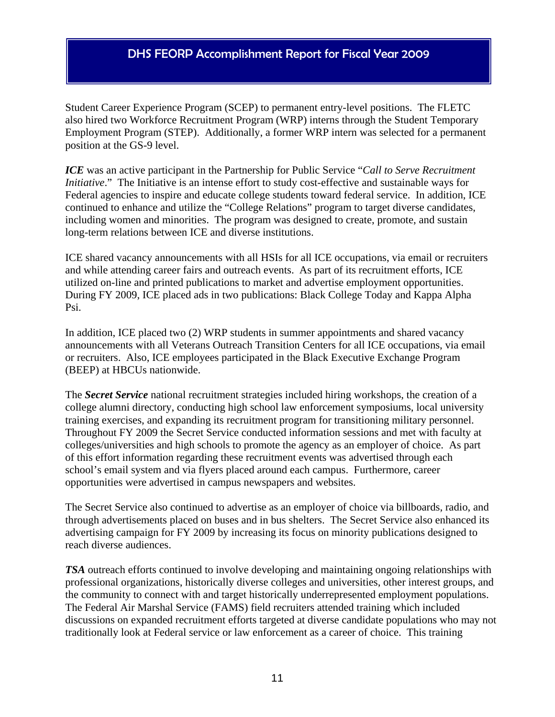Student Career Experience Program (SCEP) to permanent entry-level positions. The FLETC also hired two Workforce Recruitment Program (WRP) interns through the Student Temporary Employment Program (STEP). Additionally, a former WRP intern was selected for a permanent position at the GS-9 level.

*ICE* was an active participant in the Partnership for Public Service "*Call to Serve Recruitment Initiative*." The Initiative is an intense effort to study cost-effective and sustainable ways for Federal agencies to inspire and educate college students toward federal service. In addition, ICE continued to enhance and utilize the "College Relations" program to target diverse candidates, including women and minorities. The program was designed to create, promote, and sustain long-term relations between ICE and diverse institutions.

ICE shared vacancy announcements with all HSIs for all ICE occupations, via email or recruiters and while attending career fairs and outreach events. As part of its recruitment efforts, ICE utilized on-line and printed publications to market and advertise employment opportunities. During FY 2009, ICE placed ads in two publications: Black College Today and Kappa Alpha Psi.

In addition, ICE placed two (2) WRP students in summer appointments and shared vacancy announcements with all Veterans Outreach Transition Centers for all ICE occupations, via email or recruiters. Also, ICE employees participated in the Black Executive Exchange Program (BEEP) at HBCUs nationwide.

The *Secret Service* national recruitment strategies included hiring workshops, the creation of a college alumni directory, conducting high school law enforcement symposiums, local university training exercises, and expanding its recruitment program for transitioning military personnel. Throughout FY 2009 the Secret Service conducted information sessions and met with faculty at colleges/universities and high schools to promote the agency as an employer of choice. As part of this effort information regarding these recruitment events was advertised through each school's email system and via flyers placed around each campus. Furthermore, career opportunities were advertised in campus newspapers and websites.

The Secret Service also continued to advertise as an employer of choice via billboards, radio, and through advertisements placed on buses and in bus shelters. The Secret Service also enhanced its advertising campaign for FY 2009 by increasing its focus on minority publications designed to reach diverse audiences.

*TSA* outreach efforts continued to involve developing and maintaining ongoing relationships with professional organizations, historically diverse colleges and universities, other interest groups, and the community to connect with and target historically underrepresented employment populations. The Federal Air Marshal Service (FAMS) field recruiters attended training which included discussions on expanded recruitment efforts targeted at diverse candidate populations who may not traditionally look at Federal service or law enforcement as a career of choice. This training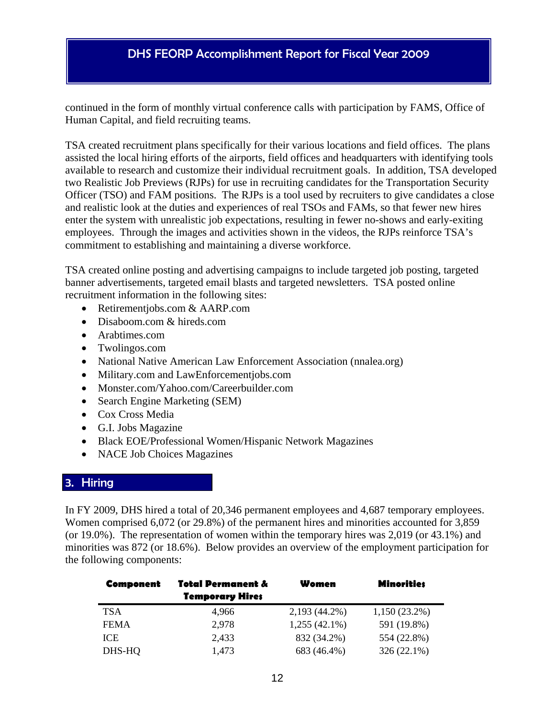continued in the form of monthly virtual conference calls with participation by FAMS, Office of Human Capital, and field recruiting teams.

TSA created recruitment plans specifically for their various locations and field offices. The plans assisted the local hiring efforts of the airports, field offices and headquarters with identifying tools available to research and customize their individual recruitment goals. In addition, TSA developed two Realistic Job Previews (RJPs) for use in recruiting candidates for the Transportation Security Officer (TSO) and FAM positions. The RJPs is a tool used by recruiters to give candidates a close and realistic look at the duties and experiences of real TSOs and FAMs, so that fewer new hires enter the system with unrealistic job expectations, resulting in fewer no-shows and early-exiting employees. Through the images and activities shown in the videos, the RJPs reinforce TSA's commitment to establishing and maintaining a diverse workforce.

TSA created online posting and advertising campaigns to include targeted job posting, targeted banner advertisements, targeted email blasts and targeted newsletters. TSA posted online recruitment information in the following sites:

- Retirementjobs.com & AARP.com
- Disaboom.com & hireds.com
- Arabtimes.com
- Twolingos.com
- National Native American Law Enforcement Association (nnalea.org)
- Military.com and LawEnforcementjobs.com
- Monster.com/Yahoo.com/Careerbuilder.com
- Search Engine Marketing (SEM)
- Cox Cross Media
- G.I. Jobs Magazine
- Black EOE/Professional Women/Hispanic Network Magazines
- NACE Job Choices Magazines

#### 3. Hiring

In FY 2009, DHS hired a total of 20,346 permanent employees and 4,687 temporary employees. Women comprised 6,072 (or 29.8%) of the permanent hires and minorities accounted for 3,859 (or 19.0%). The representation of women within the temporary hires was 2,019 (or 43.1%) and minorities was 872 (or 18.6%). Below provides an overview of the employment participation for the following components:

| Component   | Total Permanent &      | Women           | <b>Minorities</b> |
|-------------|------------------------|-----------------|-------------------|
|             | <b>Temporary Hires</b> |                 |                   |
| <b>TSA</b>  | 4.966                  | 2,193 (44.2%)   | $1,150(23.2\%)$   |
| <b>FEMA</b> | 2.978                  | $1,255(42.1\%)$ | 591 (19.8%)       |
| ICE.        | 2,433                  | 832 (34.2%)     | 554 (22.8%)       |
| DHS-HQ      | 1,473                  | 683 (46.4%)     | $326(22.1\%)$     |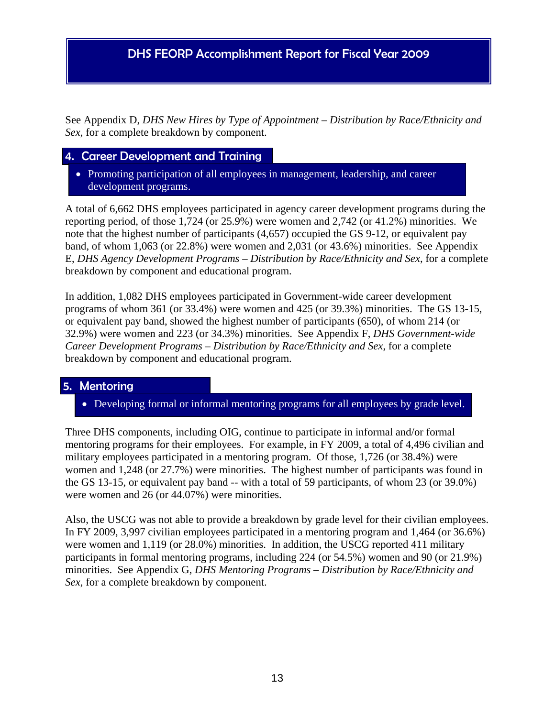See Appendix D, *DHS New Hires by Type of Appointment – Distribution by Race/Ethnicity and Sex*, for a complete breakdown by component.

#### 4. Career Development and Training

• Promoting participation of all employees in management, leadership, and career development programs.

A total of 6,662 DHS employees participated in agency career development programs during the reporting period, of those 1,724 (or 25.9%) were women and 2,742 (or 41.2%) minorities. We note that the highest number of participants (4,657) occupied the GS 9-12, or equivalent pay band, of whom 1,063 (or 22.8%) were women and 2,031 (or 43.6%) minorities. See Appendix E, *DHS Agency Development Programs – Distribution by Race/Ethnicity and Sex*, for a complete breakdown by component and educational program.

In addition, 1,082 DHS employees participated in Government-wide career development programs of whom 361 (or 33.4%) were women and 425 (or 39.3%) minorities. The GS 13-15, or equivalent pay band, showed the highest number of participants (650), of whom 214 (or 32.9%) were women and 223 (or 34.3%) minorities. See Appendix F, *DHS Government-wide Career Development Programs – Distribution by Race/Ethnicity and Sex*, for a complete breakdown by component and educational program.

#### 5. Mentoring

Developing formal or informal mentoring programs for all employees by grade level.

Three DHS components, including OIG, continue to participate in informal and/or formal mentoring programs for their employees. For example, in FY 2009, a total of 4,496 civilian and military employees participated in a mentoring program. Of those, 1,726 (or 38.4%) were women and 1,248 (or 27.7%) were minorities. The highest number of participants was found in the GS 13-15, or equivalent pay band -- with a total of 59 participants, of whom 23 (or 39.0%) were women and 26 (or 44.07%) were minorities.

Also, the USCG was not able to provide a breakdown by grade level for their civilian employees. In FY 2009, 3,997 civilian employees participated in a mentoring program and 1,464 (or 36.6%) were women and 1,119 (or 28.0%) minorities. In addition, the USCG reported 411 military participants in formal mentoring programs, including 224 (or 54.5%) women and 90 (or 21.9%) minorities. See Appendix G, *DHS Mentoring Programs – Distribution by Race/Ethnicity and Sex*, for a complete breakdown by component.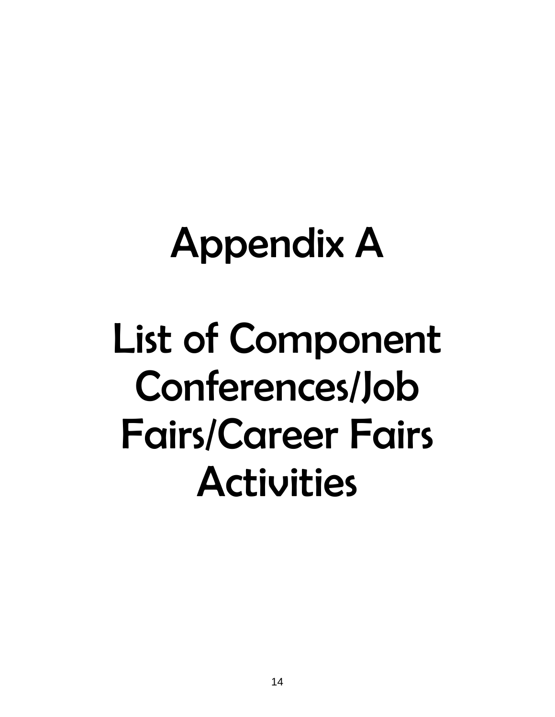## Appendix A

## List of Component Conferences/Job Fairs/Career Fairs Activities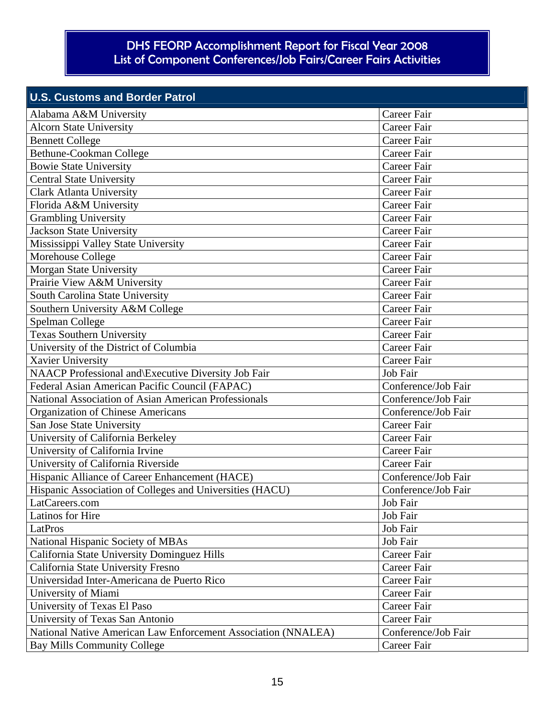| <b>U.S. Customs and Border Patrol</b>                         |                     |
|---------------------------------------------------------------|---------------------|
| Alabama A&M University                                        | Career Fair         |
| <b>Alcorn State University</b>                                | Career Fair         |
| <b>Bennett College</b>                                        | <b>Career Fair</b>  |
| Bethune-Cookman College                                       | <b>Career Fair</b>  |
| <b>Bowie State University</b>                                 | <b>Career Fair</b>  |
| <b>Central State University</b>                               | <b>Career Fair</b>  |
| <b>Clark Atlanta University</b>                               | <b>Career Fair</b>  |
| Florida A&M University                                        | <b>Career Fair</b>  |
| <b>Grambling University</b>                                   | <b>Career Fair</b>  |
| <b>Jackson State University</b>                               | Career Fair         |
| Mississippi Valley State University                           | <b>Career Fair</b>  |
| Morehouse College                                             | <b>Career Fair</b>  |
| Morgan State University                                       | Career Fair         |
| Prairie View A&M University                                   | <b>Career Fair</b>  |
| South Carolina State University                               | <b>Career Fair</b>  |
| Southern University A&M College                               | <b>Career Fair</b>  |
| Spelman College                                               | <b>Career Fair</b>  |
| <b>Texas Southern University</b>                              | <b>Career Fair</b>  |
| University of the District of Columbia                        | <b>Career Fair</b>  |
| Xavier University                                             | <b>Career Fair</b>  |
| NAACP Professional and Executive Diversity Job Fair           | Job Fair            |
| Federal Asian American Pacific Council (FAPAC)                | Conference/Job Fair |
| National Association of Asian American Professionals          | Conference/Job Fair |
| <b>Organization of Chinese Americans</b>                      | Conference/Job Fair |
| San Jose State University                                     | Career Fair         |
| University of California Berkeley                             | Career Fair         |
| University of California Irvine                               | Career Fair         |
| University of California Riverside                            | Career Fair         |
| Hispanic Alliance of Career Enhancement (HACE)                | Conference/Job Fair |
| Hispanic Association of Colleges and Universities (HACU)      | Conference/Job Fair |
| LatCareers.com                                                | Job Fair            |
| Latinos for Hire                                              | Job Fair            |
| LatPros                                                       | Job Fair            |
| National Hispanic Society of MBAs                             | Job Fair            |
| California State University Dominguez Hills                   | Career Fair         |
| California State University Fresno                            | Career Fair         |
| Universidad Inter-Americana de Puerto Rico                    | Career Fair         |
| University of Miami                                           | Career Fair         |
| University of Texas El Paso                                   | Career Fair         |
| University of Texas San Antonio                               | Career Fair         |
| National Native American Law Enforcement Association (NNALEA) | Conference/Job Fair |
| <b>Bay Mills Community College</b>                            | Career Fair         |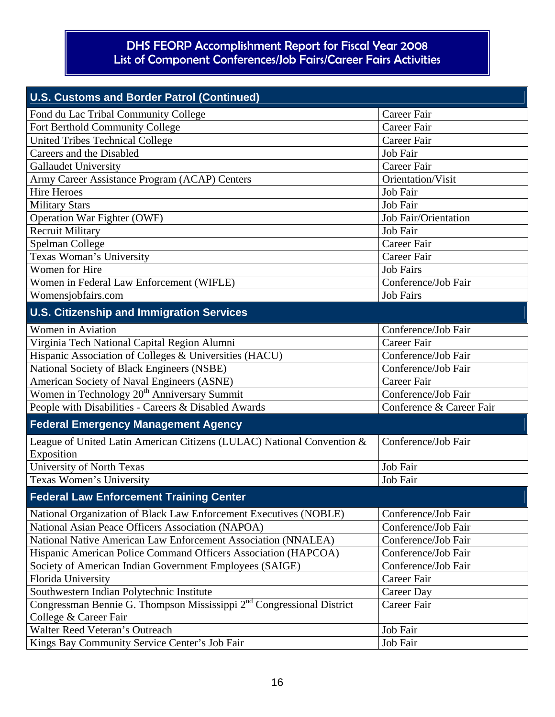| <b>U.S. Customs and Border Patrol (Continued)</b>                                                          |                             |
|------------------------------------------------------------------------------------------------------------|-----------------------------|
| Fond du Lac Tribal Community College                                                                       | Career Fair                 |
| Fort Berthold Community College                                                                            | Career Fair                 |
| <b>United Tribes Technical College</b>                                                                     | Career Fair                 |
| Careers and the Disabled                                                                                   | Job Fair                    |
| <b>Gallaudet University</b>                                                                                | Career Fair                 |
| Army Career Assistance Program (ACAP) Centers                                                              | Orientation/Visit           |
| <b>Hire Heroes</b>                                                                                         | Job Fair                    |
| <b>Military Stars</b>                                                                                      | Job Fair                    |
| Operation War Fighter (OWF)                                                                                | <b>Job Fair/Orientation</b> |
| <b>Recruit Military</b>                                                                                    | Job Fair                    |
| Spelman College                                                                                            | Career Fair                 |
| Texas Woman's University                                                                                   | Career Fair                 |
| Women for Hire                                                                                             | <b>Job Fairs</b>            |
| Women in Federal Law Enforcement (WIFLE)                                                                   | Conference/Job Fair         |
| Womensjobfairs.com                                                                                         | <b>Job Fairs</b>            |
| <b>U.S. Citizenship and Immigration Services</b>                                                           |                             |
| <b>Women</b> in Aviation                                                                                   | Conference/Job Fair         |
| Virginia Tech National Capital Region Alumni                                                               | <b>Career Fair</b>          |
| Hispanic Association of Colleges & Universities (HACU)                                                     | Conference/Job Fair         |
| National Society of Black Engineers (NSBE)                                                                 | Conference/Job Fair         |
| American Society of Naval Engineers (ASNE)                                                                 | Career Fair                 |
| Women in Technology 20 <sup>th</sup> Anniversary Summit                                                    | Conference/Job Fair         |
| People with Disabilities - Careers & Disabled Awards                                                       | Conference & Career Fair    |
| <b>Federal Emergency Management Agency</b>                                                                 |                             |
| League of United Latin American Citizens (LULAC) National Convention &<br>Exposition                       | Conference/Job Fair         |
| University of North Texas                                                                                  | Job Fair                    |
| Texas Women's University                                                                                   | Job Fair                    |
| <b>Federal Law Enforcement Training Center</b>                                                             |                             |
| National Organization of Black Law Enforcement Executives (NOBLE)                                          | Conference/Job Fair         |
| National Asian Peace Officers Association (NAPOA)                                                          | Conference/Job Fair         |
| National Native American Law Enforcement Association (NNALEA)                                              | Conference/Job Fair         |
| Hispanic American Police Command Officers Association (HAPCOA)                                             | Conference/Job Fair         |
| Society of American Indian Government Employees (SAIGE)                                                    | Conference/Job Fair         |
| Florida University                                                                                         | Career Fair                 |
| Southwestern Indian Polytechnic Institute                                                                  | Career Day                  |
| Congressman Bennie G. Thompson Mississippi 2 <sup>nd</sup> Congressional District<br>College & Career Fair | Career Fair                 |
| Walter Reed Veteran's Outreach                                                                             | Job Fair                    |
| Kings Bay Community Service Center's Job Fair                                                              | Job Fair                    |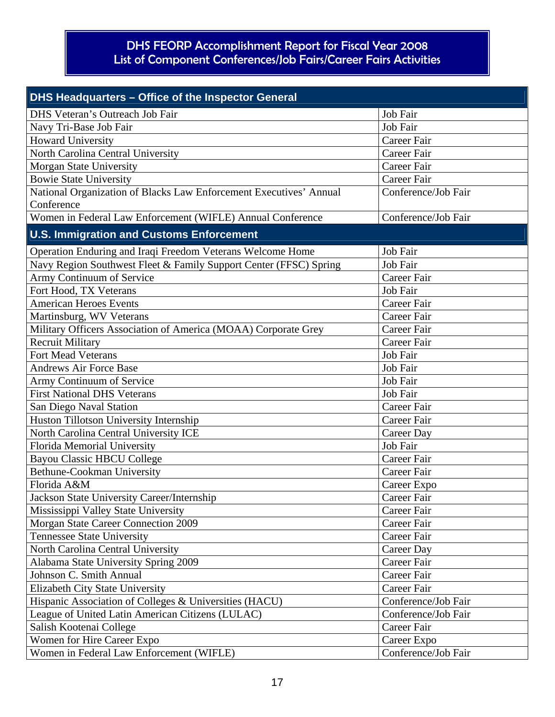| DHS Headquarters - Office of the Inspector General                 |                     |  |  |
|--------------------------------------------------------------------|---------------------|--|--|
| DHS Veteran's Outreach Job Fair                                    | Job Fair            |  |  |
| Navy Tri-Base Job Fair                                             | Job Fair            |  |  |
| <b>Howard University</b>                                           | Career Fair         |  |  |
| North Carolina Central University                                  | Career Fair         |  |  |
| <b>Morgan State University</b>                                     | Career Fair         |  |  |
| <b>Bowie State University</b>                                      | <b>Career Fair</b>  |  |  |
| National Organization of Blacks Law Enforcement Executives' Annual | Conference/Job Fair |  |  |
| Conference                                                         |                     |  |  |
| Women in Federal Law Enforcement (WIFLE) Annual Conference         | Conference/Job Fair |  |  |
| <b>U.S. Immigration and Customs Enforcement</b>                    |                     |  |  |
| Operation Enduring and Iraqi Freedom Veterans Welcome Home         | Job Fair            |  |  |
| Navy Region Southwest Fleet & Family Support Center (FFSC) Spring  | Job Fair            |  |  |
| Army Continuum of Service                                          | Career Fair         |  |  |
| Fort Hood, TX Veterans                                             | Job Fair            |  |  |
| <b>American Heroes Events</b>                                      | Career Fair         |  |  |
| Martinsburg, WV Veterans                                           | Career Fair         |  |  |
| Military Officers Association of America (MOAA) Corporate Grey     | <b>Career Fair</b>  |  |  |
| <b>Recruit Military</b>                                            | Career Fair         |  |  |
| <b>Fort Mead Veterans</b>                                          | Job Fair            |  |  |
| <b>Andrews Air Force Base</b>                                      | Job Fair            |  |  |
| Army Continuum of Service                                          | Job Fair            |  |  |
| <b>First National DHS Veterans</b>                                 | Job Fair            |  |  |
| San Diego Naval Station                                            | Career Fair         |  |  |
| Huston Tillotson University Internship                             | Career Fair         |  |  |
| North Carolina Central University ICE                              | Career Day          |  |  |
| Florida Memorial University                                        | Job Fair            |  |  |
| <b>Bayou Classic HBCU College</b>                                  | Career Fair         |  |  |
| Bethune-Cookman University                                         | Career Fair         |  |  |
| Florida A&M                                                        | Career Expo         |  |  |
| Jackson State University Career/Internship                         | Career Fair         |  |  |
| Mississippi Valley State University                                | Career Fair         |  |  |
| Morgan State Career Connection 2009                                | Career Fair         |  |  |
| <b>Tennessee State University</b>                                  | Career Fair         |  |  |
| North Carolina Central University                                  | Career Day          |  |  |
| Alabama State University Spring 2009                               | Career Fair         |  |  |
| Johnson C. Smith Annual                                            | Career Fair         |  |  |
| Elizabeth City State University                                    | Career Fair         |  |  |
| Hispanic Association of Colleges & Universities (HACU)             | Conference/Job Fair |  |  |
| League of United Latin American Citizens (LULAC)                   | Conference/Job Fair |  |  |
| Salish Kootenai College                                            | Career Fair         |  |  |
| Women for Hire Career Expo                                         | Career Expo         |  |  |
| Women in Federal Law Enforcement (WIFLE)                           | Conference/Job Fair |  |  |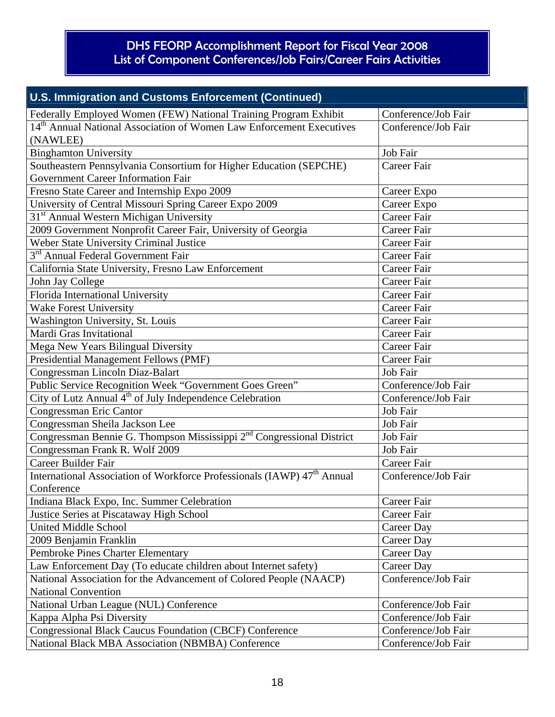| U.S. Immigration and Customs Enforcement (Continued)                                                            |                     |  |  |
|-----------------------------------------------------------------------------------------------------------------|---------------------|--|--|
| Federally Employed Women (FEW) National Training Program Exhibit                                                | Conference/Job Fair |  |  |
| 14 <sup>th</sup> Annual National Association of Women Law Enforcement Executives<br>(NAWLEE)                    | Conference/Job Fair |  |  |
| <b>Binghamton University</b>                                                                                    | Job Fair            |  |  |
| Southeastern Pennsylvania Consortium for Higher Education (SEPCHE)<br><b>Government Career Information Fair</b> | Career Fair         |  |  |
| Fresno State Career and Internship Expo 2009                                                                    | Career Expo         |  |  |
| University of Central Missouri Spring Career Expo 2009                                                          | Career Expo         |  |  |
| 31 <sup>st</sup> Annual Western Michigan University                                                             | <b>Career Fair</b>  |  |  |
| 2009 Government Nonprofit Career Fair, University of Georgia                                                    | Career Fair         |  |  |
| Weber State University Criminal Justice                                                                         | Career Fair         |  |  |
| 3 <sup>rd</sup> Annual Federal Government Fair                                                                  | Career Fair         |  |  |
| California State University, Fresno Law Enforcement                                                             | Career Fair         |  |  |
| John Jay College                                                                                                | <b>Career Fair</b>  |  |  |
| Florida International University                                                                                | Career Fair         |  |  |
| <b>Wake Forest University</b>                                                                                   | Career Fair         |  |  |
| Washington University, St. Louis                                                                                | <b>Career Fair</b>  |  |  |
| Mardi Gras Invitational                                                                                         | <b>Career Fair</b>  |  |  |
| Mega New Years Bilingual Diversity                                                                              | Career Fair         |  |  |
| Presidential Management Fellows (PMF)                                                                           | Career Fair         |  |  |
| Congressman Lincoln Diaz-Balart                                                                                 | Job Fair            |  |  |
| Public Service Recognition Week "Government Goes Green"                                                         | Conference/Job Fair |  |  |
| City of Lutz Annual 4 <sup>th</sup> of July Independence Celebration                                            | Conference/Job Fair |  |  |
| Congressman Eric Cantor                                                                                         | Job Fair            |  |  |
| Congressman Sheila Jackson Lee                                                                                  | Job Fair            |  |  |
| Congressman Bennie G. Thompson Mississippi 2 <sup>nd</sup> Congressional District                               | Job Fair            |  |  |
| Congressman Frank R. Wolf 2009                                                                                  | Job Fair            |  |  |
| Career Builder Fair                                                                                             | Career Fair         |  |  |
| International Association of Workforce Professionals (IAWP) 47 <sup>th</sup> Annual<br>Conference               | Conference/Job Fair |  |  |
| Indiana Black Expo, Inc. Summer Celebration                                                                     | Career Fair         |  |  |
| Justice Series at Piscataway High School                                                                        | Career Fair         |  |  |
| <b>United Middle School</b>                                                                                     | Career Day          |  |  |
| 2009 Benjamin Franklin                                                                                          | Career Day          |  |  |
| Pembroke Pines Charter Elementary                                                                               | Career Day          |  |  |
| Law Enforcement Day (To educate children about Internet safety)                                                 | Career Day          |  |  |
| National Association for the Advancement of Colored People (NAACP)<br><b>National Convention</b>                | Conference/Job Fair |  |  |
| National Urban League (NUL) Conference                                                                          | Conference/Job Fair |  |  |
|                                                                                                                 | Conference/Job Fair |  |  |
| Kappa Alpha Psi Diversity<br><b>Congressional Black Caucus Foundation (CBCF) Conference</b>                     | Conference/Job Fair |  |  |
| National Black MBA Association (NBMBA) Conference                                                               | Conference/Job Fair |  |  |
|                                                                                                                 |                     |  |  |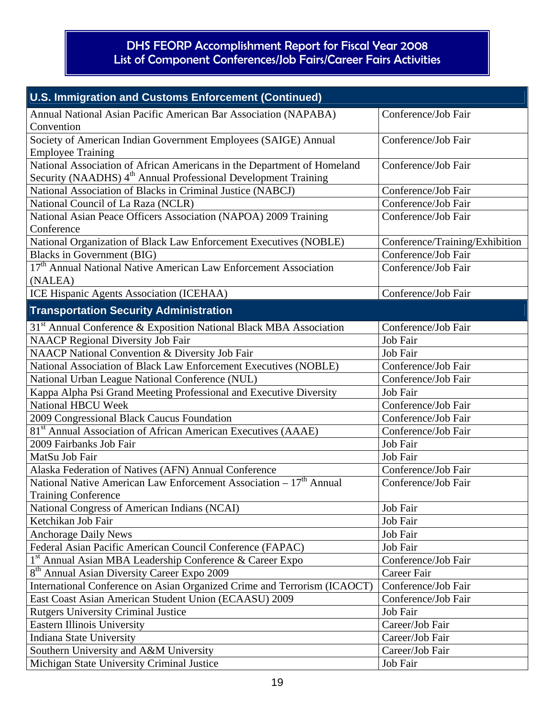| U.S. Immigration and Customs Enforcement (Continued)                                                                                                  |                                |
|-------------------------------------------------------------------------------------------------------------------------------------------------------|--------------------------------|
| Annual National Asian Pacific American Bar Association (NAPABA)<br>Convention                                                                         | Conference/Job Fair            |
| Society of American Indian Government Employees (SAIGE) Annual<br><b>Employee Training</b>                                                            | Conference/Job Fair            |
| National Association of African Americans in the Department of Homeland<br>Security (NAADHS) 4 <sup>th</sup> Annual Professional Development Training | Conference/Job Fair            |
| National Association of Blacks in Criminal Justice (NABCJ)                                                                                            | Conference/Job Fair            |
| National Council of La Raza (NCLR)                                                                                                                    | Conference/Job Fair            |
| National Asian Peace Officers Association (NAPOA) 2009 Training<br>Conference                                                                         | Conference/Job Fair            |
| National Organization of Black Law Enforcement Executives (NOBLE)                                                                                     | Conference/Training/Exhibition |
| <b>Blacks in Government (BIG)</b>                                                                                                                     | Conference/Job Fair            |
| 17 <sup>th</sup> Annual National Native American Law Enforcement Association<br>(NALEA)                                                               | Conference/Job Fair            |
| ICE Hispanic Agents Association (ICEHAA)                                                                                                              | Conference/Job Fair            |
| <b>Transportation Security Administration</b>                                                                                                         |                                |
| 31 <sup>st</sup> Annual Conference & Exposition National Black MBA Association                                                                        | Conference/Job Fair            |
| <b>NAACP Regional Diversity Job Fair</b>                                                                                                              | Job Fair                       |
| NAACP National Convention & Diversity Job Fair                                                                                                        | Job Fair                       |
| National Association of Black Law Enforcement Executives (NOBLE)                                                                                      | Conference/Job Fair            |
| National Urban League National Conference (NUL)                                                                                                       | Conference/Job Fair            |
| Kappa Alpha Psi Grand Meeting Professional and Executive Diversity                                                                                    | Job Fair                       |
| <b>National HBCU Week</b>                                                                                                                             | Conference/Job Fair            |
| 2009 Congressional Black Caucus Foundation                                                                                                            | Conference/Job Fair            |
| 81 <sup>st</sup> Annual Association of African American Executives (AAAE)                                                                             | Conference/Job Fair            |
| 2009 Fairbanks Job Fair                                                                                                                               | Job Fair                       |
| MatSu Job Fair                                                                                                                                        | Job Fair                       |
| Alaska Federation of Natives (AFN) Annual Conference                                                                                                  | Conference/Job Fair            |
| National Native American Law Enforcement Association – 17 <sup>th</sup> Annual<br><b>Training Conference</b>                                          | Conference/Job Fair            |
| National Congress of American Indians (NCAI)                                                                                                          | Job Fair                       |
| Ketchikan Job Fair                                                                                                                                    | Job Fair                       |
| <b>Anchorage Daily News</b>                                                                                                                           | Job Fair                       |
| Federal Asian Pacific American Council Conference (FAPAC)                                                                                             | Job Fair                       |
| $1st$ Annual Asian MBA Leadership Conference & Career Expo                                                                                            | Conference/Job Fair            |
| 8 <sup>th</sup> Annual Asian Diversity Career Expo 2009                                                                                               | Career Fair                    |
| International Conference on Asian Organized Crime and Terrorism (ICAOCT)                                                                              | Conference/Job Fair            |
| East Coast Asian American Student Union (ECAASU) 2009                                                                                                 | Conference/Job Fair            |
| <b>Rutgers University Criminal Justice</b>                                                                                                            | Job Fair                       |
| <b>Eastern Illinois University</b>                                                                                                                    | Career/Job Fair                |
| <b>Indiana State University</b>                                                                                                                       | Career/Job Fair                |
| Southern University and A&M University                                                                                                                | Career/Job Fair                |
| Michigan State University Criminal Justice                                                                                                            | Job Fair                       |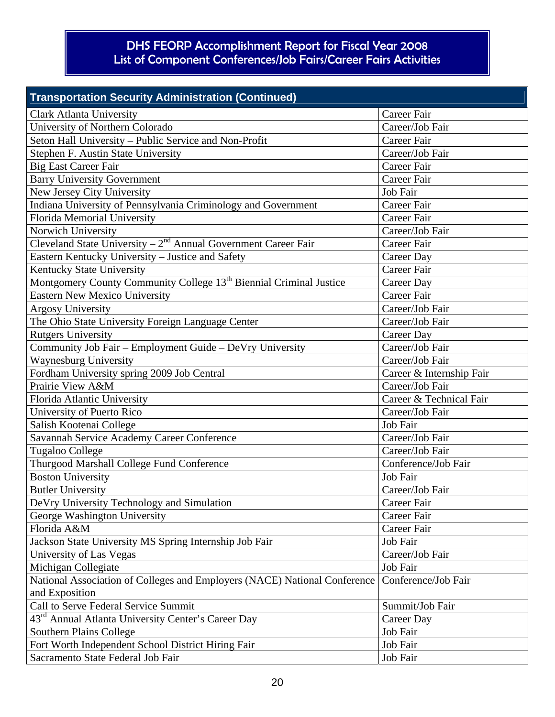| <b>Transportation Security Administration (Continued)</b>                      |                          |
|--------------------------------------------------------------------------------|--------------------------|
| <b>Clark Atlanta University</b>                                                | Career Fair              |
| University of Northern Colorado                                                | Career/Job Fair          |
| Seton Hall University - Public Service and Non-Profit                          | Career Fair              |
| Stephen F. Austin State University                                             | Career/Job Fair          |
| <b>Big East Career Fair</b>                                                    | Career Fair              |
| <b>Barry University Government</b>                                             | Career Fair              |
| New Jersey City University                                                     | Job Fair                 |
| Indiana University of Pennsylvania Criminology and Government                  | <b>Career Fair</b>       |
| Florida Memorial University                                                    | Career Fair              |
| Norwich University                                                             | Career/Job Fair          |
| Cleveland State University $-2^{nd}$ Annual Government Career Fair             | Career Fair              |
| Eastern Kentucky University - Justice and Safety                               | <b>Career Day</b>        |
| Kentucky State University                                                      | Career Fair              |
| Montgomery County Community College 13 <sup>th</sup> Biennial Criminal Justice | Career Day               |
| <b>Eastern New Mexico University</b>                                           | Career Fair              |
| <b>Argosy University</b>                                                       | Career/Job Fair          |
| The Ohio State University Foreign Language Center                              | Career/Job Fair          |
| <b>Rutgers University</b>                                                      | <b>Career Day</b>        |
| Community Job Fair - Employment Guide - DeVry University                       | Career/Job Fair          |
| Waynesburg University                                                          | Career/Job Fair          |
| Fordham University spring 2009 Job Central                                     | Career & Internship Fair |
| Prairie View A&M                                                               | Career/Job Fair          |
| Florida Atlantic University                                                    | Career & Technical Fair  |
| University of Puerto Rico                                                      | Career/Job Fair          |
| Salish Kootenai College                                                        | Job Fair                 |
| Savannah Service Academy Career Conference                                     | Career/Job Fair          |
| Tugaloo College                                                                | Career/Job Fair          |
| Thurgood Marshall College Fund Conference                                      | Conference/Job Fair      |
| <b>Boston University</b>                                                       | Job Fair                 |
| <b>Butler University</b>                                                       | Career/Job Fair          |
| DeVry University Technology and Simulation                                     | Career Fair              |
| George Washington University                                                   | Career Fair              |
| Florida A&M                                                                    | Career Fair              |
| Jackson State University MS Spring Internship Job Fair                         | Job Fair                 |
| University of Las Vegas                                                        | Career/Job Fair          |
| Michigan Collegiate                                                            | Job Fair                 |
| National Association of Colleges and Employers (NACE) National Conference      | Conference/Job Fair      |
| and Exposition                                                                 |                          |
| Call to Serve Federal Service Summit                                           | Summit/Job Fair          |
| 43 <sup>rd</sup> Annual Atlanta University Center's Career Day                 | Career Day               |
| <b>Southern Plains College</b>                                                 | Job Fair                 |
| Fort Worth Independent School District Hiring Fair                             | Job Fair                 |
| Sacramento State Federal Job Fair                                              | Job Fair                 |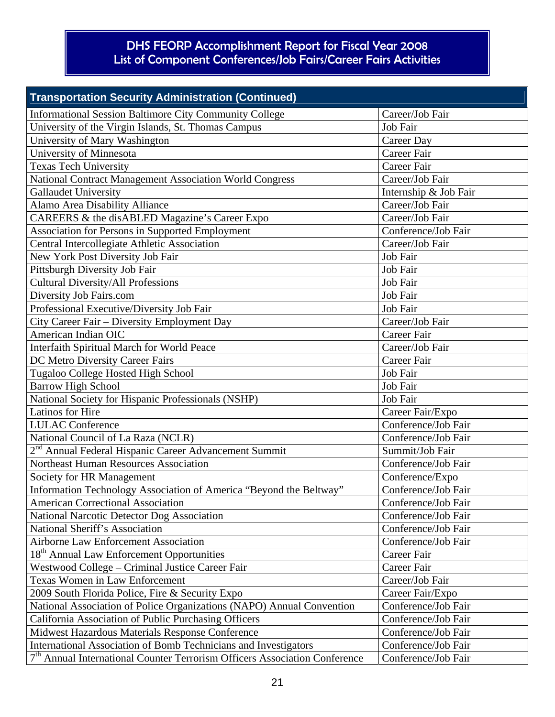| <b>Transportation Security Administration (Continued)</b>                    |                       |  |  |
|------------------------------------------------------------------------------|-----------------------|--|--|
| <b>Informational Session Baltimore City Community College</b>                | Career/Job Fair       |  |  |
| University of the Virgin Islands, St. Thomas Campus                          | Job Fair              |  |  |
| University of Mary Washington                                                | <b>Career Day</b>     |  |  |
| University of Minnesota                                                      | <b>Career Fair</b>    |  |  |
| Texas Tech University                                                        | Career Fair           |  |  |
| National Contract Management Association World Congress                      | Career/Job Fair       |  |  |
| <b>Gallaudet University</b>                                                  | Internship & Job Fair |  |  |
| Alamo Area Disability Alliance                                               | Career/Job Fair       |  |  |
| CAREERS & the disABLED Magazine's Career Expo                                | Career/Job Fair       |  |  |
| Association for Persons in Supported Employment                              | Conference/Job Fair   |  |  |
| Central Intercollegiate Athletic Association                                 | Career/Job Fair       |  |  |
| New York Post Diversity Job Fair                                             | Job Fair              |  |  |
| Pittsburgh Diversity Job Fair                                                | Job Fair              |  |  |
| <b>Cultural Diversity/All Professions</b>                                    | Job Fair              |  |  |
| Diversity Job Fairs.com                                                      | Job Fair              |  |  |
| Professional Executive/Diversity Job Fair                                    | Job Fair              |  |  |
| City Career Fair – Diversity Employment Day                                  | Career/Job Fair       |  |  |
| American Indian OIC                                                          | <b>Career Fair</b>    |  |  |
| Interfaith Spiritual March for World Peace                                   | Career/Job Fair       |  |  |
| DC Metro Diversity Career Fairs                                              | Career Fair           |  |  |
| Tugaloo College Hosted High School                                           | Job Fair              |  |  |
| <b>Barrow High School</b>                                                    | Job Fair              |  |  |
| National Society for Hispanic Professionals (NSHP)                           | Job Fair              |  |  |
| Latinos for Hire                                                             | Career Fair/Expo      |  |  |
| <b>LULAC</b> Conference                                                      | Conference/Job Fair   |  |  |
| National Council of La Raza (NCLR)                                           | Conference/Job Fair   |  |  |
| 2 <sup>nd</sup> Annual Federal Hispanic Career Advancement Summit            | Summit/Job Fair       |  |  |
| Northeast Human Resources Association                                        | Conference/Job Fair   |  |  |
| Society for HR Management                                                    | Conference/Expo       |  |  |
| Information Technology Association of America "Beyond the Beltway"           | Conference/Job Fair   |  |  |
| <b>American Correctional Association</b>                                     | Conference/Job Fair   |  |  |
| National Narcotic Detector Dog Association                                   | Conference/Job Fair   |  |  |
| National Sheriff's Association                                               | Conference/Job Fair   |  |  |
| <b>Airborne Law Enforcement Association</b>                                  | Conference/Job Fair   |  |  |
| 18 <sup>th</sup> Annual Law Enforcement Opportunities                        | Career Fair           |  |  |
| Westwood College - Criminal Justice Career Fair                              | Career Fair           |  |  |
| <b>Texas Women in Law Enforcement</b>                                        | Career/Job Fair       |  |  |
| 2009 South Florida Police, Fire & Security Expo                              | Career Fair/Expo      |  |  |
| National Association of Police Organizations (NAPO) Annual Convention        | Conference/Job Fair   |  |  |
| California Association of Public Purchasing Officers                         | Conference/Job Fair   |  |  |
| Midwest Hazardous Materials Response Conference                              | Conference/Job Fair   |  |  |
| International Association of Bomb Technicians and Investigators              | Conference/Job Fair   |  |  |
| $7th$ Annual International Counter Terrorism Officers Association Conference | Conference/Job Fair   |  |  |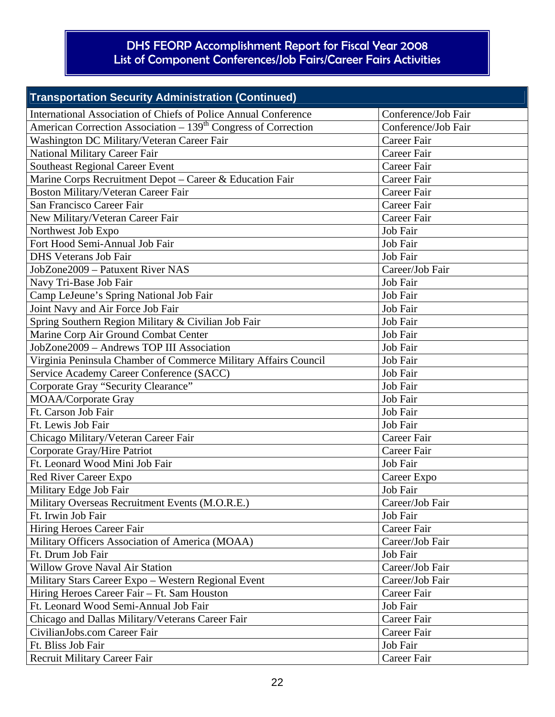| <b>Transportation Security Administration (Continued)</b>                  |                     |  |
|----------------------------------------------------------------------------|---------------------|--|
| International Association of Chiefs of Police Annual Conference            | Conference/Job Fair |  |
| American Correction Association – 139 <sup>th</sup> Congress of Correction | Conference/Job Fair |  |
| Washington DC Military/Veteran Career Fair                                 | Career Fair         |  |
| <b>National Military Career Fair</b>                                       | <b>Career Fair</b>  |  |
| <b>Southeast Regional Career Event</b>                                     | Career Fair         |  |
| Marine Corps Recruitment Depot - Career & Education Fair                   | <b>Career Fair</b>  |  |
| Boston Military/Veteran Career Fair                                        | <b>Career Fair</b>  |  |
| San Francisco Career Fair                                                  | Career Fair         |  |
| New Military/Veteran Career Fair                                           | Career Fair         |  |
| Northwest Job Expo                                                         | Job Fair            |  |
| Fort Hood Semi-Annual Job Fair                                             | Job Fair            |  |
| <b>DHS</b> Veterans Job Fair                                               | Job Fair            |  |
| JobZone2009 - Patuxent River NAS                                           | Career/Job Fair     |  |
| Navy Tri-Base Job Fair                                                     | Job Fair            |  |
| Camp LeJeune's Spring National Job Fair                                    | Job Fair            |  |
| Joint Navy and Air Force Job Fair                                          | Job Fair            |  |
| Spring Southern Region Military & Civilian Job Fair                        | Job Fair            |  |
| Marine Corp Air Ground Combat Center                                       | Job Fair            |  |
| JobZone2009 - Andrews TOP III Association                                  | Job Fair            |  |
| Virginia Peninsula Chamber of Commerce Military Affairs Council            | Job Fair            |  |
| Service Academy Career Conference (SACC)                                   | Job Fair            |  |
| Corporate Gray "Security Clearance"                                        | Job Fair            |  |
| <b>MOAA/Corporate Gray</b>                                                 | Job Fair            |  |
| Ft. Carson Job Fair                                                        | Job Fair            |  |
| Ft. Lewis Job Fair                                                         | Job Fair            |  |
| Chicago Military/Veteran Career Fair                                       | Career Fair         |  |
| Corporate Gray/Hire Patriot                                                | <b>Career Fair</b>  |  |
| Ft. Leonard Wood Mini Job Fair                                             | Job Fair            |  |
| Red River Career Expo                                                      | Career Expo         |  |
| Military Edge Job Fair                                                     | Job Fair            |  |
| Military Overseas Recruitment Events (M.O.R.E.)                            | Career/Job Fair     |  |
| Ft. Irwin Job Fair                                                         | Job Fair            |  |
| Hiring Heroes Career Fair                                                  | Career Fair         |  |
| Military Officers Association of America (MOAA)                            | Career/Job Fair     |  |
| Ft. Drum Job Fair                                                          | Job Fair            |  |
| <b>Willow Grove Naval Air Station</b>                                      | Career/Job Fair     |  |
| Military Stars Career Expo - Western Regional Event                        | Career/Job Fair     |  |
| Hiring Heroes Career Fair - Ft. Sam Houston                                | Career Fair         |  |
| Ft. Leonard Wood Semi-Annual Job Fair                                      | Job Fair            |  |
| Chicago and Dallas Military/Veterans Career Fair                           | Career Fair         |  |
| CivilianJobs.com Career Fair                                               | Career Fair         |  |
| Ft. Bliss Job Fair                                                         | Job Fair            |  |
| <b>Recruit Military Career Fair</b>                                        | Career Fair         |  |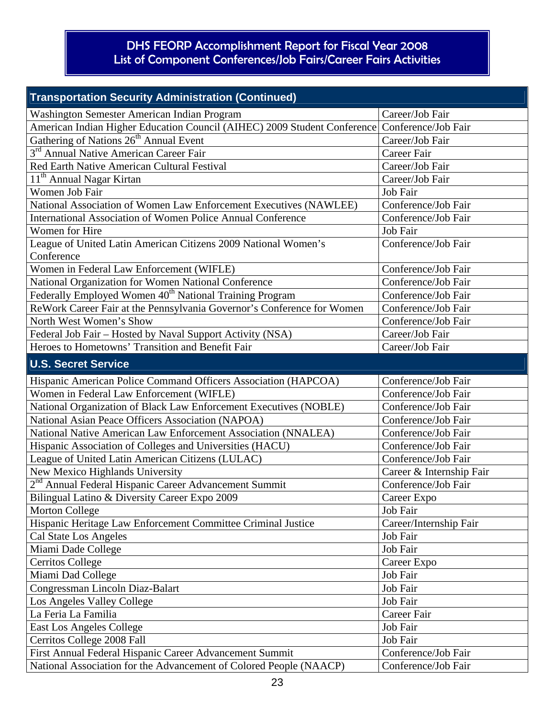| <b>Transportation Security Administration (Continued)</b>                                    |                          |
|----------------------------------------------------------------------------------------------|--------------------------|
| Washington Semester American Indian Program                                                  | Career/Job Fair          |
| American Indian Higher Education Council (AIHEC) 2009 Student Conference Conference/Job Fair |                          |
| Gathering of Nations 26 <sup>th</sup> Annual Event                                           | Career/Job Fair          |
| 3 <sup>rd</sup> Annual Native American Career Fair                                           | <b>Career Fair</b>       |
| Red Earth Native American Cultural Festival                                                  | Career/Job Fair          |
| 11 <sup>th</sup> Annual Nagar Kirtan                                                         | Career/Job Fair          |
| Women Job Fair                                                                               | Job Fair                 |
| National Association of Women Law Enforcement Executives (NAWLEE)                            | Conference/Job Fair      |
| International Association of Women Police Annual Conference                                  | Conference/Job Fair      |
| Women for Hire                                                                               | Job Fair                 |
| League of United Latin American Citizens 2009 National Women's                               | Conference/Job Fair      |
| Conference                                                                                   |                          |
| Women in Federal Law Enforcement (WIFLE)                                                     | Conference/Job Fair      |
| National Organization for Women National Conference                                          | Conference/Job Fair      |
| Federally Employed Women 40 <sup>th</sup> National Training Program                          | Conference/Job Fair      |
| ReWork Career Fair at the Pennsylvania Governor's Conference for Women                       | Conference/Job Fair      |
| North West Women's Show                                                                      | Conference/Job Fair      |
| Federal Job Fair - Hosted by Naval Support Activity (NSA)                                    | Career/Job Fair          |
| Heroes to Hometowns' Transition and Benefit Fair                                             | Career/Job Fair          |
| <b>U.S. Secret Service</b>                                                                   |                          |
| Hispanic American Police Command Officers Association (HAPCOA)                               | Conference/Job Fair      |
| Women in Federal Law Enforcement (WIFLE)                                                     | Conference/Job Fair      |
| National Organization of Black Law Enforcement Executives (NOBLE)                            | Conference/Job Fair      |
| National Asian Peace Officers Association (NAPOA)                                            | Conference/Job Fair      |
| National Native American Law Enforcement Association (NNALEA)                                | Conference/Job Fair      |
| Hispanic Association of Colleges and Universities (HACU)                                     | Conference/Job Fair      |
| League of United Latin American Citizens (LULAC)                                             | Conference/Job Fair      |
| New Mexico Highlands University                                                              | Career & Internship Fair |
| 2 <sup>nd</sup> Annual Federal Hispanic Career Advancement Summit                            | Conference/Job Fair      |
| Bilingual Latino & Diversity Career Expo 2009                                                | Career Expo              |
| <b>Morton College</b>                                                                        | Job Fair                 |
| Hispanic Heritage Law Enforcement Committee Criminal Justice                                 | Career/Internship Fair   |
| Cal State Los Angeles                                                                        | Job Fair                 |
| Miami Dade College                                                                           | Job Fair                 |
| <b>Cerritos College</b>                                                                      | Career Expo              |
| Miami Dad College                                                                            | Job Fair                 |
| Congressman Lincoln Diaz-Balart                                                              | Job Fair                 |
| Los Angeles Valley College                                                                   | Job Fair                 |
| La Feria La Familia                                                                          | Career Fair              |
| <b>East Los Angeles College</b>                                                              | Job Fair                 |
| Cerritos College 2008 Fall                                                                   | Job Fair                 |
| First Annual Federal Hispanic Career Advancement Summit                                      | Conference/Job Fair      |
| National Association for the Advancement of Colored People (NAACP)                           | Conference/Job Fair      |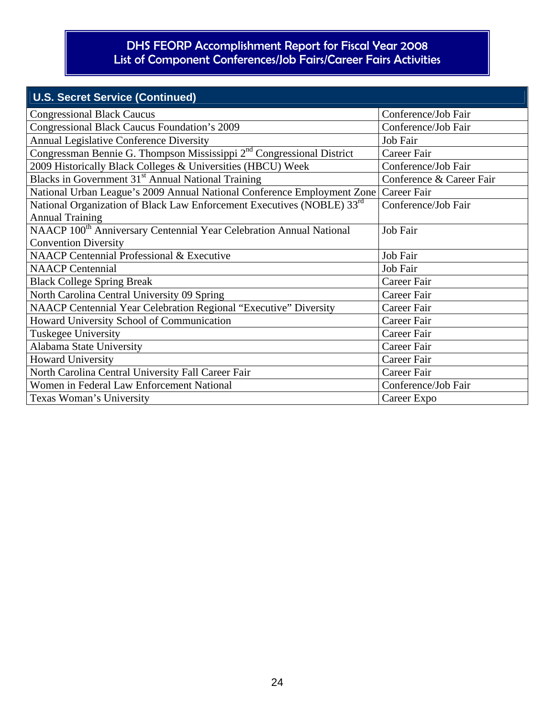| <b>U.S. Secret Service (Continued)</b>                                             |                          |
|------------------------------------------------------------------------------------|--------------------------|
| <b>Congressional Black Caucus</b>                                                  | Conference/Job Fair      |
| <b>Congressional Black Caucus Foundation's 2009</b>                                | Conference/Job Fair      |
| <b>Annual Legislative Conference Diversity</b>                                     | Job Fair                 |
| Congressman Bennie G. Thompson Mississippi $2nd$ Congressional District            | Career Fair              |
| 2009 Historically Black Colleges & Universities (HBCU) Week                        | Conference/Job Fair      |
| Blacks in Government 31 <sup>st</sup> Annual National Training                     | Conference & Career Fair |
| National Urban League's 2009 Annual National Conference Employment Zone            | Career Fair              |
| National Organization of Black Law Enforcement Executives (NOBLE) 33 <sup>rd</sup> | Conference/Job Fair      |
| <b>Annual Training</b>                                                             |                          |
| NAACP 100 <sup>th</sup> Anniversary Centennial Year Celebration Annual National    | Job Fair                 |
| <b>Convention Diversity</b>                                                        |                          |
| <b>NAACP Centennial Professional &amp; Executive</b>                               | Job Fair                 |
| <b>NAACP</b> Centennial                                                            | Job Fair                 |
| <b>Black College Spring Break</b>                                                  | Career Fair              |
| North Carolina Central University 09 Spring                                        | Career Fair              |
| <b>NAACP Centennial Year Celebration Regional "Executive" Diversity</b>            | <b>Career Fair</b>       |
| Howard University School of Communication                                          | <b>Career Fair</b>       |
| <b>Tuskegee University</b>                                                         | <b>Career Fair</b>       |
| Alabama State University                                                           | <b>Career Fair</b>       |
| <b>Howard University</b>                                                           | <b>Career Fair</b>       |
| North Carolina Central University Fall Career Fair                                 | <b>Career Fair</b>       |
| Women in Federal Law Enforcement National                                          | Conference/Job Fair      |
| Texas Woman's University                                                           | Career Expo              |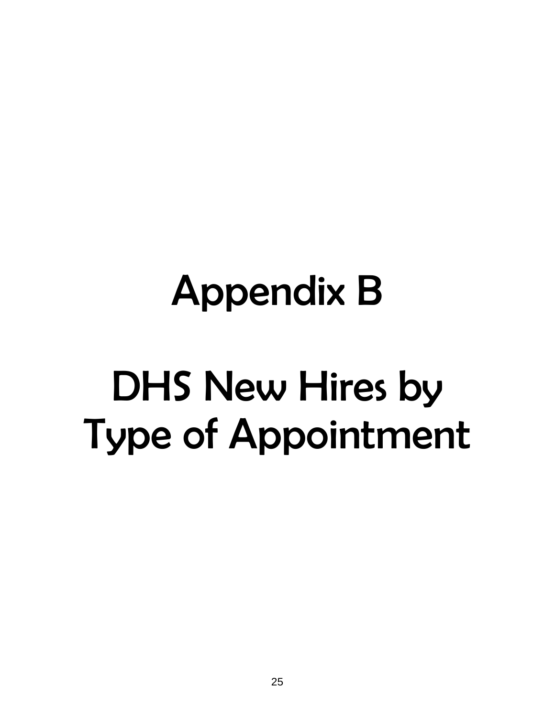# Appendix B DHS New Hires by Type of Appointment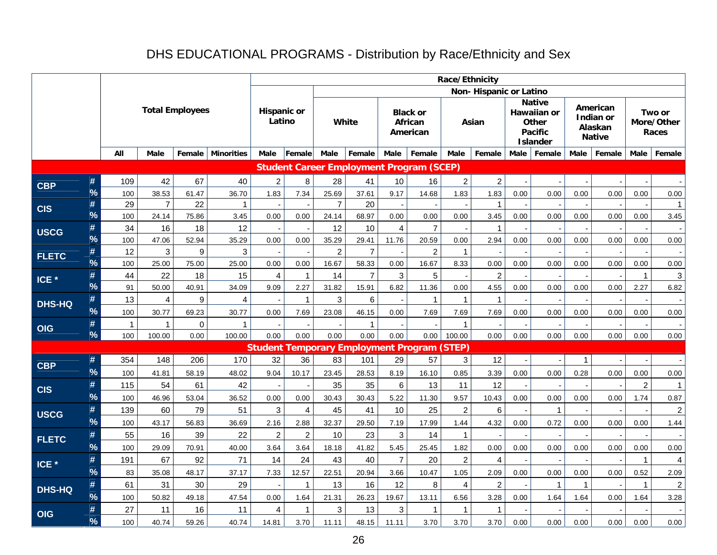## DHS EDUCATIONAL PROGRAMS - Distribution by Race/Ethnicity and Sex

|                  |                    |                |                |                        |                   |                              |                      |                |                         |                |                                                    | Race/Ethnicity   |                        |             |                                                                                   |              |                                                   |                      |                               |
|------------------|--------------------|----------------|----------------|------------------------|-------------------|------------------------------|----------------------|----------------|-------------------------|----------------|----------------------------------------------------|------------------|------------------------|-------------|-----------------------------------------------------------------------------------|--------------|---------------------------------------------------|----------------------|-------------------------------|
|                  |                    |                |                |                        |                   |                              |                      |                |                         |                |                                                    |                  | Non-Hispanic or Latino |             |                                                                                   |              |                                                   |                      |                               |
|                  |                    |                |                | <b>Total Employees</b> |                   | <b>Hispanic or</b><br>Latino |                      |                | White                   |                | <b>Black or</b><br>African<br>American             |                  | Asian                  |             | <b>Native</b><br><b>Hawaiian or</b><br>Other<br><b>Pacific</b><br><b>Islander</b> |              | American<br>Indian or<br>Alaskan<br><b>Native</b> |                      | Two or<br>More/Other<br>Races |
|                  |                    | All            | Male           | Female                 | <b>Minorities</b> | <b>Male</b>                  | <b>Female</b>        | Male           | Female                  | Male           | Female                                             | <b>Male</b>      | Female                 | <b>Male</b> | Female                                                                            | Male         | Female                                            | Male                 | Female                        |
|                  |                    |                |                |                        |                   |                              |                      |                |                         |                | <b>Student Career Employment Program (SCEP)</b>    |                  |                        |             |                                                                                   |              |                                                   |                      |                               |
| <b>CBP</b>       | #                  | 109            | 42             | 67                     | 40                | $\overline{a}$               | 8                    | 28             | 41                      | 10             | 16                                                 | $\overline{2}$   | $\overline{c}$         |             |                                                                                   |              |                                                   |                      |                               |
|                  | %                  | 100            | 38.53          | 61.47                  | 36.70             | 1.83                         | 7.34                 | 25.69          | 37.61                   | 9.17           | 14.68                                              | 1.83             | 1.83                   | 0.00        | 0.00                                                                              | 0.00         | 0.00                                              | 0.00                 | $0.00\,$                      |
| <b>CIS</b>       | #                  | 29             | $\overline{7}$ | 22                     | $\mathbf{1}$      |                              |                      | $\overline{7}$ | 20                      |                |                                                    |                  | 1                      |             |                                                                                   |              |                                                   |                      | $\mathbf{1}$                  |
|                  | $\frac{9}{6}$      | 100            | 24.14          | 75.86                  | 3.45              | 0.00                         | 0.00                 | 24.14          | 68.97                   | 0.00           | 0.00                                               | 0.00             | 3.45                   | 0.00        | 0.00                                                                              | 0.00         | 0.00                                              | 0.00                 | 3.45                          |
| <b>USCG</b>      | #                  | 34             | 16             | 18                     | 12                |                              |                      | 12             | 10                      | $\overline{4}$ | $\overline{7}$                                     |                  | 1                      |             |                                                                                   |              |                                                   |                      |                               |
|                  | %                  | 100            | 47.06          | 52.94                  | 35.29             | 0.00                         | 0.00                 | 35.29          | 29.41                   | 11.76          | 20.59                                              | 0.00             | 2.94                   | 0.00        | 0.00                                                                              | 0.00         | 0.00                                              | 0.00                 | 0.00                          |
| <b>FLETC</b>     | #<br>$\frac{9}{6}$ | 12             | 3              | 9                      | $\mathbf{3}$      |                              |                      | $\overline{2}$ | $\overline{7}$          |                | $\overline{2}$                                     | $\mathbf{1}$     |                        |             |                                                                                   |              |                                                   |                      |                               |
|                  |                    | 100            | 25.00          | 75.00                  | 25.00<br>15       | 0.00                         | 0.00                 | 16.67          | 58.33<br>$\overline{7}$ | 0.00           | 16.67                                              | 8.33             | 0.00                   | 0.00        | 0.00                                                                              | 0.00         | 0.00                                              | 0.00                 | 0.00                          |
| ICE <sup>*</sup> | #<br>$\frac{9}{6}$ | 44<br>91       | 22<br>50.00    | 18<br>40.91            | 34.09             | 4<br>9.09                    | $\mathbf{1}$<br>2.27 | 14<br>31.82    | 15.91                   | 3<br>6.82      | 5<br>11.36                                         | 0.00             | $\overline{c}$<br>4.55 | 0.00        | 0.00                                                                              | 0.00         | 0.00                                              | $\mathbf{1}$<br>2.27 | 3<br>6.82                     |
|                  | #                  | 13             | 4              | 9                      | 4                 |                              | $\mathbf{1}$         | 3              | 6                       |                | $\mathbf{1}$                                       | $\mathbf{1}$     | 1                      |             |                                                                                   |              |                                                   |                      |                               |
| <b>DHS-HQ</b>    | %                  | 100            | 30.77          | 69.23                  | 30.77             | 0.00                         | 7.69                 | 23.08          | 46.15                   | 0.00           | 7.69                                               | 7.69             | 7.69                   | 0.00        | 0.00                                                                              | 0.00         | 0.00                                              | 0.00                 | 0.00                          |
|                  | #                  | $\overline{1}$ | 1              | 0                      | $\mathbf 1$       |                              |                      |                | $\mathbf{1}$            |                |                                                    | $\mathbf{1}$     |                        |             |                                                                                   |              |                                                   |                      |                               |
| <b>OIG</b>       | $\frac{9}{6}$      | 100            | 100.00         | 0.00                   | 100.00            | 0.00                         | 0.00                 | 0.00           | 0.00                    | 0.00           | 0.00                                               | 100.00           | 0.00                   | 0.00        | 0.00                                                                              | 0.00         | 0.00                                              | 0.00                 | 0.00                          |
|                  |                    |                |                |                        |                   |                              |                      |                |                         |                | <b>Student Temporary Employment Program (STEP)</b> |                  |                        |             |                                                                                   |              |                                                   |                      |                               |
|                  | #                  | 354            | 148            | 206                    | 170               | 32                           | 36                   | 83             | 101                     | 29             | 57                                                 | 3                | 12                     |             |                                                                                   | $\mathbf{1}$ |                                                   |                      |                               |
| <b>CBP</b>       | $\frac{9}{6}$      | 100            | 41.81          | 58.19                  | 48.02             | 9.04                         | 10.17                | 23.45          | 28.53                   | 8.19           | 16.10                                              | 0.85             | 3.39                   | 0.00        | 0.00                                                                              | 0.28         | 0.00                                              | 0.00                 | 0.00                          |
| <b>CIS</b>       | #                  | 115            | 54             | 61                     | 42                |                              |                      | 35             | 35                      | 6              | 13                                                 | 11               | 12                     |             |                                                                                   |              |                                                   | $\boldsymbol{2}$     | $\mathbf{1}$                  |
|                  | %                  | 100            | 46.96          | 53.04                  | 36.52             | 0.00                         | 0.00                 | 30.43          | 30.43                   | 5.22           | 11.30                                              | 9.57             | 10.43                  | 0.00        | 0.00                                                                              | 0.00         | 0.00                                              | 1.74                 | 0.87                          |
| <b>USCG</b>      | #                  | 139            | 60             | 79                     | 51                | 3                            | $\overline{4}$       | 45             | 41                      | 10             | 25                                                 | $\overline{c}$   | 6                      |             | 1                                                                                 |              |                                                   |                      | $\overline{a}$                |
|                  | $\frac{9}{6}$      | 100            | 43.17          | 56.83                  | 36.69             | 2.16                         | 2.88                 | 32.37          | 29.50                   | 7.19           | 17.99                                              | 1.44             | 4.32                   | 0.00        | 0.72                                                                              | 0.00         | 0.00                                              | 0.00                 | 1.44                          |
| <b>FLETC</b>     | #                  | 55             | 16             | 39                     | 22                | $\overline{a}$               | $\overline{c}$       | 10             | 23                      | 3              | 14                                                 | $\mathbf{1}$     |                        |             |                                                                                   |              |                                                   |                      |                               |
|                  | $\frac{9}{6}$      | 100            | 29.09          | 70.91                  | 40.00             | 3.64                         | 3.64                 | 18.18          | 41.82                   | 5.45           | 25.45                                              | 1.82             | 0.00                   | 0.00        | 0.00                                                                              | 0.00         | 0.00                                              | 0.00                 | 0.00                          |
| ICE <sup>*</sup> | #                  | 191            | 67             | 92                     | 71                | 14                           | 24                   | 43             | 40                      | $\overline{7}$ | 20                                                 | $\boldsymbol{2}$ | 4                      |             |                                                                                   |              |                                                   | $\mathbf{1}$         | $\overline{4}$                |
|                  | $\frac{9}{6}$      | 83             | 35.08          | 48.17                  | 37.17             | 7.33                         | 12.57                | 22.51          | 20.94                   | 3.66           | 10.47                                              | 1.05             | 2.09                   | 0.00        | 0.00                                                                              | 0.00         | 0.00                                              | 0.52                 | 2.09                          |
| <b>DHS-HQ</b>    | #                  | 61             | 31             | 30                     | 29                |                              | 1                    | 13             | 16                      | 12             | 8                                                  | $\overline{4}$   | $\overline{2}$         |             | $\mathbf{1}$                                                                      | 1            |                                                   | $\mathbf{1}$         | $\overline{2}$                |
|                  | $\frac{9}{6}$      | 100            | 50.82          | 49.18                  | 47.54             | 0.00                         | 1.64                 | 21.31          | 26.23                   | 19.67          | 13.11                                              | 6.56             | 3.28                   | 0.00        | 1.64                                                                              | 1.64         | 0.00                                              | 1.64                 | 3.28                          |
| <b>OIG</b>       | #                  | 27             | 11             | 16                     | 11                | 4                            | 1                    | 3              | 13                      | 3              | $\mathbf{1}$                                       | $\mathbf{1}$     | 1                      |             |                                                                                   |              |                                                   |                      |                               |
|                  | $\frac{9}{6}$      | 100            | 40.74          | 59.26                  | 40.74             | 14.81                        | 3.70                 | 11.11          | 48.15                   | 11.11          | 3.70                                               | 3.70             | 3.70                   | 0.00        | 0.00                                                                              | 0.00         | 0.00                                              | 0.00                 | 0.00                          |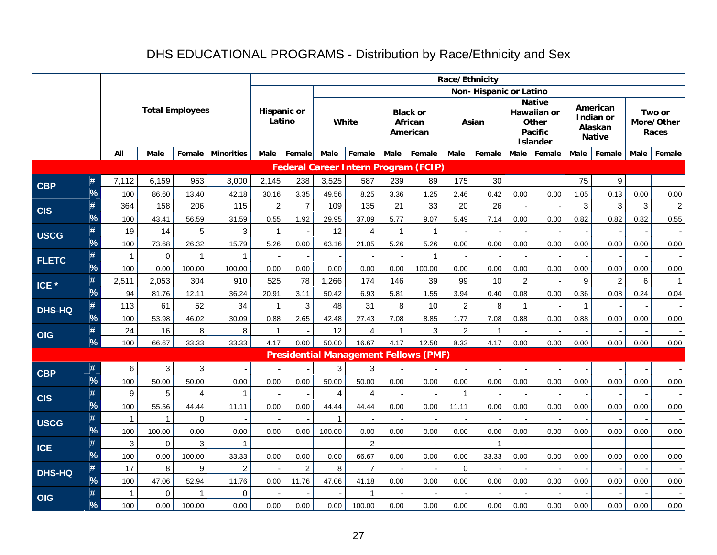## DHS EDUCATIONAL PROGRAMS - Distribution by Race/Ethnicity and Sex

|                  |               |                |                |                        |                    |                              |                |              |                         |                          |                                              | Race/Ethnicity |                        |                |                                                                            |              |                                                   |      |                               |
|------------------|---------------|----------------|----------------|------------------------|--------------------|------------------------------|----------------|--------------|-------------------------|--------------------------|----------------------------------------------|----------------|------------------------|----------------|----------------------------------------------------------------------------|--------------|---------------------------------------------------|------|-------------------------------|
|                  |               |                |                |                        |                    |                              |                |              |                         |                          |                                              |                | Non-Hispanic or Latino |                |                                                                            |              |                                                   |      |                               |
|                  |               |                |                | <b>Total Employees</b> |                    | <b>Hispanic or</b><br>Latino |                |              | White                   |                          | <b>Black or</b><br>African<br>American       |                | Asian                  |                | <b>Native</b><br>Hawaiian or<br>Other<br><b>Pacific</b><br><b>Islander</b> |              | American<br>Indian or<br>Alaskan<br><b>Native</b> |      | Two or<br>More/Other<br>Races |
|                  |               | All            | Male           | Female                 | <b>Minorities</b>  | Male                         | Female         | <b>Male</b>  | Female                  | Male                     | Female                                       | Male           | Female                 | <b>Male</b>    | Female                                                                     | <b>Male</b>  | Female                                            | Male | Female                        |
|                  |               |                |                |                        |                    |                              |                |              |                         |                          | <b>Federal Career Intern Program (FCIP)</b>  |                |                        |                |                                                                            |              |                                                   |      |                               |
| <b>CBP</b>       | #             | 7,112          | 6,159          | 953                    | 3,000              | 2,145                        | 238            | 3,525        | 587                     | 239                      | 89                                           | 175            | 30                     |                |                                                                            | 75           | 9                                                 |      |                               |
|                  | $\frac{9}{6}$ | 100            | 86.60          | 13.40                  | 42.18              | 30.16                        | 3.35           | 49.56        | 8.25                    | 3.36                     | 1.25                                         | 2.46           | 0.42                   | 0.00           | 0.00                                                                       | 1.05         | 0.13                                              | 0.00 | 0.00                          |
| <b>CIS</b>       | #             | 364            | 158            | 206                    | 115                | $\overline{2}$               | $\overline{7}$ | 109          | 135                     | 21                       | 33                                           | 20             | 26                     |                |                                                                            | 3            | 3                                                 | 3    | $\overline{2}$                |
|                  | %             | 100            | 43.41          | 56.59                  | 31.59              | 0.55                         | 1.92           | 29.95        | 37.09                   | 5.77                     | 9.07                                         | 5.49           | 7.14                   | 0.00           | 0.00                                                                       | 0.82         | 0.82                                              | 0.82 | 0.55                          |
| <b>USCG</b>      | #             | 19             | 14             | 5                      | 3                  | $\mathbf{1}$                 |                | 12           | $\overline{\mathbf{4}}$ | $\mathbf{1}$             | $\mathbf{1}$                                 |                |                        |                |                                                                            |              |                                                   |      |                               |
|                  | $\frac{9}{6}$ | 100            | 73.68          | 26.32                  | 15.79              | 5.26                         | 0.00           | 63.16        | 21.05                   | 5.26                     | 5.26                                         | 0.00           | 0.00                   | 0.00           | 0.00                                                                       | 0.00         | 0.00                                              | 0.00 | 0.00                          |
| <b>FLETC</b>     | #             | $\mathbf{1}$   | $\mathbf{0}$   | $\mathbf 1$            | $\mathbf{1}$       |                              |                |              |                         |                          | $\mathbf{1}$                                 |                |                        |                |                                                                            |              |                                                   |      |                               |
|                  | $\frac{9}{6}$ | 100            | 0.00           | 100.00                 | 100.00             | 0.00                         | 0.00           | 0.00         | 0.00                    | 0.00                     | 100.00                                       | 0.00           | 0.00                   | 0.00           | 0.00                                                                       | 0.00         | 0.00                                              | 0.00 | 0.00                          |
| ICE <sup>*</sup> | #             | 2,511          | 2,053          | 304                    | 910                | 525                          | 78             | 1,266        | 174                     | 146                      | 39                                           | 99             | 10                     | $\overline{c}$ |                                                                            | 9            | $\overline{2}$                                    | 6    | $\mathbf{1}$                  |
|                  | $\frac{9}{6}$ | 94             | 81.76          | 12.11                  | 36.24              | 20.91                        | 3.11           | 50.42        | 6.93                    | 5.81                     | 1.55                                         | 3.94           | 0.40                   | 0.08           | 0.00                                                                       | 0.36         | 0.08                                              | 0.24 | 0.04                          |
| <b>DHS-HQ</b>    | #             | 113            | 61             | 52                     | 34                 | $\overline{1}$               | $\sqrt{3}$     | 48           | 31                      | 8                        | 10                                           | $\overline{c}$ | 8                      | $\overline{1}$ |                                                                            | $\mathbf{1}$ |                                                   |      |                               |
|                  | $\frac{9}{6}$ | 100            | 53.98          | 46.02                  | 30.09              | 0.88                         | 2.65           | 42.48        | 27.43                   | 7.08                     | 8.85                                         | 1.77           | 7.08                   | 0.88           | 0.00                                                                       | 0.88         | 0.00                                              | 0.00 | 0.00                          |
| <b>OIG</b>       | #             | 24             | 16             | $\bf8$                 | 8                  | $\overline{1}$               |                | 12           | 4                       | $\mathbf{1}$             | $\sqrt{3}$                                   | $\overline{2}$ | $\mathbf{1}$           |                |                                                                            |              |                                                   |      |                               |
|                  | %             | 100            | 66.67          | 33.33                  | 33.33              | 4.17                         | 0.00           | 50.00        | 16.67                   | 4.17                     | 12.50                                        | 8.33           | 4.17                   | 0.00           | 0.00                                                                       | 0.00         | 0.00                                              | 0.00 | 0.00                          |
|                  |               |                |                |                        |                    |                              |                |              |                         |                          | <b>Presidential Management Fellows (PMF)</b> |                |                        |                |                                                                            |              |                                                   |      |                               |
| <b>CBP</b>       | #             | $6\phantom{1}$ | $\mathfrak{S}$ | $\mathbf{3}$           |                    |                              |                | 3            | 3                       |                          |                                              |                |                        |                |                                                                            |              |                                                   |      |                               |
|                  | %             | 100            | 50.00          | 50.00                  | 0.00               | 0.00                         | 0.00           | 50.00        | 50.00                   | 0.00                     | 0.00                                         | 0.00           | 0.00                   | 0.00           | 0.00                                                                       | 0.00         | 0.00                                              | 0.00 | 0.00                          |
| <b>CIS</b>       | #             | 9              | 5              | 4                      | $\overline{1}$     |                              |                | 4            | 4                       |                          |                                              | $\mathbf{1}$   |                        |                |                                                                            |              |                                                   |      |                               |
|                  | $\frac{9}{6}$ | 100            | 55.56          | 44.44                  | 11.11              | 0.00                         | 0.00           | 44.44        | 44.44                   | 0.00                     | 0.00                                         | 11.11          | 0.00                   | 0.00           | 0.00                                                                       | 0.00         | 0.00                                              | 0.00 | 0.00                          |
| <b>USCG</b>      | #             | $\mathbf 1$    | 1              | $\mathbf 0$            |                    |                              |                | $\mathbf{1}$ |                         |                          |                                              |                |                        |                |                                                                            |              |                                                   |      |                               |
|                  | $\frac{9}{6}$ | 100            | 100.00         | 0.00                   | 0.00               | 0.00                         | 0.00           | 100.00       | 0.00                    | 0.00                     | 0.00                                         | 0.00           | 0.00                   | 0.00           | 0.00                                                                       | 0.00         | 0.00                                              | 0.00 | 0.00                          |
| <b>ICE</b>       | #             | 3              | 0              | 3                      | $\mathbf{1}$       |                              |                |              | $\overline{2}$          | $\overline{\phantom{a}}$ | $\overline{\phantom{a}}$                     |                | 1                      |                |                                                                            |              |                                                   |      |                               |
|                  | $\frac{9}{6}$ | 100            | 0.00           | 100.00                 | 33.33              | 0.00                         | 0.00           | 0.00         | 66.67                   | 0.00                     | 0.00                                         | 0.00           | 33.33                  | 0.00           | 0.00                                                                       | 0.00         | 0.00                                              | 0.00 | 0.00                          |
| <b>DHS-HQ</b>    | #<br>%        | 17             | 8              | 9                      | $\overline{c}$     |                              | $\overline{c}$ | 8            | $\overline{7}$          |                          |                                              | $\pmb{0}$      |                        |                |                                                                            |              |                                                   |      |                               |
|                  | #             | 100<br>-1      | 47.06<br>0     | 52.94<br>1             | 11.76<br>$\pmb{0}$ | 0.00                         | 11.76          | 47.06        | 41.18<br>1              | 0.00                     | 0.00                                         | 0.00           | 0.00                   | 0.00           | 0.00                                                                       | 0.00         | 0.00                                              | 0.00 | 0.00                          |
| <b>OIG</b>       | $\frac{9}{6}$ | 100            | 0.00           | 100.00                 | 0.00               | 0.00                         | 0.00           | 0.00         | 100.00                  | 0.00                     | 0.00                                         | 0.00           | 0.00                   | 0.00           | 0.00                                                                       | 0.00         | 0.00                                              | 0.00 | 0.00                          |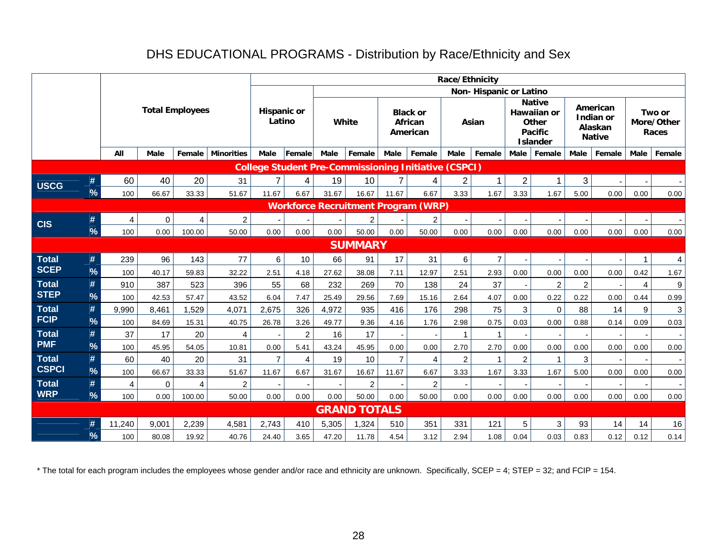## DHS EDUCATIONAL PROGRAMS - Distribution by Race/Ethnicity and Sex

|              |               |                |             |                         |                   |                              |                |       |                     |                |                                                             | Race/Ethnicity |                        |                |                                                                                   |                |                                                   |                |                               |
|--------------|---------------|----------------|-------------|-------------------------|-------------------|------------------------------|----------------|-------|---------------------|----------------|-------------------------------------------------------------|----------------|------------------------|----------------|-----------------------------------------------------------------------------------|----------------|---------------------------------------------------|----------------|-------------------------------|
|              |               |                |             |                         |                   |                              |                |       |                     |                |                                                             |                | Non-Hispanic or Latino |                |                                                                                   |                |                                                   |                |                               |
|              |               |                |             | <b>Total Employees</b>  |                   | <b>Hispanic or</b><br>Latino |                | White |                     |                | <b>Black or</b><br>African<br>American                      |                | Asian                  |                | <b>Native</b><br><b>Hawaiian or</b><br>Other<br><b>Pacific</b><br><b>Islander</b> |                | American<br>Indian or<br>Alaskan<br><b>Native</b> |                | Two or<br>More/Other<br>Races |
|              |               | All            | Male        | Female                  | <b>Minorities</b> | Male                         | Female         | Male  | Female              | Male           | Female                                                      | <b>Male</b>    | Female                 | Male           | Female                                                                            | Male           | Female                                            | Male           | Female                        |
|              |               |                |             |                         |                   |                              |                |       |                     |                | <b>College Student Pre-Commissioning Initiative (CSPCI)</b> |                |                        |                |                                                                                   |                |                                                   |                |                               |
| <b>USCG</b>  | #             | 60             | 40          | 20                      | 31                | $\overline{7}$               | 4              | 19    | 10                  | 7              | 4                                                           | 2              | 1                      | $\overline{c}$ |                                                                                   | 3              |                                                   |                |                               |
|              | %             | 100            | 66.67       | 33.33                   | 51.67             | 11.67                        | 6.67           | 31.67 | 16.67               | 11.67          | 6.67                                                        | 3.33           | 1.67                   | 3.33           | 1.67                                                                              | 5.00           | 0.00                                              | 0.00           | 0.00                          |
|              |               |                |             |                         |                   |                              |                |       |                     |                | <b>Workforce Recruitment Program (WRP)</b>                  |                |                        |                |                                                                                   |                |                                                   |                |                               |
| <b>CIS</b>   | #             | 4              | $\mathbf 0$ | $\overline{\mathbf{4}}$ | $\overline{c}$    |                              |                |       | $\overline{2}$      |                | $\overline{2}$                                              |                |                        |                |                                                                                   |                |                                                   |                |                               |
|              | %             | 100            | 0.00        | 100.00                  | 50.00             | 0.00                         | 0.00           | 0.00  | 50.00               | 0.00           | 50.00                                                       | 0.00           | 0.00                   | 0.00           | 0.00                                                                              | 0.00           | 0.00                                              | 0.00           | 0.00                          |
|              |               |                |             |                         |                   |                              |                |       | <b>SUMMARY</b>      |                |                                                             |                |                        |                |                                                                                   |                |                                                   |                |                               |
| <b>Total</b> | #             | 239            | 96          | 143                     | 77                | 6                            | 10             | 66    | 91                  | 17             | 31                                                          | 6              | $\overline{7}$         |                |                                                                                   |                |                                                   | -1             | 4                             |
| <b>SCEP</b>  | $\%$          | 100            | 40.17       | 59.83                   | 32.22             | 2.51                         | 4.18           | 27.62 | 38.08               | 7.11           | 12.97                                                       | 2.51           | 2.93                   | 0.00           | 0.00                                                                              | 0.00           | 0.00                                              | 0.42           | 1.67                          |
| <b>Total</b> | #             | 910            | 387         | 523                     | 396               | 55                           | 68             | 232   | 269                 | 70             | 138                                                         | 24             | 37                     |                | $\overline{c}$                                                                    | $\overline{2}$ |                                                   | $\overline{4}$ | 9                             |
| <b>STEP</b>  | $\frac{9}{6}$ | 100            | 42.53       | 57.47                   | 43.52             | 6.04                         | 7.47           | 25.49 | 29.56               | 7.69           | 15.16                                                       | 2.64           | 4.07                   | 0.00           | 0.22                                                                              | 0.22           | 0.00                                              | 0.44           | 0.99                          |
| <b>Total</b> | #             | 9,990          | 8,461       | 1,529                   | 4,071             | 2,675                        | 326            | 4,972 | 935                 | 416            | 176                                                         | 298            | 75                     | 3              | $\mathbf 0$                                                                       | 88             | 14                                                | 9              | 3                             |
| <b>FCIP</b>  | $\frac{9}{6}$ | 100            | 84.69       | 15.31                   | 40.75             | 26.78                        | 3.26           | 49.77 | 9.36                | 4.16           | 1.76                                                        | 2.98           | 0.75                   | 0.03           | 0.00                                                                              | 0.88           | 0.14                                              | 0.09           | 0.03                          |
| <b>Total</b> | #             | 37             | 17          | 20                      | $\overline{4}$    |                              | $\overline{2}$ | 16    | 17                  |                |                                                             | $\mathbf{1}$   | 1                      |                |                                                                                   |                |                                                   |                |                               |
| <b>PMF</b>   | %             | 100            | 45.95       | 54.05                   | 10.81             | 0.00                         | 5.41           | 43.24 | 45.95               | 0.00           | 0.00                                                        | 2.70           | 2.70                   | 0.00           | 0.00                                                                              | 0.00           | 0.00                                              | 0.00           | 0.00                          |
| <b>Total</b> | #             | 60             | 40          | 20                      | 31                | $\overline{7}$               | $\overline{4}$ | 19    | 10                  | $\overline{7}$ | $\overline{4}$                                              | $\overline{c}$ | 1                      | $\overline{c}$ | 1                                                                                 | 3              |                                                   |                |                               |
| <b>CSPCI</b> | $\%$          | 100            | 66.67       | 33.33                   | 51.67             | 11.67                        | 6.67           | 31.67 | 16.67               | 11.67          | 6.67                                                        | 3.33           | 1.67                   | 3.33           | 1.67                                                                              | 5.00           | 0.00                                              | 0.00           | 0.00                          |
| <b>Total</b> | #             | $\overline{4}$ | $\mathbf 0$ | 4                       | $\overline{c}$    |                              |                |       | $\overline{c}$      |                | $\overline{c}$                                              |                |                        |                |                                                                                   |                |                                                   |                |                               |
| <b>WRP</b>   | $\%$          | 100            | 0.00        | 100.00                  | 50.00             | 0.00                         | 0.00           | 0.00  | 50.00               | 0.00           | 50.00                                                       | 0.00           | 0.00                   | 0.00           | 0.00                                                                              | 0.00           | 0.00                                              | 0.00           | 0.00                          |
|              |               |                |             |                         |                   |                              |                |       | <b>GRAND TOTALS</b> |                |                                                             |                |                        |                |                                                                                   |                |                                                   |                |                               |
|              | #             | 11,240         | 9,001       | 2,239                   | 4,581             | 2,743                        | 410            | 5,305 | 1,324               | 510            | 351                                                         | 331            | 121                    | $\sqrt{5}$     | 3                                                                                 | 93             | 14                                                | 14             | 16                            |
|              | $\%$          | 100            | 80.08       | 19.92                   | 40.76             | 24.40                        | 3.65           | 47.20 | 11.78               | 4.54           | 3.12                                                        | 2.94           | 1.08                   | 0.04           | 0.03                                                                              | 0.83           | 0.12                                              | 0.12           | 0.14                          |

\* The total for each program includes the employees whose gender and/or race and ethnicity are unknown. Specifically, SCEP = 4; STEP = 32; and FCIP = 154.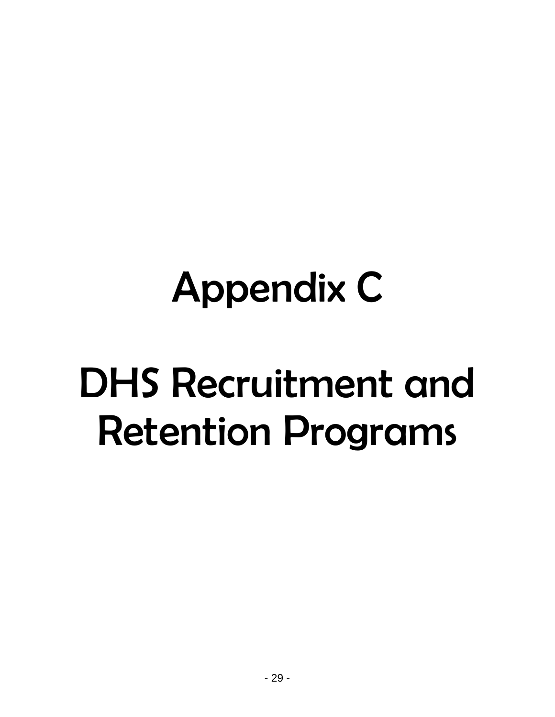## Appendix C

## DHS Recruitment and Retention Programs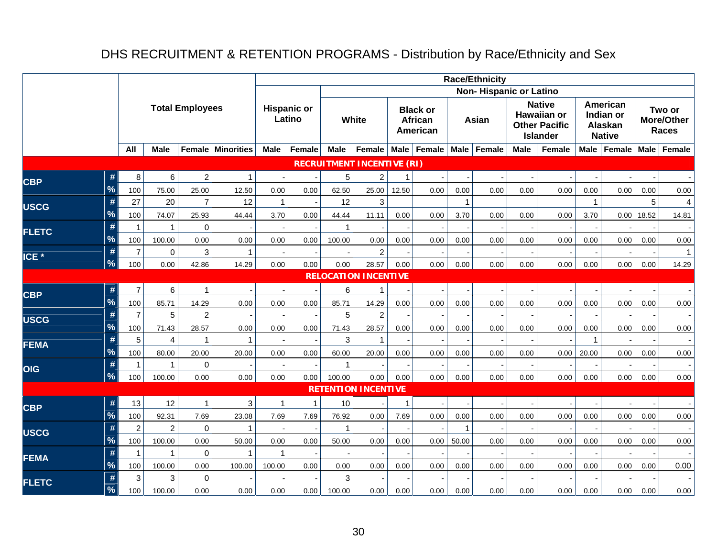## DHS RECRUITMENT & RETENTION PROGRAMS - Distribution by Race/Ethnicity and Sex

|                  |                          |                     |                         |                        |                   |              |                    |                       |                                   |       |                                               |              | <b>Race/Ethnicity</b>         |             |                                                                         |              |                                                   |       |                                             |
|------------------|--------------------------|---------------------|-------------------------|------------------------|-------------------|--------------|--------------------|-----------------------|-----------------------------------|-------|-----------------------------------------------|--------------|-------------------------------|-------------|-------------------------------------------------------------------------|--------------|---------------------------------------------------|-------|---------------------------------------------|
|                  |                          |                     |                         |                        |                   |              |                    |                       |                                   |       |                                               |              | <b>Non-Hispanic or Latino</b> |             |                                                                         |              |                                                   |       |                                             |
|                  |                          |                     |                         | <b>Total Employees</b> |                   | Latino       | <b>Hispanic or</b> |                       | White                             |       | <b>Black or</b><br><b>African</b><br>American |              | Asian                         |             | <b>Native</b><br>Hawaiian or<br><b>Other Pacific</b><br><b>Islander</b> |              | American<br>Indian or<br>Alaskan<br><b>Native</b> |       | Two or<br><b>More/Other</b><br><b>Races</b> |
|                  |                          | All                 | <b>Male</b>             |                        | Female Minorities | <b>Male</b>  | Female             | <b>Male</b>           | Female                            |       | Male   Female                                 | <b>Male</b>  | Female                        | <b>Male</b> | Female                                                                  |              | Male   Female                                     |       | Male   Female                               |
|                  |                          |                     |                         |                        |                   |              |                    |                       | <b>RECRUITMENT INCENTIVE (RI)</b> |       |                                               |              |                               |             |                                                                         |              |                                                   |       |                                             |
| <b>CBP</b>       | #                        | 8                   | 6                       | $\overline{c}$         | 1                 |              |                    | 5                     | $\overline{c}$                    | 1     |                                               |              |                               |             |                                                                         |              |                                                   |       |                                             |
|                  | %                        | 100                 | 75.00                   | 25.00                  | 12.50             | 0.00         | 0.00               | 62.50                 | 25.00                             | 12.50 | 0.00                                          | 0.00         | 0.00                          | 0.00        | 0.00                                                                    | 0.00         | 0.00                                              | 0.00  | 0.00                                        |
| <b>USCG</b>      | #                        | 27                  | 20                      | $\overline{7}$         | 12                | $\mathbf{1}$ |                    | 12                    | 3                                 |       |                                               | $\mathbf{1}$ |                               |             |                                                                         | $\mathbf{1}$ |                                                   | 5     | 4                                           |
|                  | %                        | 100                 | 74.07                   | 25.93                  | 44.44             | 3.70         | 0.00               | 44.44                 | 11.11                             | 0.00  | 0.00                                          | 3.70         | 0.00                          | 0.00        | 0.00                                                                    | 3.70         | 0.00                                              | 18.52 | 14.81                                       |
| <b>FLETC</b>     | #                        | $\mathbf{1}$        | $\mathbf{1}$            | $\overline{0}$         |                   |              |                    | 1                     |                                   |       |                                               |              |                               |             |                                                                         |              |                                                   |       |                                             |
|                  | %                        | 100                 | 100.00                  | 0.00                   | 0.00              | 0.00         | 0.00               | 100.00                | 0.00                              | 0.00  | 0.00                                          | 0.00         | 0.00                          | 0.00        | 0.00                                                                    | 0.00         | 0.00                                              | 0.00  | 0.00                                        |
| ICE <sup>*</sup> | #                        | $\overline{7}$      | $\pmb{0}$               | 3                      | $\mathbf{1}$      |              |                    |                       | $\overline{c}$                    |       |                                               |              |                               |             |                                                                         |              |                                                   |       | $\mathbf{1}$                                |
|                  | $\overline{\mathcal{C}}$ | 100                 | 0.00                    | 42.86                  | 14.29             | 0.00         | 0.00               | 0.00                  | 28.57                             | 0.00  | 0.00                                          | 0.00         | 0.00                          | 0.00        | 0.00                                                                    | 0.00         | 0.00                                              | 0.00  | 14.29                                       |
|                  |                          |                     |                         |                        |                   |              |                    |                       | <b>RELOCATION INCENTIVE</b>       |       |                                               |              |                               |             |                                                                         |              |                                                   |       |                                             |
| <b>CBP</b>       | #                        | $\overline{7}$      | $\,6\,$                 | 1                      |                   |              |                    | 6                     | 1                                 |       |                                               |              |                               |             |                                                                         |              |                                                   |       | $\blacksquare$                              |
|                  | %                        | 100                 | 85.71                   | 14.29                  | 0.00              | 0.00         | 0.00               | 85.71                 | 14.29                             | 0.00  | 0.00                                          | 0.00         | 0.00                          | 0.00        | 0.00                                                                    | 0.00         | 0.00                                              | 0.00  | 0.00                                        |
| <b>USCG</b>      | #                        | $\overline{7}$      | 5                       | $\overline{c}$         |                   |              |                    | 5                     | $\overline{2}$                    |       |                                               |              |                               |             |                                                                         |              |                                                   |       |                                             |
|                  | %                        | 100                 | 71.43<br>$\overline{4}$ | 28.57                  | 0.00              | 0.00         | 0.00               | 71.43                 | 28.57                             | 0.00  | 0.00                                          | 0.00         | 0.00                          | 0.00        | 0.00                                                                    | 0.00         | 0.00                                              | 0.00  | 0.00                                        |
| <b>FEMA</b>      | #<br>%                   | 5                   |                         | $\mathbf{1}$           | $\mathbf{1}$      |              |                    | 3                     |                                   |       |                                               |              |                               |             |                                                                         |              |                                                   |       |                                             |
|                  | #                        | 100<br>$\mathbf{1}$ | 80.00<br>$\mathbf 1$    | 20.00<br>0             | 20.00             | 0.00         | 0.00               | 60.00<br>$\mathbf{1}$ | 20.00                             | 0.00  | 0.00                                          | 0.00         | 0.00                          | 0.00        | 0.00                                                                    | 20.00        | 0.00                                              | 0.00  | 0.00                                        |
| <b>OIG</b>       | $\overline{\frac{9}{6}}$ | 100                 | 100.00                  | 0.00                   | 0.00              | 0.00         | 0.00               | 100.00                | 0.00                              | 0.00  | 0.00                                          | 0.00         | 0.00                          | 0.00        | 0.00                                                                    | 0.00         | 0.00                                              | 0.00  | 0.00                                        |
|                  |                          |                     |                         |                        |                   |              |                    |                       | <b>RETENTION INCENTIVE</b>        |       |                                               |              |                               |             |                                                                         |              |                                                   |       |                                             |
|                  | #                        | 13                  | 12                      | 1                      | 3                 | 1            | $\mathbf 1$        | 10                    |                                   |       |                                               |              |                               |             |                                                                         |              |                                                   |       |                                             |
| <b>CBP</b>       | %                        | 100                 | 92.31                   | 7.69                   | 23.08             | 7.69         | 7.69               | 76.92                 | 0.00                              | 7.69  | 0.00                                          | 0.00         | 0.00                          | 0.00        | 0.00                                                                    | 0.00         | 0.00                                              | 0.00  | 0.00                                        |
|                  | #                        | $\overline{2}$      | $\overline{c}$          | 0                      | $\mathbf{1}$      |              |                    | $\overline{1}$        |                                   |       |                                               | $\mathbf{1}$ |                               |             |                                                                         |              |                                                   |       |                                             |
| <b>USCG</b>      | %                        | 100                 | 100.00                  | 0.00                   | 50.00             | 0.00         | 0.00               | 50.00                 | 0.00                              | 0.00  | 0.00                                          | 50.00        | 0.00                          | 0.00        | 0.00                                                                    | 0.00         | 0.00                                              | 0.00  | 0.00                                        |
| <b>FEMA</b>      | #                        | $\mathbf{1}$        | $\mathbf{1}$            | $\mathbf 0$            | $\mathbf{1}$      | $\mathbf{1}$ |                    |                       |                                   |       |                                               |              |                               |             |                                                                         |              |                                                   |       |                                             |
|                  | %                        | 100                 | 100.00                  | 0.00                   | 100.00            | 100.00       | 0.00               | 0.00                  | 0.00                              | 0.00  | 0.00                                          | 0.00         | 0.00                          | 0.00        | 0.00                                                                    | 0.00         | 0.00                                              | 0.00  | 0.00                                        |
| <b>FLETC</b>     | #                        | 3                   | $\mathfrak{S}$          | $\pmb{0}$              |                   |              |                    | 3                     |                                   |       |                                               |              |                               |             |                                                                         |              |                                                   |       |                                             |
|                  | %                        | 100                 | 100.00                  | 0.00                   | 0.00              | 0.00         | 0.00               | 100.00                | 0.00                              | 0.00  | 0.00                                          | 0.00         | 0.00                          | 0.00        | 0.00                                                                    | 0.00         | 0.00                                              | 0.00  | 0.00                                        |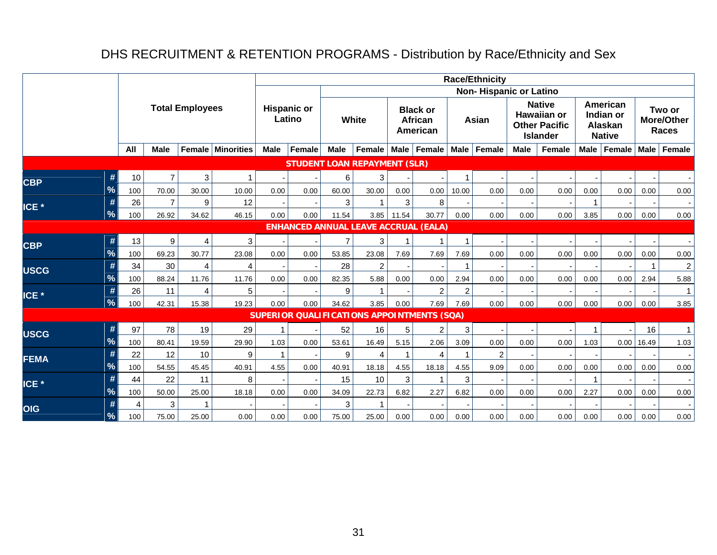## DHS RECRUITMENT & RETENTION PROGRAMS - Distribution by Race/Ethnicity and Sex

|                  |      |     |                |                        |                |             |                              |                |                                             |       |                                        |                | <b>Race/Ethnicity</b>  |             |                                                                                |      |                                                          |                          |                                             |
|------------------|------|-----|----------------|------------------------|----------------|-------------|------------------------------|----------------|---------------------------------------------|-------|----------------------------------------|----------------|------------------------|-------------|--------------------------------------------------------------------------------|------|----------------------------------------------------------|--------------------------|---------------------------------------------|
|                  |      |     |                |                        |                |             |                              |                |                                             |       |                                        |                | Non-Hispanic or Latino |             |                                                                                |      |                                                          |                          |                                             |
|                  |      |     |                | <b>Total Employees</b> |                |             | <b>Hispanic or</b><br>Latino |                | White                                       |       | <b>Black or</b><br>African<br>American |                | Asian                  |             | <b>Native</b><br><b>Hawaiian or</b><br><b>Other Pacific</b><br><b>Islander</b> |      | American<br>Indian or<br><b>Alaskan</b><br><b>Native</b> |                          | Two or<br><b>More/Other</b><br><b>Races</b> |
|                  |      | All | <b>Male</b>    | Female                 | Minorities     | <b>Male</b> | Female                       | <b>Male</b>    | Female                                      |       | Male   Female                          | <b>Male</b>    | Female                 | <b>Male</b> | Female                                                                         | Male | Female                                                   | <b>Male</b>              | Female                                      |
|                  |      |     |                |                        |                |             |                              |                | <b>STUDENT LOAN REPAYMENT (SLR)</b>         |       |                                        |                |                        |             |                                                                                |      |                                                          |                          |                                             |
|                  | #    | 10  | $\overline{7}$ | 3                      |                |             |                              | 6              | 3                                           |       |                                        | 1              |                        |             |                                                                                |      |                                                          |                          |                                             |
| <b>CBP</b>       | %    | 100 | 70.00          | 30.00                  | 10.00          | 0.00        | 0.00                         | 60.00          | 30.00                                       | 0.00  | 0.00                                   | 10.00          | 0.00                   | 0.00        | 0.00                                                                           | 0.00 | 0.00                                                     | 0.00                     | $0.00\,$                                    |
| ICE <sup>*</sup> |      | 26  | $\overline{7}$ | 9                      | 12             |             |                              | 3              |                                             | 3     | 8                                      |                |                        |             |                                                                                |      |                                                          |                          |                                             |
|                  | %    | 100 | 26.92          | 34.62                  | 46.15          | 0.00        | 0.00                         | 11.54          | 3.85                                        | 11.54 | 30.77                                  | 0.00           | 0.00                   | 0.00        | 0.00                                                                           | 3.85 | 0.00                                                     | 0.00                     | 0.00                                        |
|                  |      |     |                |                        |                |             |                              |                | <b>ENHANCED ANNUAL LEAVE ACCRUAL (EALA)</b> |       |                                        |                |                        |             |                                                                                |      |                                                          |                          |                                             |
| <b>CBP</b>       | #    | 13  | 9              | $\overline{4}$         | 3              |             |                              | $\overline{7}$ | 3                                           |       | 1                                      | 1              |                        |             |                                                                                |      |                                                          |                          |                                             |
|                  | $\%$ | 100 | 69.23          | 30.77                  | 23.08          | 0.00        | 0.00                         | 53.85          | 23.08                                       | 7.69  | 7.69                                   | 7.69           | 0.00                   | 0.00        | 0.00                                                                           | 0.00 | 0.00                                                     | 0.00                     | 0.00                                        |
| <b>USCG</b>      |      | 34  | 30             | $\overline{4}$         | $\overline{4}$ |             |                              | 28             | $\overline{2}$                              |       |                                        | $\overline{1}$ |                        |             |                                                                                |      |                                                          | 1                        | $\boldsymbol{2}$                            |
|                  | $\%$ | 100 | 88.24          | 11.76                  | 11.76          | 0.00        | 0.00                         | 82.35          | 5.88                                        | 0.00  | 0.00                                   | 2.94           | 0.00                   | 0.00        | 0.00                                                                           | 0.00 | 0.00                                                     | 2.94                     | 5.88                                        |
| ICE <sup>*</sup> | #    | 26  | 11             | $\overline{4}$         | 5              |             |                              | 9              |                                             |       | $\overline{2}$                         | $\overline{2}$ |                        |             |                                                                                |      |                                                          |                          | 1                                           |
|                  | %    | 100 | 42.31          | 15.38                  | 19.23          | 0.00        | 0.00                         | 34.62          | 3.85                                        | 0.00  | 7.69                                   | 7.69           | 0.00                   | 0.00        | 0.00                                                                           | 0.00 | 0.00                                                     | 0.00                     | 3.85                                        |
|                  |      |     |                |                        |                |             |                              |                | SUPERIOR QUALIFICATIONS APPOINTMENTS (SQA)  |       |                                        |                |                        |             |                                                                                |      |                                                          |                          |                                             |
| <b>USCG</b>      |      | 97  | 78             | 19                     | 29             | 1           |                              | 52             | 16                                          | 5     | $\overline{2}$                         | 3              |                        |             |                                                                                |      |                                                          | 16                       | $\mathbf{1}$                                |
|                  | %    | 100 | 80.41          | 19.59                  | 29.90          | 1.03        | 0.00                         | 53.61          | 16.49                                       | 5.15  | 2.06                                   | 3.09           | 0.00                   | 0.00        | 0.00                                                                           | 1.03 |                                                          | $0.00$   16.49           | 1.03                                        |
| <b>FEMA</b>      |      | 22  | 12             | 10                     | 9              | 1           |                              | 9              | 4                                           |       | $\overline{4}$                         | -1             | $\overline{c}$         |             |                                                                                |      |                                                          | $\overline{\phantom{a}}$ | $\sim$                                      |
|                  | %    | 100 | 54.55          | 45.45                  | 40.91          | 4.55        | 0.00                         | 40.91          | 18.18                                       | 4.55  | 18.18                                  | 4.55           | 9.09                   | 0.00        | 0.00                                                                           | 0.00 | 0.00                                                     | 0.00                     | 0.00                                        |
| ICE <sup>*</sup> | #    | 44  | 22             | 11                     | 8              |             |                              | 15             | 10                                          | 3     | $\overline{1}$                         | 3              |                        |             |                                                                                |      |                                                          |                          |                                             |
|                  | %    | 100 | 50.00          | 25.00                  | 18.18          | 0.00        | 0.00                         | 34.09          | 22.73                                       | 6.82  | 2.27                                   | 6.82           | 0.00                   | 0.00        | 0.00                                                                           | 2.27 | 0.00                                                     | 0.00                     | 0.00                                        |
| <b>OIG</b>       |      | 4   | 3              |                        |                |             |                              | 3              |                                             |       |                                        |                |                        |             |                                                                                |      |                                                          |                          |                                             |
|                  | %    | 100 | 75.00          | 25.00                  | 0.00           | 0.00        | 0.00                         | 75.00          | 25.00                                       | 0.00  | 0.00                                   | 0.00           | 0.00                   | 0.00        | 0.00                                                                           | 0.00 | 0.00                                                     | 0.00                     | 0.00                                        |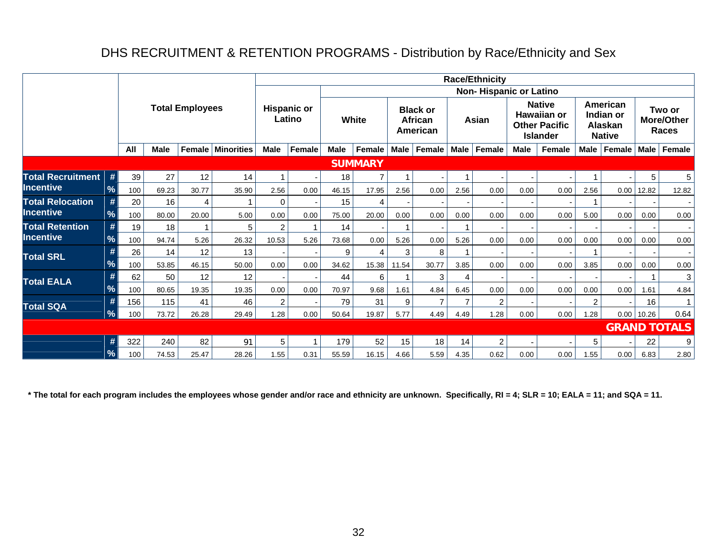## DHS RECRUITMENT & RETENTION PROGRAMS - Distribution by Race/Ethnicity and Sex

|                          |               |     |             |                        |            |                |                              |             |                |             |                                        |      | <b>Race/Ethnicity</b>  |             |                                                                         |                |                                                   |                |                               |
|--------------------------|---------------|-----|-------------|------------------------|------------|----------------|------------------------------|-------------|----------------|-------------|----------------------------------------|------|------------------------|-------------|-------------------------------------------------------------------------|----------------|---------------------------------------------------|----------------|-------------------------------|
|                          |               |     |             |                        |            |                |                              |             |                |             |                                        |      | Non-Hispanic or Latino |             |                                                                         |                |                                                   |                |                               |
|                          |               |     |             | <b>Total Employees</b> |            |                | <b>Hispanic or</b><br>Latino |             | White          |             | <b>Black or</b><br>African<br>American |      | Asian                  |             | <b>Native</b><br>Hawaiian or<br><b>Other Pacific</b><br><b>Islander</b> |                | American<br>Indian or<br>Alaskan<br><b>Native</b> |                | Two or<br>More/Other<br>Races |
|                          |               | All | <b>Male</b> | Female                 | Minorities | <b>Male</b>    | Female                       | <b>Male</b> | Female         | <b>Male</b> | Female                                 | Male | Female                 | <b>Male</b> | Female                                                                  | <b>Male</b>    | Female                                            | Male           | Female                        |
|                          |               |     |             |                        |            |                |                              |             | <b>SUMMARY</b> |             |                                        |      |                        |             |                                                                         |                |                                                   |                |                               |
| <b>Total Recruitment</b> | #             | 39  | 27          | 12                     | 14         |                |                              | 18          | 7              |             |                                        |      |                        |             |                                                                         |                |                                                   | 5              | $5\phantom{.0}$               |
| <b>Incentive</b>         | %             | 100 | 69.23       | 30.77                  | 35.90      | 2.56           | 0.00                         | 46.15       | 17.95          | 2.56        | 0.00                                   | 2.56 | 0.00                   | 0.00        | 0.00                                                                    | 2.56           |                                                   | $0.00$   12.82 | 12.82                         |
| <b>Total Relocation</b>  | #             | 20  | 16          | 4                      |            | 0              |                              | 15          | 4              |             |                                        |      |                        |             |                                                                         |                |                                                   |                |                               |
| Incentive                | %             | 100 | 80.00       | 20.00                  | 5.00       | 0.00           | 0.00                         | 75.00       | 20.00          | 0.00        | 0.00                                   | 0.00 | 0.00                   | 0.00        | 0.00                                                                    | 5.00           | 0.00                                              | 0.00           | 0.00                          |
| <b>Total Retention</b>   | #             | 19  | 18          | 1                      | 5          | 2              |                              | 14          |                |             |                                        |      |                        |             |                                                                         |                |                                                   |                |                               |
| <b>Incentive</b>         | %             | 100 | 94.74       | 5.26                   | 26.32      | 10.53          | 5.26                         | 73.68       | 0.00           | 5.26        | 0.00                                   | 5.26 | 0.00                   | 0.00        | 0.00                                                                    | 0.00           | 0.00                                              | 0.00           | 0.00                          |
| <b>Total SRL</b>         |               | 26  | 14          | 12                     | 13         |                |                              | 9           | 4              | 3           | 8                                      |      |                        |             |                                                                         |                |                                                   |                |                               |
|                          | $\frac{1}{2}$ | 100 | 53.85       | 46.15                  | 50.00      | 0.00           | 0.00                         | 34.62       | 15.38          | 11.54       | 30.77                                  | 3.85 | 0.00                   | 0.00        | 0.00                                                                    | 3.85           | 0.00                                              | 0.00           | 0.00                          |
| <b>Total EALA</b>        |               | 62  | 50          | 12                     | 12         |                |                              | 44          | 6              |             | 3                                      | 4    |                        |             |                                                                         |                |                                                   |                | $\mathbf{3}$                  |
|                          | $\frac{1}{2}$ | 100 | 80.65       | 19.35                  | 19.35      | 0.00           | 0.00                         | 70.97       | 9.68           | 1.61        | 4.84                                   | 6.45 | 0.00                   | 0.00        | 0.00                                                                    | 0.00           | 0.00                                              | 1.61           | 4.84                          |
| <b>Total SQA</b>         |               | 156 | 115         | 41                     | 46         | $\overline{2}$ |                              | 79          | 31             | 9           | $\overline{7}$                         |      | $\overline{2}$         |             |                                                                         | $\overline{2}$ |                                                   | 16             | $\mathbf{1}$                  |
|                          | $\frac{9}{6}$ | 100 | 73.72       | 26.28                  | 29.49      | 1.28           | 0.00                         | 50.64       | 19.87          | 5.77        | 4.49                                   | 4.49 | 1.28                   | 0.00        | 0.00                                                                    | 1.28           |                                                   | $0.00$   10.26 | 0.64                          |
|                          |               |     |             |                        |            |                |                              |             |                |             |                                        |      |                        |             |                                                                         |                |                                                   |                | <b>GRAND TOTALS</b>           |
|                          | #             | 322 | 240         | 82                     | 91         | 5              |                              | 179         | 52             | 15          | 18                                     | 14   | $\overline{c}$         |             |                                                                         | 5              |                                                   | 22             | 9                             |
|                          | %             | 100 | 74.53       | 25.47                  | 28.26      | 1.55           | 0.31                         | 55.59       | 16.15          | 4.66        | 5.59                                   | 4.35 | 0.62                   | 0.00        | 0.00                                                                    | 1.55           | 0.00                                              | 6.83           | 2.80                          |

**\* The total for each program includes the employees whose gender and/or race and ethnicity are unknown. Specifically, RI = 4; SLR = 10; EALA = 11; and SQA = 11.**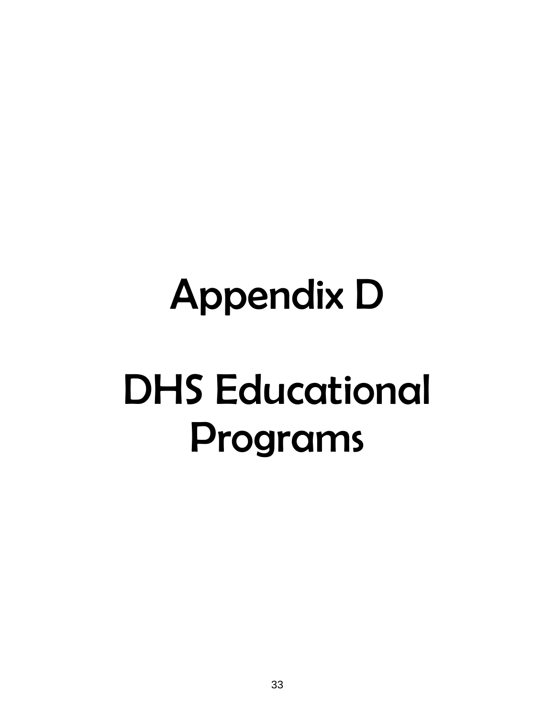# Appendix D DHS Educational Programs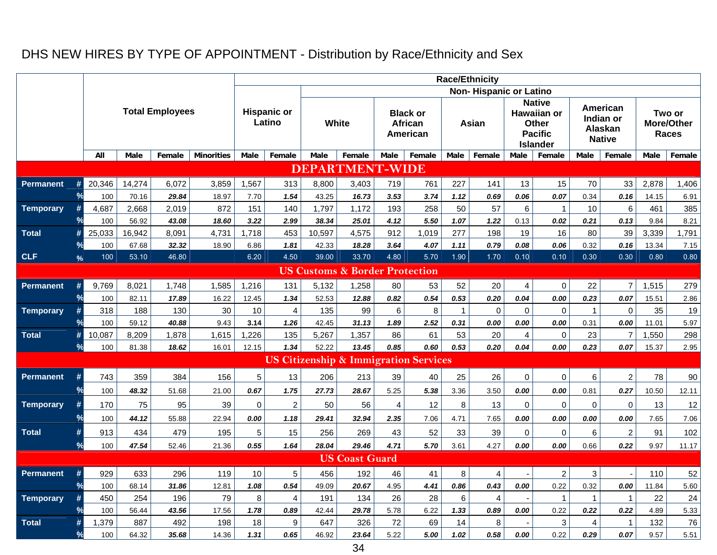## DHS NEW HIRES BY TYPE OF APPOINTMENT - Distribution by Race/Ethnicity and Sex

|                  |               |        |                                                                                                                                                                                                                                                                                                                                                                                                                                               |        |                   |             |                              |             |                                           |                |                                                  |             | <b>Race/Ethnicity</b>           |             |                                                                            |                      |                                                   |       |                               |
|------------------|---------------|--------|-----------------------------------------------------------------------------------------------------------------------------------------------------------------------------------------------------------------------------------------------------------------------------------------------------------------------------------------------------------------------------------------------------------------------------------------------|--------|-------------------|-------------|------------------------------|-------------|-------------------------------------------|----------------|--------------------------------------------------|-------------|---------------------------------|-------------|----------------------------------------------------------------------------|----------------------|---------------------------------------------------|-------|-------------------------------|
|                  |               |        |                                                                                                                                                                                                                                                                                                                                                                                                                                               |        |                   |             |                              |             |                                           |                |                                                  |             | Non-Hispanic or Latino          |             |                                                                            |                      |                                                   |       |                               |
|                  |               |        |                                                                                                                                                                                                                                                                                                                                                                                                                                               |        |                   |             | <b>Hispanic or</b><br>Latino |             | White                                     |                | <b>Black or</b><br><b>African</b><br>American    |             | Asian                           |             | <b>Native</b><br>Hawaiian or<br>Other<br><b>Pacific</b><br><b>Islander</b> |                      | American<br>Indian or<br>Alaskan<br><b>Native</b> |       | Two or<br>More/Other<br>Races |
|                  |               | All    | <b>Male</b>                                                                                                                                                                                                                                                                                                                                                                                                                                   | Female | <b>Minorities</b> | Male        | Female                       | <b>Male</b> | Female                                    | Male           | Female                                           | <b>Male</b> | Female                          | Male        | Female                                                                     | <b>Male</b>          | Female                                            | Male  | Female                        |
|                  |               |        | <b>Total Employees</b><br>14,274<br>6,072<br>29.84<br>70.16<br>2,668<br>2,019<br>56.92<br>43.08<br>16,942<br>8,091<br>32.32<br>67.68<br>53.10<br>46.80<br>8,021<br>1,748<br>82.11<br>17.89<br>188<br>130<br>40.88<br>59.12<br>8,209<br>1,878<br>81.38<br>18.62<br>359<br>384<br>48.32<br>51.68<br>75<br>95<br>44.12<br>55.88<br>913<br>434<br>479<br>100<br>47.54<br>52.46<br>929<br>633<br>296<br>100<br>31.86<br>68.14<br>450<br>254<br>196 |        |                   |             |                              |             | <b>DEPARTMENT-WIDE</b>                    |                |                                                  |             |                                 |             |                                                                            |                      |                                                   |       |                               |
| <b>Permanent</b> | #             | 20,346 |                                                                                                                                                                                                                                                                                                                                                                                                                                               |        | 3,859             | 1,567       | 313                          | 8,800       | 3,403                                     | 719            | 761                                              | 227         | 141                             | 13          | 15                                                                         | 70                   | 33                                                | 2,878 | 1,406                         |
|                  | $\frac{6}{6}$ | 100    |                                                                                                                                                                                                                                                                                                                                                                                                                                               |        | 18.97             | 7.70        | 1.54                         | 43.25       | 16.73                                     | 3.53           | 3.74                                             | 1.12        | 0.69                            | 0.06        | 0.07                                                                       | 0.34                 | 0.16                                              | 14.15 | 6.91                          |
| <b>Temporary</b> | #             | 4,687  |                                                                                                                                                                                                                                                                                                                                                                                                                                               |        | 872               | 151         | 140                          | 1,797       | 1,172                                     | 193            | 258                                              | 50          | 57                              | 6           | $\mathbf{1}$                                                               | 10                   | 6                                                 | 461   | 385                           |
|                  |               | 100    |                                                                                                                                                                                                                                                                                                                                                                                                                                               |        | 18.60             | 3.22        | 2.99                         | 38.34       | 25.01                                     | 4.12           | 5.50                                             | 1.07        | 1.22                            | 0.13        | 0.02                                                                       | 0.21                 | 0.13                                              | 9.84  | 8.21                          |
| <b>Total</b>     | #             | 25,033 |                                                                                                                                                                                                                                                                                                                                                                                                                                               |        | 4,731             | 1,718       | 453                          | 10,597      | 4,575                                     | 912            | 1,019                                            | 277         | 198                             | 19          | 16                                                                         | 80                   | 39                                                | 3,339 | 1,791                         |
|                  |               | 100    |                                                                                                                                                                                                                                                                                                                                                                                                                                               |        |                   | 6.86        | 1.81                         | 42.33       | 18.28                                     | 3.64           | 4.07                                             | 1.11        | 0.79                            | 0.08        | 0.06                                                                       | 0.32                 | 0.16                                              | 13.34 | 7.15                          |
| <b>CLF</b>       | $\%$          | 100    |                                                                                                                                                                                                                                                                                                                                                                                                                                               |        |                   | 6.20        | 4.50                         | 39.00       | 33.70                                     | 4.80           | 5.70                                             | 1.90        | 1.70                            | 0.10        | 0.10                                                                       | 0.30                 | 0.30                                              | 0.80  | 0.80                          |
|                  |               |        |                                                                                                                                                                                                                                                                                                                                                                                                                                               |        |                   |             |                              |             | <b>US Customs &amp; Border Protection</b> |                |                                                  |             |                                 |             |                                                                            |                      |                                                   |       |                               |
| <b>Permanent</b> |               | 9,769  |                                                                                                                                                                                                                                                                                                                                                                                                                                               |        | 1,585             | 1,216       | 131                          | 5,132       | 1,258                                     | 80             | 53                                               | 52          | 20                              | 4           | 0                                                                          | 22                   | $\overline{7}$                                    | 1,515 | 279                           |
|                  |               | 100    |                                                                                                                                                                                                                                                                                                                                                                                                                                               |        | 16.22             | 12.45       | 1.34                         | 52.53       | 12.88                                     | 0.82           | 0.54                                             | 0.53        | 0.20                            | 0.04        | 0.00                                                                       | 0.23                 | 0.07                                              | 15.51 | 2.86                          |
| <b>Temporary</b> |               | 318    |                                                                                                                                                                                                                                                                                                                                                                                                                                               |        | 30                | 10          | $\overline{4}$               | 135         | 99                                        | 6              | 8                                                | $\mathbf 1$ | $\mathbf 0$                     | $\Omega$    | $\Omega$                                                                   | $\mathbf 1$          | 0                                                 | 35    | 19                            |
|                  |               | 100    |                                                                                                                                                                                                                                                                                                                                                                                                                                               |        | 9.43              | 3.14        | 1.26                         | 42.45       | 31.13                                     | 1.89           | 2.52                                             | 0.31        | 0.00                            | 0.00        | 0.00                                                                       | 0.31                 | 0.00                                              | 11.01 | 5.97                          |
| <b>Total</b>     | #             | 10,087 | 18.90<br>1,615                                                                                                                                                                                                                                                                                                                                                                                                                                |        |                   | 1,226       | 135                          | 5,267       | 1,357                                     | 86             | 61                                               | 53          | 20                              | 4           | $\Omega$                                                                   | 23                   | $\overline{7}$                                    | 1,550 | 298                           |
|                  | $\frac{6}{6}$ | 100    |                                                                                                                                                                                                                                                                                                                                                                                                                                               |        | 16.01             | 12.15       | 1.34                         | 52.22       | 13.45                                     | 0.85           | 0.60                                             | 0.53        | 0.20                            | 0.04        | 0.00                                                                       | 0.23                 | 0.07                                              | 15.37 | 2.95                          |
|                  |               |        |                                                                                                                                                                                                                                                                                                                                                                                                                                               |        |                   |             |                              |             |                                           |                | <b>US Citizenship &amp; Immigration Services</b> |             |                                 |             |                                                                            |                      |                                                   |       |                               |
| <b>Permanent</b> | #             | 743    |                                                                                                                                                                                                                                                                                                                                                                                                                                               |        | 156               | $\sqrt{5}$  | 13                           | 206         | 213                                       | 39             | 40                                               | 25          | 26                              | $\mathbf 0$ | 0                                                                          | 6                    | $\boldsymbol{2}$                                  | 78    | 90                            |
|                  | $\frac{9}{6}$ | 100    |                                                                                                                                                                                                                                                                                                                                                                                                                                               |        | 21.00             | 0.67        | 1.75                         | 27.73       | 28.67                                     | 5.25           | 5.38                                             | 3.36        | 3.50                            | 0.00        | 0.00                                                                       | 0.81                 | 0.27                                              | 10.50 | 12.11                         |
| <b>Temporary</b> | #             | 170    |                                                                                                                                                                                                                                                                                                                                                                                                                                               |        | 39                | $\mathbf 0$ | $\overline{c}$               | 50          | 56                                        | $\overline{4}$ | 12                                               | 8           | 13                              | $\mathbf 0$ | $\Omega$                                                                   | $\mathbf 0$          | 0                                                 | 13    | 12                            |
|                  | $\frac{9}{6}$ | 100    |                                                                                                                                                                                                                                                                                                                                                                                                                                               |        | 22.94             | 0.00        | 1.18                         | 29.41       | 32.94                                     | 2.35           | 7.06                                             | 4.71        | 7.65                            | 0.00        | 0.00                                                                       | 0.00                 | 0.00                                              | 7.65  | 7.06                          |
| <b>Total</b>     | #             |        |                                                                                                                                                                                                                                                                                                                                                                                                                                               |        | 195               | 5           | 15                           | 256         | 269                                       | 43             | 52                                               | 33          | 39                              | $\mathbf 0$ | $\Omega$                                                                   | $\,6$                | $\overline{c}$                                    | 91    | 102                           |
|                  | $\frac{6}{5}$ |        |                                                                                                                                                                                                                                                                                                                                                                                                                                               |        |                   | 0.55        | 1.64                         | 28.04       | 29.46                                     | 4.71           | 5.70                                             | 3.61        | 4.27                            | 0.00        | 0.00                                                                       | 0.66                 | 0.22                                              | 9.97  | 11.17                         |
|                  |               |        |                                                                                                                                                                                                                                                                                                                                                                                                                                               |        |                   |             |                              |             | <b>US Coast Guard</b>                     |                |                                                  |             |                                 |             |                                                                            |                      |                                                   |       |                               |
|                  |               |        |                                                                                                                                                                                                                                                                                                                                                                                                                                               |        |                   | 10          | 5                            | 456         | 192                                       |                |                                                  |             |                                 |             |                                                                            |                      |                                                   | 110   |                               |
| <b>Permanent</b> |               |        |                                                                                                                                                                                                                                                                                                                                                                                                                                               |        |                   | 1.08        | 0.54                         | 49.09       | 20.67                                     | 46<br>4.95     | 41<br>4.41                                       | 8<br>0.86   | $\overline{\mathbf{4}}$<br>0.43 | 0.00        | $\overline{2}$<br>0.22                                                     | $\mathbf{3}$<br>0.32 | 0.00                                              | 11.84 | 52<br>5.60                    |
| <b>Temporary</b> |               |        |                                                                                                                                                                                                                                                                                                                                                                                                                                               |        | 79                | $\bf 8$     | $\overline{4}$               | 191         | 134                                       | 26             | 28                                               | 6           | $\overline{4}$                  |             | $\mathbf 1$                                                                | $\mathbf 1$          | $\mathbf{1}$                                      | 22    | 24                            |
|                  |               | 100    |                                                                                                                                                                                                                                                                                                                                                                                                                                               |        | 17.56             | 1.78        | 0.89                         | 42.44       | 29.78                                     | 5.78           | 6.22                                             | 1.33        | 0.89                            | 0.00        | 0.22                                                                       | 0.22                 | 0.22                                              | 4.89  | 5.33                          |
| <b>Total</b>     | #             | 1,379  |                                                                                                                                                                                                                                                                                                                                                                                                                                               |        | 198               | 18          | 9                            | 647         | 326                                       | 72             | 69                                               | 14          | 8                               |             | 3                                                                          | $\overline{4}$       | 1                                                 | 132   | 76                            |
|                  | $\frac{9}{6}$ | 100    | 21.36<br>119<br>12.81<br>43.56<br>56.44<br>887<br>492<br>35.68<br>64.32<br>14.36                                                                                                                                                                                                                                                                                                                                                              |        |                   | 1.31        | 0.65                         | 46.92       | 23.64                                     | 5.22           | 5.00                                             | 1.02        | 0.58                            | 0.00        | 0.22                                                                       | 0.29                 | 0.07                                              | 9.57  | 5.51                          |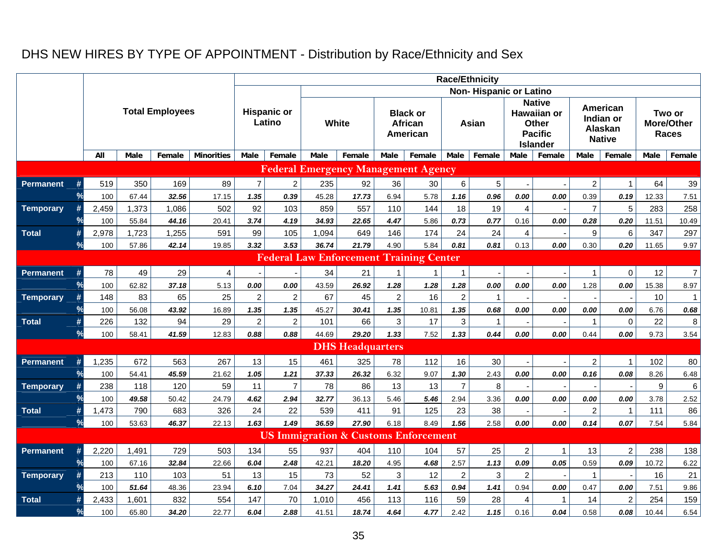## DHS NEW HIRES BY TYPE OF APPOINTMENT - Distribution by Race/Ethnicity and Sex

|                  |               |       |                                                                                                                                                                                                                                                                                                                                           |        |                   |                  |                              |       |                         |                |                                                 |                  | <b>Race/Ethnicity</b>         |                  |                                                                                   |                  |                                                          |                  |                                      |
|------------------|---------------|-------|-------------------------------------------------------------------------------------------------------------------------------------------------------------------------------------------------------------------------------------------------------------------------------------------------------------------------------------------|--------|-------------------|------------------|------------------------------|-------|-------------------------|----------------|-------------------------------------------------|------------------|-------------------------------|------------------|-----------------------------------------------------------------------------------|------------------|----------------------------------------------------------|------------------|--------------------------------------|
|                  |               |       |                                                                                                                                                                                                                                                                                                                                           |        |                   |                  |                              |       |                         |                |                                                 |                  | <b>Non-Hispanic or Latino</b> |                  |                                                                                   |                  |                                                          |                  |                                      |
|                  |               |       |                                                                                                                                                                                                                                                                                                                                           |        |                   |                  | <b>Hispanic or</b><br>Latino | White |                         |                | <b>Black or</b><br>African<br>American          |                  | Asian                         |                  | <b>Native</b><br>Hawaiian or<br><b>Other</b><br><b>Pacific</b><br><b>Islander</b> |                  | American<br>Indian or<br><b>Alaskan</b><br><b>Native</b> |                  | Two or<br>More/Other<br><b>Races</b> |
|                  |               | All   | Male                                                                                                                                                                                                                                                                                                                                      | Female | <b>Minorities</b> | Male             | Female                       | Male  | Female                  | Male           | Female                                          | <b>Male</b>      | Female                        | Male             | Female                                                                            | Male             | Female                                                   | Male             | Female                               |
|                  |               |       | <b>Total Employees</b><br>350<br>169<br>32.56<br>67.44<br>1,373<br>1,086<br>55.84<br>44.16<br>1,723<br>1,255<br>57.86<br>42.14<br>49<br>29<br>62.82<br>37.18<br>83<br>65<br>56.08<br>43.92<br>132<br>94<br>41.59<br>58.41<br>672<br>563<br>54.41<br>45.59<br>118<br>120<br>49.58<br>50.42<br>790<br>683<br>53.63<br>46.37<br>729<br>1,491 |        |                   |                  |                              |       |                         |                | <b>Federal Emergency Management Agency</b>      |                  |                               |                  |                                                                                   |                  |                                                          |                  |                                      |
| <b>Permanent</b> |               | 519   |                                                                                                                                                                                                                                                                                                                                           |        | 89                | $\overline{7}$   | $\overline{2}$               | 235   | 92                      | 36             | 30                                              | 6                | 5                             |                  |                                                                                   | $\overline{2}$   | $\mathbf{1}$                                             | 64               | 39                                   |
|                  |               | 100   |                                                                                                                                                                                                                                                                                                                                           |        | 17.15             | 1.35             | 0.39                         | 45.28 | 17.73                   | 6.94           | 5.78                                            | 1.16             | 0.96                          | 0.00             | 0.00                                                                              | 0.39             | 0.19                                                     | 12.33            | 7.51                                 |
| <b>Temporary</b> |               | 2,459 |                                                                                                                                                                                                                                                                                                                                           |        | 502               | 92               | 103                          | 859   | 557                     | 110            | 144                                             | 18               | 19                            | 4                |                                                                                   | $\overline{7}$   | 5                                                        | 283              | 258                                  |
|                  |               | 100   |                                                                                                                                                                                                                                                                                                                                           |        |                   | 3.74             | 4.19                         | 34.93 | 22.65                   | 4.47           | 5.86                                            | 0.73             | 0.77                          | 0.16             | 0.00                                                                              | 0.28             | 0.20                                                     | 11.51            | 10.49                                |
| <b>Total</b>     | #             | 2,978 | 20.41<br>591<br>19.85<br>5.13<br>25<br>16.89<br>29<br>12.83<br>267<br>21.62                                                                                                                                                                                                                                                               |        | 99                | 105              | 1,094                        | 649   | 146                     | 174            | 24                                              | 24               | $\overline{4}$                |                  | 9                                                                                 | 6                | 347                                                      | 297              |                                      |
|                  |               | 100   |                                                                                                                                                                                                                                                                                                                                           |        | 3.32              | 3.53             | 36.74                        | 21.79 | 4.90                    | 5.84           | 0.81                                            | 0.81             | 0.13                          | 0.00             | 0.30                                                                              | 0.20             | 11.65                                                    | 9.97             |                                      |
|                  |               |       |                                                                                                                                                                                                                                                                                                                                           |        |                   |                  |                              |       |                         |                | <b>Federal Law Enforcement Training Center</b>  |                  |                               |                  |                                                                                   |                  |                                                          |                  |                                      |
| <b>Permanent</b> |               | 78    |                                                                                                                                                                                                                                                                                                                                           |        | $\overline{4}$    |                  |                              | 34    | 21                      | $\overline{1}$ | $\mathbf{1}$                                    | $\mathbf{1}$     |                               |                  |                                                                                   | $\mathbf{1}$     | 0                                                        | 12               | $\overline{7}$                       |
|                  | $\frac{9}{6}$ | 100   |                                                                                                                                                                                                                                                                                                                                           |        |                   | 0.00             | 0.00                         | 43.59 | 26.92                   | 1.28           | 1.28                                            | 1.28             | 0.00                          | 0.00             | $0.00\,$                                                                          | 1.28             | 0.00                                                     | 15.38            | 8.97                                 |
| <b>Temporary</b> |               | 148   |                                                                                                                                                                                                                                                                                                                                           |        |                   | $\overline{2}$   | $\overline{c}$               | 67    | 45                      | $\overline{c}$ | 16                                              | $\overline{c}$   | $\mathbf{1}$                  |                  |                                                                                   |                  |                                                          | 10               | $\mathbf{1}$                         |
|                  | ℀             | 100   |                                                                                                                                                                                                                                                                                                                                           |        |                   | 1.35             | 1.35                         | 45.27 | 30.41                   | 1.35           | 10.81                                           | 1.35             | 0.68                          | 0.00             | 0.00                                                                              | 0.00             | 0.00                                                     | 6.76             | 0.68                                 |
| <b>Total</b>     | #             | 226   |                                                                                                                                                                                                                                                                                                                                           |        |                   | $\boldsymbol{2}$ | $\overline{c}$               | 101   | 66                      | 3              | 17                                              | 3                | $\mathbf{1}$                  |                  |                                                                                   | $\mathbf{1}$     | $\pmb{0}$                                                | 22               | $\bf 8$                              |
|                  | $\frac{9}{6}$ | 100   |                                                                                                                                                                                                                                                                                                                                           |        |                   | 0.88             | 0.88                         | 44.69 | 29.20                   | 1.33           | 7.52                                            | 1.33             | 0.44                          | 0.00             | 0.00                                                                              | 0.44             | 0.00                                                     | 9.73             | 3.54                                 |
|                  |               |       |                                                                                                                                                                                                                                                                                                                                           |        |                   |                  |                              |       | <b>DHS Headquarters</b> |                |                                                 |                  |                               |                  |                                                                                   |                  |                                                          |                  |                                      |
| <b>Permanent</b> |               | 1,235 |                                                                                                                                                                                                                                                                                                                                           |        |                   | 13               | 15                           | 461   | 325                     | 78             | 112                                             | 16               | 30                            |                  |                                                                                   | $\overline{c}$   | 1                                                        | 102              | 80                                   |
|                  |               | 100   |                                                                                                                                                                                                                                                                                                                                           |        |                   | 1.05             | 1.21                         | 37.33 | 26.32                   | 6.32           | 9.07                                            | 1.30             | 2.43                          | 0.00             | 0.00                                                                              | 0.16             | 0.08                                                     | 8.26             | 6.48                                 |
| <b>Temporary</b> |               | 238   |                                                                                                                                                                                                                                                                                                                                           |        | 59                | 11               | $\overline{7}$               | 78    | 86                      | 13             | 13                                              | $\overline{7}$   | 8                             |                  |                                                                                   |                  |                                                          | $\boldsymbol{9}$ | 6                                    |
|                  |               | 100   |                                                                                                                                                                                                                                                                                                                                           |        | 24.79             | 4.62             | 2.94                         | 32.77 | 36.13                   | 5.46           | 5.46                                            | 2.94             | 3.36                          | 0.00             | 0.00                                                                              | 0.00             | 0.00                                                     | 3.78             | 2.52                                 |
| <b>Total</b>     | #             | 1,473 |                                                                                                                                                                                                                                                                                                                                           |        | 326               | 24               | 22                           | 539   | 411                     | 91             | 125                                             | 23               | 38                            |                  |                                                                                   | $\boldsymbol{2}$ | $\mathbf{1}$                                             | 111              | 86                                   |
|                  | $\frac{9}{6}$ | 100   |                                                                                                                                                                                                                                                                                                                                           |        | 22.13             | 1.63             | 1.49                         | 36.59 | 27.90                   | 6.18           | 8.49                                            | 1.56             | 2.58                          | 0.00             | 0.00                                                                              | 0.14             | 0.07                                                     | 7.54             | 5.84                                 |
|                  |               |       |                                                                                                                                                                                                                                                                                                                                           |        |                   |                  |                              |       |                         |                | <b>US Immigration &amp; Customs Enforcement</b> |                  |                               |                  |                                                                                   |                  |                                                          |                  |                                      |
| <b>Permanent</b> |               | 2,220 |                                                                                                                                                                                                                                                                                                                                           |        | 503               | 134              | 55                           | 937   | 404                     | 110            | 104                                             | 57               | 25                            | $\overline{a}$   | -1                                                                                | 13               | $\overline{c}$                                           | 238              | 138                                  |
|                  | $\frac{6}{5}$ | 100   | 67.16                                                                                                                                                                                                                                                                                                                                     | 32.84  | 22.66             | 6.04             | 2.48                         | 42.21 | 18.20                   | 4.95           | 4.68                                            | 2.57             | 1.13                          | 0.09             | 0.05                                                                              | 0.59             | 0.09                                                     | 10.72            | 6.22                                 |
| <b>Temporary</b> |               | 213   | 110                                                                                                                                                                                                                                                                                                                                       |        | 51                | 13               | 15                           | 73    | 52                      | $\mathbf{3}$   | 12                                              | $\boldsymbol{2}$ | $\mathfrak{S}$                | $\boldsymbol{2}$ |                                                                                   | $\mathbf{1}$     |                                                          | 16               | 21                                   |
|                  | ℀             | 100   | 51.64                                                                                                                                                                                                                                                                                                                                     | 48.36  | 23.94             | 6.10             | 7.04                         | 34.27 | 24.41                   | 1.41           | 5.63                                            | 0.94             | 1.41                          | 0.94             | 0.00                                                                              | 0.47             | 0.00                                                     | 7.51             | 9.86                                 |
| <b>Total</b>     |               | 2,433 |                                                                                                                                                                                                                                                                                                                                           |        | 554               | 147              | 70                           | 1,010 | 456                     | 113            | 116                                             | 59               | 28                            | 4                | $\mathbf 1$                                                                       | 14               | $\overline{c}$                                           | 254              | 159                                  |
|                  |               | 100   | 103<br>832<br>1,601<br>65.80<br>34.20                                                                                                                                                                                                                                                                                                     |        | 22.77             | 6.04             | 2.88                         | 41.51 | 18.74                   | 4.64           | 4.77                                            | 2.42             | 1.15                          | 0.16             | 0.04                                                                              | 0.58             | 0.08                                                     | 10.44            | 6.54                                 |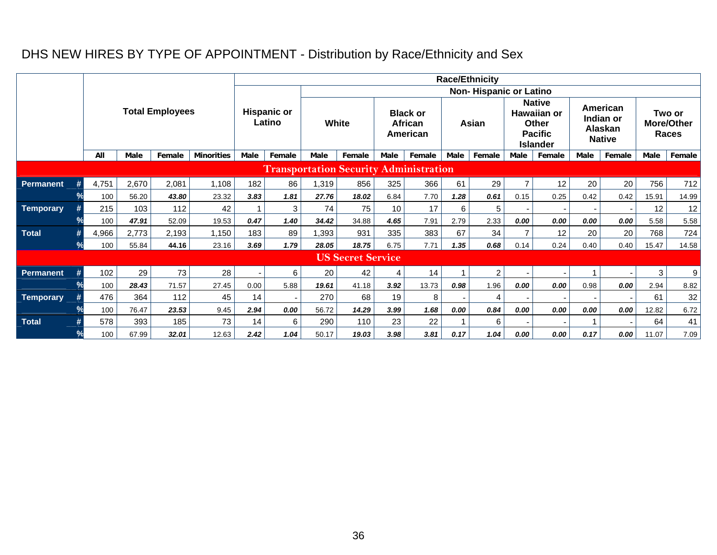## DHS NEW HIRES BY TYPE OF APPOINTMENT - Distribution by Race/Ethnicity and Sex

|                  |   |       |             |                        |                   |                          |                              |              |                          |                |                                               |             | <b>Race/Ethnicity</b>         |      |                                                                                   |             |                                                   |       |                                      |
|------------------|---|-------|-------------|------------------------|-------------------|--------------------------|------------------------------|--------------|--------------------------|----------------|-----------------------------------------------|-------------|-------------------------------|------|-----------------------------------------------------------------------------------|-------------|---------------------------------------------------|-------|--------------------------------------|
|                  |   |       |             |                        |                   |                          |                              |              |                          |                |                                               |             | <b>Non-Hispanic or Latino</b> |      |                                                                                   |             |                                                   |       |                                      |
|                  |   |       |             | <b>Total Employees</b> |                   |                          | <b>Hispanic or</b><br>Latino | <b>White</b> |                          |                | <b>Black or</b><br><b>African</b><br>American |             | Asian                         |      | <b>Native</b><br>Hawaiian or<br><b>Other</b><br><b>Pacific</b><br><b>Islander</b> |             | American<br>Indian or<br>Alaskan<br><b>Native</b> |       | Two or<br><b>More/Other</b><br>Races |
|                  |   | All   | <b>Male</b> | Female                 | <b>Minorities</b> | Male                     | Female                       | <b>Male</b>  | Female                   | <b>Male</b>    | Female                                        | <b>Male</b> | Female                        | Male | Female                                                                            | <b>Male</b> | Female                                            | Male  | Female                               |
|                  |   |       |             |                        |                   |                          |                              |              |                          |                | <b>Transportation Security Administration</b> |             |                               |      |                                                                                   |             |                                                   |       |                                      |
| <b>Permanent</b> |   | 4,751 | 2,670       | 2,081                  | 1,108             | 182                      | 86                           | 1,319        | 856                      | 325            | 366                                           | 61          | 29                            |      | 12                                                                                | 20          | 20                                                | 756   | 712                                  |
|                  |   | 100   | 56.20       | 43.80                  | 23.32             | 3.83                     | 1.81                         | 27.76        | 18.02                    | 6.84           | 7.70                                          | 1.28        | 0.61                          | 0.15 | 0.25                                                                              | 0.42        | 0.42                                              | 15.91 | 14.99                                |
| Temporary        |   | 215   | 103         | 112                    | 42                | -1                       | 3                            | 74           | 75                       | 10             | 17                                            | 6           | 5                             |      |                                                                                   |             |                                                   | 12    | 12                                   |
|                  |   | 100   | 47.91       | 52.09                  | 19.53             | 0.47                     | 1.40                         | 34.42        | 34.88                    | 4.65           | 7.91                                          | 2.79        | 2.33                          | 0.00 | 0.00                                                                              | 0.00        | 0.00                                              | 5.58  | 5.58                                 |
| <b>Total</b>     |   | 4,966 | 2,773       | 2,193                  | 1,150             | 183                      | 89                           | 1,393        | 931                      | 335            | 383                                           | 67          | 34                            |      | 12                                                                                | 20          | 20                                                | 768   | 724                                  |
|                  | ℀ | 100   | 55.84       | 44.16                  | 23.16             | 3.69                     | 1.79                         | 28.05        | 18.75                    | 6.75           | 7.71                                          | 1.35        | 0.68                          | 0.14 | 0.24                                                                              | 0.40        | 0.40                                              | 15.47 | 14.58                                |
|                  |   |       |             |                        |                   |                          |                              |              | <b>US Secret Service</b> |                |                                               |             |                               |      |                                                                                   |             |                                                   |       |                                      |
| <b>Permanent</b> |   | 102   | 29          | 73                     | 28                | $\overline{\phantom{a}}$ | 6                            | 20           | 42                       | $\overline{4}$ | 14                                            |             | 2                             |      |                                                                                   |             |                                                   | 3     | 9                                    |
|                  |   | 100   | 28.43       | 71.57                  | 27.45             | 0.00                     | 5.88                         | 19.61        | 41.18                    | 3.92           | 13.73                                         | 0.98        | 1.96                          | 0.00 | 0.00                                                                              | 0.98        | 0.00                                              | 2.94  | 8.82                                 |
| <b>Temporary</b> |   | 476   | 364         | 112                    | 45                | 14                       |                              | 270          | 68                       | 19             | 8                                             |             | 4                             |      |                                                                                   |             |                                                   | 61    | 32                                   |
|                  |   | 100   | 76.47       | 23.53                  | 9.45              | 2.94                     | 0.00                         | 56.72        | 14.29                    | 3.99           | 1.68                                          | 0.00        | 0.84                          | 0.00 | 0.00                                                                              | 0.00        | 0.00                                              | 12.82 | 6.72                                 |
| <b>Total</b>     |   | 578   | 393         | 185                    | 73                | 14                       | 6                            | 290          | 110                      | 23             | 22                                            |             | 6                             |      |                                                                                   |             |                                                   | 64    | 41                                   |
|                  |   | 100   | 67.99       | 32.01                  | 12.63             | 2.42                     | 1.04                         | 50.17        | 19.03                    | 3.98           | 3.81                                          | 0.17        | 1.04                          | 0.00 | 0.00                                                                              | 0.17        | 0.00                                              | 11.07 | 7.09                                 |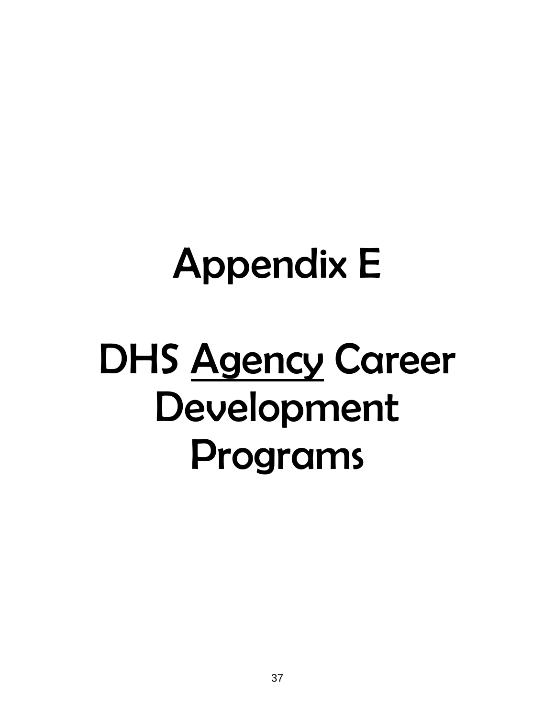## Appendix E

## DHS Agency Career Development Programs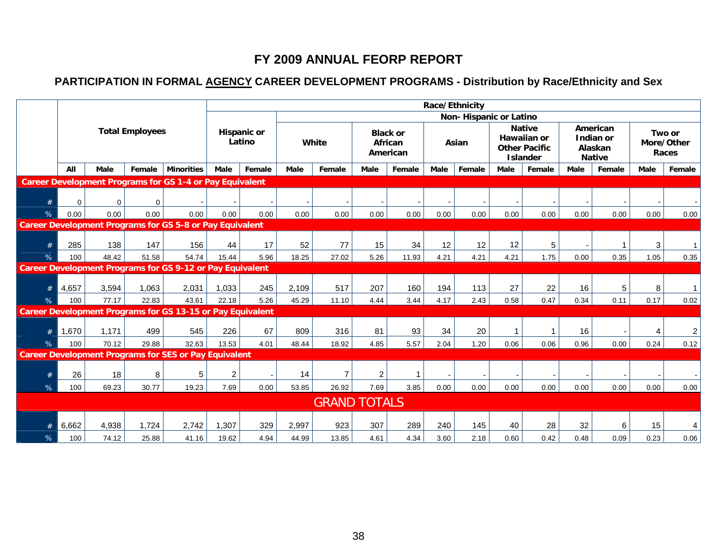## **FY 2009 ANNUAL FEORP REPORT**

## **PARTICIPATION IN FORMAL AGENCY CAREER DEVELOPMENT PROGRAMS - Distribution by Race/Ethnicity and Sex**

|   |             |             |                        |                                                                   |                |                       |             |                     |      |                                        |      | Race/Ethnicity         |             |                                                                         |      |                                                   |      |                               |
|---|-------------|-------------|------------------------|-------------------------------------------------------------------|----------------|-----------------------|-------------|---------------------|------|----------------------------------------|------|------------------------|-------------|-------------------------------------------------------------------------|------|---------------------------------------------------|------|-------------------------------|
|   |             |             |                        |                                                                   |                |                       |             |                     |      |                                        |      | Non-Hispanic or Latino |             |                                                                         |      |                                                   |      |                               |
|   |             |             | <b>Total Employees</b> |                                                                   |                | Hispanic or<br>Latino |             | White               |      | <b>Black or</b><br>African<br>American |      | Asian                  |             | <b>Native</b><br>Hawaiian or<br><b>Other Pacific</b><br><b>Islander</b> |      | American<br>Indian or<br>Alaskan<br><b>Native</b> |      | Two or<br>More/Other<br>Races |
|   | All         | <b>Male</b> | Female                 | <b>Minorities</b>                                                 | Male           | Female                | <b>Male</b> | Female              | Male | Female                                 | Male | Female                 | <b>Male</b> | Female                                                                  | Male | Female                                            | Male | Female                        |
|   |             |             |                        | <b>Career Development Programs for GS 1-4 or Pay Equivalent</b>   |                |                       |             |                     |      |                                        |      |                        |             |                                                                         |      |                                                   |      |                               |
| # | $\mathbf 0$ | $\mathbf 0$ | 0                      |                                                                   |                |                       |             |                     |      |                                        |      |                        |             |                                                                         |      |                                                   |      |                               |
| % | 0.00        | 0.00        | 0.00                   | 0.00                                                              | 0.00           | 0.00                  | 0.00        | 0.00                | 0.00 | 0.00                                   | 0.00 | 0.00                   | 0.00        | 0.00                                                                    | 0.00 | 0.00                                              | 0.00 | 0.00                          |
|   |             |             |                        | <b>Career Development Programs for GS 5-8 or Pay Equivalent</b>   |                |                       |             |                     |      |                                        |      |                        |             |                                                                         |      |                                                   |      |                               |
| # | 285         | 138         | 147                    | 156                                                               | 44             | 17                    | 52          | 77                  | 15   | 34                                     | 12   | 12                     | 12          | 5                                                                       |      |                                                   | 3    |                               |
| % | 100         | 48.42       | 51.58                  | 54.74                                                             | 15.44          | 5.96                  | 18.25       | 27.02               | 5.26 | 11.93                                  | 4.21 | 4.21                   | 4.21        | 1.75                                                                    | 0.00 | 0.35                                              | 1.05 | 0.35                          |
|   |             |             |                        | <b>Career Development Programs for GS 9-12 or Pay Equivalent</b>  |                |                       |             |                     |      |                                        |      |                        |             |                                                                         |      |                                                   |      |                               |
| # | 4,657       | 3,594       | 1,063                  | 2,031                                                             | 1,033          | 245                   | 2,109       | 517                 | 207  | 160                                    | 194  | 113                    | 27          | 22                                                                      | 16   | 5                                                 | 8    |                               |
| % | 100         | 77.17       | 22.83                  | 43.61                                                             | 22.18          | 5.26                  | 45.29       | 11.10               | 4.44 | 3.44                                   | 4.17 | 2.43                   | 0.58        | 0.47                                                                    | 0.34 | 0.11                                              | 0.17 | 0.02                          |
|   |             |             |                        | <b>Career Development Programs for GS 13-15 or Pay Equivalent</b> |                |                       |             |                     |      |                                        |      |                        |             |                                                                         |      |                                                   |      |                               |
| # | 1,670       | 1,171       | 499                    | 545                                                               | 226            | 67                    | 809         | 316                 | 81   | 93                                     | 34   | 20                     |             |                                                                         | 16   |                                                   | 4    | $\overline{c}$                |
| % | 100         | 70.12       | 29.88                  | 32.63                                                             | 13.53          | 4.01                  | 48.44       | 18.92               | 4.85 | 5.57                                   | 2.04 | 1.20                   | 0.06        | 0.06                                                                    | 0.96 | 0.00                                              | 0.24 | 0.12                          |
|   |             |             |                        | <b>Career Development Programs for SES or Pay Equivalent</b>      |                |                       |             |                     |      |                                        |      |                        |             |                                                                         |      |                                                   |      |                               |
| # | 26          | 18          | 8                      | 5                                                                 | $\overline{2}$ |                       | 14          | 7                   | 2    |                                        |      |                        |             |                                                                         |      |                                                   |      |                               |
| % | 100         | 69.23       | 30.77                  | 19.23                                                             | 7.69           | 0.00                  | 53.85       | 26.92               | 7.69 | 3.85                                   | 0.00 | 0.00                   | 0.00        | 0.00                                                                    | 0.00 | 0.00                                              | 0.00 | 0.00                          |
|   |             |             |                        |                                                                   |                |                       |             | <b>GRAND TOTALS</b> |      |                                        |      |                        |             |                                                                         |      |                                                   |      |                               |
|   | 6,662       | 4,938       | 1,724                  | 2,742                                                             | 1,307          | 329                   | 2,997       | 923                 | 307  | 289                                    | 240  | 145                    | 40          | 28                                                                      | 32   | 6                                                 | 15   | 4                             |
| % | 100         | 74.12       | 25.88                  | 41.16                                                             | 19.62          | 4.94                  | 44.99       | 13.85               | 4.61 | 4.34                                   | 3.60 | 2.18                   | 0.60        | 0.42                                                                    | 0.48 | 0.09                                              | 0.23 | 0.06                          |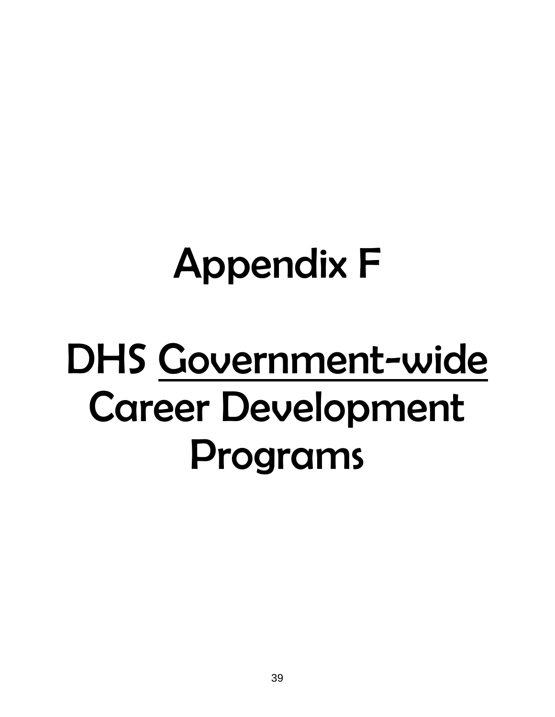## Appendix F

## DHS Government-wide Career Development Programs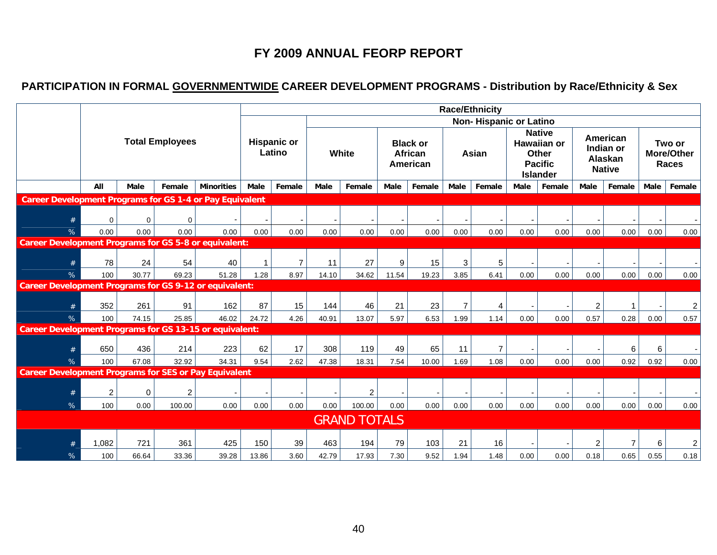## **FY 2009 ANNUAL FEORP REPORT**

## **PARTICIPATION IN FORMAL GOVERNMENTWIDE CAREER DEVELOPMENT PROGRAMS - Distribution by Race/Ethnicity & Sex**

|                                                                 |                |             |                        |                   |              |                              |       |                     |       |                                               |      | <b>Race/Ethnicity</b>         |      |                                                                                   |                |                                                   |      |                               |
|-----------------------------------------------------------------|----------------|-------------|------------------------|-------------------|--------------|------------------------------|-------|---------------------|-------|-----------------------------------------------|------|-------------------------------|------|-----------------------------------------------------------------------------------|----------------|---------------------------------------------------|------|-------------------------------|
|                                                                 |                |             |                        |                   |              |                              |       |                     |       |                                               |      | <b>Non-Hispanic or Latino</b> |      |                                                                                   |                |                                                   |      |                               |
|                                                                 |                |             | <b>Total Employees</b> |                   |              | <b>Hispanic or</b><br>Latino |       | White               |       | <b>Black or</b><br><b>African</b><br>American |      | Asian                         |      | <b>Native</b><br><b>Hawaiian or</b><br>Other<br><b>Pacific</b><br><b>Islander</b> |                | American<br>Indian or<br>Alaskan<br><b>Native</b> |      | Two or<br>More/Other<br>Races |
|                                                                 | All            | Male        | Female                 | <b>Minorities</b> | Male         | Female                       | Male  | Female              | Male  | Female                                        | Male | Female                        | Male | Female                                                                            | Male           | Female                                            | Male | Female                        |
| <b>Career Development Programs for GS 1-4 or Pay Equivalent</b> |                |             |                        |                   |              |                              |       |                     |       |                                               |      |                               |      |                                                                                   |                |                                                   |      |                               |
| #                                                               | $\mathbf 0$    | $\mathbf 0$ | $\Omega$               |                   |              |                              |       |                     |       |                                               |      |                               |      |                                                                                   |                |                                                   |      |                               |
| %                                                               | 0.00           | 0.00        | 0.00                   | 0.00              | 0.00         | 0.00                         | 0.00  | 0.00                | 0.00  | 0.00                                          | 0.00 | 0.00                          | 0.00 | 0.00                                                                              | 0.00           | 0.00                                              | 0.00 | 0.00                          |
| <b>Career Development Programs for GS 5-8 or equivalent:</b>    |                |             |                        |                   |              |                              |       |                     |       |                                               |      |                               |      |                                                                                   |                |                                                   |      |                               |
| #                                                               | 78             | 24          | 54                     | 40                | $\mathbf{1}$ | $\overline{7}$               | 11    | 27                  | 9     | 15                                            | 3    | 5                             |      |                                                                                   |                |                                                   |      |                               |
| %                                                               | 100            | 30.77       | 69.23                  | 51.28             | 1.28         | 8.97                         | 14.10 | 34.62               | 11.54 | 19.23                                         | 3.85 | 6.41                          | 0.00 | 0.00                                                                              | 0.00           | 0.00                                              | 0.00 | 0.00                          |
| <b>Career Development Programs for GS 9-12 or equivalent:</b>   |                |             |                        |                   |              |                              |       |                     |       |                                               |      |                               |      |                                                                                   |                |                                                   |      |                               |
| #                                                               | 352            | 261         | 91                     | 162               | 87           | 15                           | 144   | 46                  | 21    | 23                                            | 7    | 4                             |      |                                                                                   | $\overline{c}$ |                                                   |      | $\overline{c}$                |
| %                                                               | 100            | 74.15       | 25.85                  | 46.02             | 24.72        | 4.26                         | 40.91 | 13.07               | 5.97  | 6.53                                          | 1.99 | 1.14                          | 0.00 | 0.00                                                                              | 0.57           | 0.28                                              | 0.00 | 0.57                          |
| <b>Career Development Programs for GS 13-15 or equivalent:</b>  |                |             |                        |                   |              |                              |       |                     |       |                                               |      |                               |      |                                                                                   |                |                                                   |      |                               |
| #                                                               | 650            | 436         | 214                    | 223               | 62           | 17                           | 308   | 119                 | 49    | 65                                            | 11   | $\overline{7}$                |      |                                                                                   |                | $\,6$                                             | 6    |                               |
| %                                                               | 100            | 67.08       | 32.92                  | 34.31             | 9.54         | 2.62                         | 47.38 | 18.31               | 7.54  | 10.00                                         | 1.69 | 1.08                          | 0.00 | 0.00                                                                              | 0.00           | 0.92                                              | 0.92 | 0.00                          |
| <b>Career Development Programs for SES or Pay Equivalent</b>    |                |             |                        |                   |              |                              |       |                     |       |                                               |      |                               |      |                                                                                   |                |                                                   |      |                               |
| #                                                               | $\overline{c}$ | $\mathbf 0$ | $\overline{c}$         |                   |              |                              |       | $\overline{2}$      |       |                                               |      |                               |      |                                                                                   |                |                                                   |      |                               |
| %                                                               | 100            | 0.00        | 100.00                 | 0.00              | 0.00         | 0.00                         | 0.00  | 100.00              | 0.00  | 0.00                                          | 0.00 | 0.00                          | 0.00 | 0.00                                                                              | 0.00           | 0.00                                              | 0.00 | 0.00                          |
|                                                                 |                |             |                        |                   |              |                              |       | <b>GRAND TOTALS</b> |       |                                               |      |                               |      |                                                                                   |                |                                                   |      |                               |
|                                                                 | 1,082          | 721         | 361                    | 425               | 150          | 39                           | 463   | 194                 | 79    | 103                                           | 21   | 16                            |      |                                                                                   | 2              | $\overline{7}$                                    | 6    | $\overline{a}$                |
| %                                                               | 100            | 66.64       | 33.36                  | 39.28             | 13.86        | 3.60                         | 42.79 | 17.93               | 7.30  | 9.52                                          | 1.94 | 1.48                          | 0.00 | 0.00                                                                              | 0.18           | 0.65                                              | 0.55 | 0.18                          |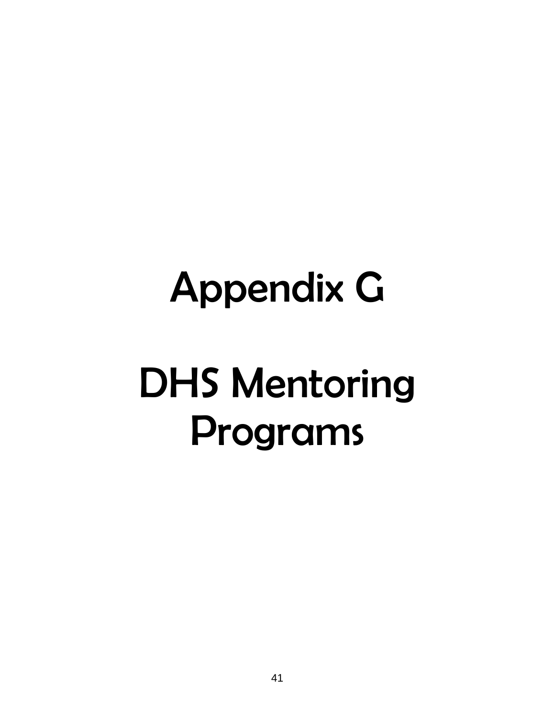# Appendix G

## DHS Mentoring Programs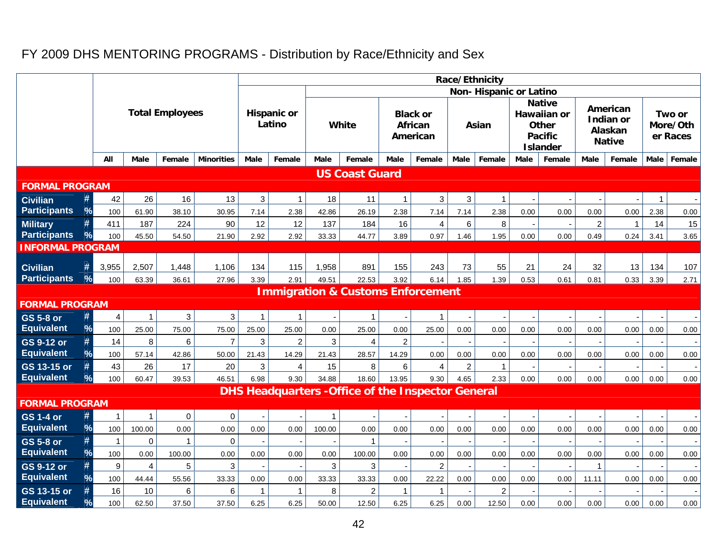## FY 2009 DHS MENTORING PROGRAMS - Distribution by Race/Ethnicity and Sex

|                                        |                      |                              |                        |                   |             |                              |              |                                                           |                |                                        |                | Race/Ethnicity         |             |                                                                                   |                |                                                   |             |                                |
|----------------------------------------|----------------------|------------------------------|------------------------|-------------------|-------------|------------------------------|--------------|-----------------------------------------------------------|----------------|----------------------------------------|----------------|------------------------|-------------|-----------------------------------------------------------------------------------|----------------|---------------------------------------------------|-------------|--------------------------------|
|                                        |                      |                              |                        |                   |             |                              |              |                                                           |                |                                        |                | Non-Hispanic or Latino |             |                                                                                   |                |                                                   |             |                                |
|                                        |                      |                              | <b>Total Employees</b> |                   |             | <b>Hispanic or</b><br>Latino |              | <b>White</b>                                              |                | <b>Black or</b><br>African<br>American |                | Asian                  |             | <b>Native</b><br>Hawaiian or<br><b>Other</b><br><b>Pacific</b><br><b>Islander</b> |                | American<br>Indian or<br>Alaskan<br><b>Native</b> |             | Two or<br>More/Oth<br>er Races |
|                                        | All                  | <b>Male</b>                  | Female                 | <b>Minorities</b> | Male        | Female                       | <b>Male</b>  | Female                                                    | <b>Male</b>    | Female                                 | <b>Male</b>    | Female                 | <b>Male</b> | Female                                                                            | <b>Male</b>    | Female                                            | <b>Male</b> | Female                         |
|                                        |                      |                              |                        |                   |             |                              |              | <b>US Coast Guard</b>                                     |                |                                        |                |                        |             |                                                                                   |                |                                                   |             |                                |
| <b>FORMAL PROGRAM</b>                  |                      |                              |                        |                   |             |                              |              |                                                           |                |                                        |                |                        |             |                                                                                   |                |                                                   |             |                                |
| <b>Civilian</b>                        | #<br>42              | 26                           | 16                     | 13                | 3           | $\mathbf 1$                  | 18           | 11                                                        | $\mathbf{1}$   | $\mathbf{3}$                           | 3              | $\mathbf{1}$           |             |                                                                                   |                |                                                   | -1          |                                |
| <b>Participants</b>                    | $\frac{9}{6}$<br>100 | 61.90                        | 38.10                  | 30.95             | 7.14        | 2.38                         | 42.86        | 26.19                                                     | 2.38           | 7.14                                   | 7.14           | 2.38                   | 0.00        | 0.00                                                                              | 0.00           | 0.00                                              | 2.38        | 0.00                           |
| <b>Military</b>                        | #<br>411             | 187                          | 224                    | 90                | 12          | 12                           | 137          | 184                                                       | 16             | $\overline{4}$                         | 6              | 8                      |             |                                                                                   | $\overline{c}$ | 1                                                 | 14          | 15                             |
| <b>Participants</b>                    | $\frac{9}{6}$<br>100 | 45.50                        | 54.50                  | 21.90             | 2.92        | 2.92                         | 33.33        | 44.77                                                     | 3.89           | 0.97                                   | 1.46           | 1.95                   | 0.00        | 0.00                                                                              | 0.49           | 0.24                                              | 3.41        | 3.65                           |
| <b>INFORMAL PROGRAM</b>                |                      |                              |                        |                   |             |                              |              |                                                           |                |                                        |                |                        |             |                                                                                   |                |                                                   |             |                                |
| <b>Civilian</b>                        | #<br>3,955           | 2,507                        | 1,448                  | 1,106             | 134         | 115                          | 1,958        | 891                                                       | 155            | 243                                    | 73             | 55                     | 21          | 24                                                                                | 32             | 13                                                | 134         | 107                            |
| <b>Participants</b>                    | %<br>100             | 63.39                        | 36.61                  | 27.96             | 3.39        | 2.91                         | 49.51        | 22.53                                                     | 3.92           | 6.14                                   | 1.85           | 1.39                   | 0.53        | 0.61                                                                              | 0.81           | 0.33                                              | 3.39        | 2.71                           |
|                                        |                      |                              |                        |                   |             |                              |              | <b>Immigration &amp; Customs Enforcement</b>              |                |                                        |                |                        |             |                                                                                   |                |                                                   |             |                                |
| <b>FORMAL PROGRAM</b>                  |                      |                              |                        |                   |             |                              |              |                                                           |                |                                        |                |                        |             |                                                                                   |                |                                                   |             |                                |
| <b>GS 5-8 or</b>                       | #                    | $\overline{\mathbf{4}}$<br>1 | 3                      | 3                 | $\mathbf 1$ | -1                           |              | $\mathbf{1}$                                              |                | $\mathbf{1}$                           |                |                        |             |                                                                                   |                |                                                   |             |                                |
| <b>Equivalent</b>                      | %<br>100             | 25.00                        | 75.00                  | 75.00             | 25.00       | 25.00                        | 0.00         | 25.00                                                     | 0.00           | 25.00                                  | 0.00           | 0.00                   | 0.00        | 0.00                                                                              | 0.00           | 0.00                                              | 0.00        | 0.00                           |
| <b>GS 9-12 or</b>                      | #<br>14              | 8                            | 6                      | $\overline{7}$    | 3           | $\overline{2}$               | 3            | $\overline{4}$                                            | $\overline{c}$ |                                        |                |                        |             |                                                                                   |                |                                                   |             |                                |
| <b>Equivalent</b>                      | %<br>100             | 57.14                        | 42.86                  | 50.00             | 21.43       | 14.29                        | 21.43        | 28.57                                                     | 14.29          | 0.00                                   | 0.00           | 0.00                   | 0.00        | 0.00                                                                              | 0.00           | 0.00                                              | 0.00        | 0.00                           |
| GS 13-15 or                            | #<br>43              | 26                           | 17                     | 20                | 3           | 4                            | 15           | 8                                                         | 6              | $\overline{4}$                         | $\overline{c}$ | $\overline{1}$         |             |                                                                                   |                |                                                   |             |                                |
| <b>Equivalent</b>                      | $\frac{9}{6}$<br>100 | 60.47                        | 39.53                  | 46.51             | 6.98        | 9.30                         | 34.88        | 18.60                                                     | 13.95          | 9.30                                   | 4.65           | 2.33                   | 0.00        | 0.00                                                                              | 0.00           | 0.00                                              | 0.00        | 0.00                           |
|                                        |                      |                              |                        |                   |             |                              |              | <b>DHS Headquarters - Office of the Inspector General</b> |                |                                        |                |                        |             |                                                                                   |                |                                                   |             |                                |
| <b>FORMAL PROGRAM</b>                  |                      |                              |                        |                   |             |                              |              |                                                           |                |                                        |                |                        |             |                                                                                   |                |                                                   |             |                                |
| <b>GS 1-4 or</b>                       | #                    | $\mathbf{1}$<br>$\mathbf{1}$ | $\mathbf 0$            | $\mathbf 0$       |             |                              | $\mathbf{1}$ |                                                           |                |                                        |                |                        |             |                                                                                   |                |                                                   |             |                                |
| <b>Equivalent</b>                      | %<br>100             | 100.00                       | 0.00                   | 0.00              | 0.00        | 0.00                         | 100.00       | 0.00                                                      | 0.00           | 0.00                                   | 0.00           | 0.00                   | 0.00        | 0.00                                                                              | 0.00           | 0.00                                              | 0.00        | 0.00                           |
| <b>GS 5-8 or</b>                       | #<br>$\mathbf{1}$    | $\mathbf 0$                  | $\mathbf 1$            | $\mathbf 0$       |             |                              |              | $\mathbf{1}$                                              |                |                                        |                |                        |             |                                                                                   |                |                                                   |             | $\sim$                         |
| <b>Equivalent</b>                      | $\frac{9}{6}$<br>100 | 0.00                         | 100.00                 | 0.00              | 0.00        | 0.00                         | 0.00         | 100.00                                                    | 0.00           | 0.00                                   | 0.00           | 0.00                   | 0.00        | 0.00                                                                              | 0.00           | 0.00                                              | 0.00        | 0.00                           |
| <b>GS 9-12 or</b><br><b>Equivalent</b> | 9<br>#<br>%          | $\overline{4}$               | 5                      | 3                 |             |                              | 3            | 3                                                         |                | $\overline{2}$                         |                |                        |             |                                                                                   | $\mathbf{1}$   |                                                   |             |                                |
| GS 13-15 or                            | 100<br>#<br>16       | 44.44<br>10                  | 55.56<br>6             | 33.33<br>6        | 0.00<br>1   | 0.00<br>1                    | 33.33<br>8   | 33.33<br>2                                                | 0.00<br>1      | 22.22<br>1                             | 0.00           | 0.00<br>$\overline{c}$ | 0.00        | 0.00                                                                              | 11.11          | 0.00                                              | 0.00        | 0.00                           |
| <b>Equivalent</b>                      | $\%$<br>100          | 62.50                        | 37.50                  | 37.50             | 6.25        | 6.25                         | 50.00        | 12.50                                                     | 6.25           | 6.25                                   | 0.00           | 12.50                  | 0.00        | 0.00                                                                              | 0.00           | 0.00                                              | 0.00        | 0.00                           |
|                                        |                      |                              |                        |                   |             |                              |              |                                                           |                |                                        |                |                        |             |                                                                                   |                |                                                   |             |                                |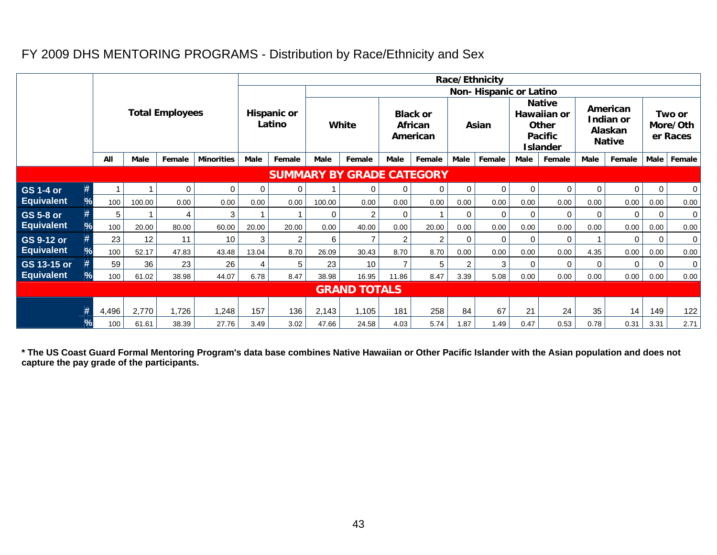## FY 2009 DHS MENTORING PROGRAMS - Distribution by Race/Ethnicity and Sex

|                                  |      | Race/Ethnicity         |             |          |                   |                              |                |                               |                |                                        |        |             |             |                                                                            |             |                                                   |                |                                |             |  |
|----------------------------------|------|------------------------|-------------|----------|-------------------|------------------------------|----------------|-------------------------------|----------------|----------------------------------------|--------|-------------|-------------|----------------------------------------------------------------------------|-------------|---------------------------------------------------|----------------|--------------------------------|-------------|--|
|                                  |      |                        |             |          |                   |                              |                | <b>Non-Hispanic or Latino</b> |                |                                        |        |             |             |                                                                            |             |                                                   |                |                                |             |  |
|                                  |      | <b>Total Employees</b> |             |          |                   | <b>Hispanic or</b><br>Latino |                | White                         |                | <b>Black or</b><br>African<br>American |        | Asian       |             | <b>Native</b><br>Hawaiian or<br>Other<br><b>Pacific</b><br><b>Islander</b> |             | American<br>Indian or<br>Alaskan<br><b>Native</b> |                | Two or<br>More/Oth<br>er Races |             |  |
|                                  |      | All                    | <b>Male</b> | Female   | <b>Minorities</b> | Male                         | Female         | <b>Male</b>                   | Female         | Male                                   | Female | <b>Male</b> | Female      | Male                                                                       | Female      | <b>Male</b>                                       | Female         | Male                           | Female      |  |
| <b>SUMMARY BY GRADE CATEGORY</b> |      |                        |             |          |                   |                              |                |                               |                |                                        |        |             |             |                                                                            |             |                                                   |                |                                |             |  |
| <b>GS 1-4 or</b>                 | #    |                        |             | $\Omega$ | 0                 | $\Omega$                     | $\mathbf 0$    |                               | 0              | $\mathbf 0$                            | 0      | 0           | $\mathbf 0$ | 0                                                                          | $\mathbf 0$ | $\mathbf 0$                                       | $\overline{0}$ | 0                              | 0           |  |
| <b>Equivalent</b>                | %    | 100                    | 100.00      | 0.00     | 0.00              | 0.00                         | 0.00           | 100.00                        | 0.00           | 0.00                                   | 0.00   | 0.00        | 0.00        | 0.00                                                                       | 0.00        | 0.00                                              | 0.00           | 0.00                           | 0.00        |  |
| <b>GS 5-8 or</b>                 |      | 5                      |             | 4        | 3                 |                              |                | 0                             | $\overline{2}$ | 0                                      |        | $\Omega$    | $\Omega$    | $\mathbf 0$                                                                | 0           | $\Omega$                                          | $\Omega$       | $\mathbf 0$                    | $\mathbf 0$ |  |
| <b>Equivalent</b>                | $\%$ | 100                    | 20.00       | 80.00    | 60.00             | 20.00                        | 20.00          | 0.00                          | 40.00          | 0.00                                   | 20.00  | 0.00        | 0.00        | 0.00                                                                       | 0.00        | 0.00                                              | 0.00           | 0.00                           | 0.00        |  |
| GS 9-12 or                       |      | 23                     | 12          | 11       | 10                | 3                            | $\overline{2}$ | 6                             | $\overline{7}$ | $\overline{c}$                         | 2      | 0           | $\Omega$    | $\mathbf 0$                                                                | $\mathbf 0$ |                                                   | $\Omega$       | $\mathbf 0$                    | 0           |  |
| <b>Equivalent</b>                | $\%$ | 100                    | 52.17       | 47.83    | 43.48             | 13.04                        | 8.70           | 26.09                         | 30.43          | 8.70                                   | 8.70   | 0.00        | 0.00        | 0.00                                                                       | 0.00        | 4.35                                              | 0.00           | 0.00                           | 0.00        |  |
| GS 13-15 or                      |      | 59                     | 36          | 23       | 26                | 4                            | 5              | 23                            | 10             | $\overline{7}$                         | 5      | 2           | 3           | $\mathbf 0$                                                                | $\mathbf 0$ | 0                                                 | $\mathbf{0}$   | $\mathbf 0$                    | 0           |  |
| <b>Equivalent</b>                | $\%$ | 100                    | 61.02       | 38.98    | 44.07             | 6.78                         | 8.47           | 38.98                         | 16.95          | 11.86                                  | 8.47   | 3.39        | 5.08        | 0.00                                                                       | 0.00        | 0.00                                              | 0.00           | 0.00                           | 0.00        |  |
| <b>GRAND TOTALS</b>              |      |                        |             |          |                   |                              |                |                               |                |                                        |        |             |             |                                                                            |             |                                                   |                |                                |             |  |
|                                  |      | 4,496                  | 2,770       | 1,726    | 1,248             | 157                          | 136            | 2,143                         | 1,105          | 181                                    | 258    | 84          | 67          | 21                                                                         | 24          | 35                                                | 14             | 149                            | 122         |  |
|                                  | $\%$ | 100                    | 61.61       | 38.39    | 27.76             | 3.49                         | 3.02           | 47.66                         | 24.58          | 4.03                                   | 5.74   | 1.87        | 1.49        | 0.47                                                                       | 0.53        | 0.78                                              | 0.31           | 3.31                           | 2.71        |  |

**\* The US Coast Guard Formal Mentoring Program's data base combines Native Hawaiian or Other Pacific Islander with the Asian population and does not capture the pay grade of the participants.**